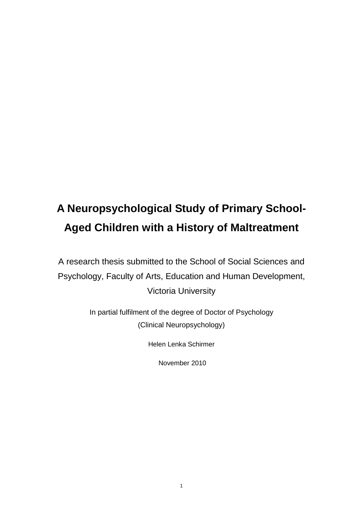# **A Neuropsychological Study of Primary School-Aged Children with a History of Maltreatment**

A research thesis submitted to the School of Social Sciences and Psychology, Faculty of Arts, Education and Human Development, Victoria University

> In partial fulfilment of the degree of Doctor of Psychology (Clinical Neuropsychology)

> > Helen Lenka Schirmer

November 2010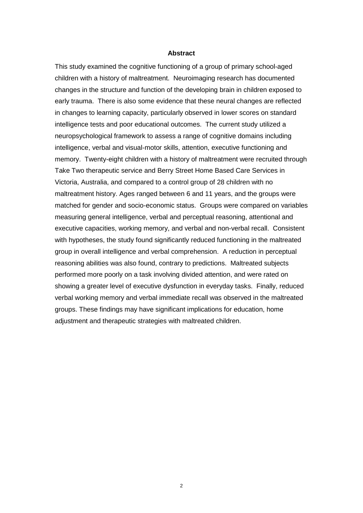#### **Abstract**

This study examined the cognitive functioning of a group of primary school-aged children with a history of maltreatment. Neuroimaging research has documented changes in the structure and function of the developing brain in children exposed to early trauma. There is also some evidence that these neural changes are reflected in changes to learning capacity, particularly observed in lower scores on standard intelligence tests and poor educational outcomes. The current study utilized a neuropsychological framework to assess a range of cognitive domains including intelligence, verbal and visual-motor skills, attention, executive functioning and memory. Twenty-eight children with a history of maltreatment were recruited through Take Two therapeutic service and Berry Street Home Based Care Services in Victoria, Australia, and compared to a control group of 28 children with no maltreatment history. Ages ranged between 6 and 11 years, and the groups were matched for gender and socio-economic status. Groups were compared on variables measuring general intelligence, verbal and perceptual reasoning, attentional and executive capacities, working memory, and verbal and non-verbal recall. Consistent with hypotheses, the study found significantly reduced functioning in the maltreated group in overall intelligence and verbal comprehension. A reduction in perceptual reasoning abilities was also found, contrary to predictions. Maltreated subjects performed more poorly on a task involving divided attention, and were rated on showing a greater level of executive dysfunction in everyday tasks. Finally, reduced verbal working memory and verbal immediate recall was observed in the maltreated groups. These findings may have significant implications for education, home adjustment and therapeutic strategies with maltreated children.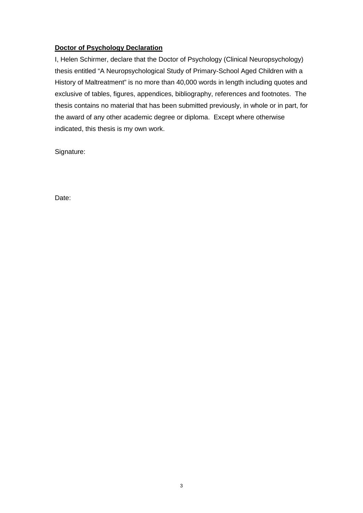### **Doctor of Psychology Declaration**

I, Helen Schirmer, declare that the Doctor of Psychology (Clinical Neuropsychology) thesis entitled "A Neuropsychological Study of Primary-School Aged Children with a History of Maltreatment" is no more than 40,000 words in length including quotes and exclusive of tables, figures, appendices, bibliography, references and footnotes. The thesis contains no material that has been submitted previously, in whole or in part, for the award of any other academic degree or diploma. Except where otherwise indicated, this thesis is my own work.

Signature:

Date: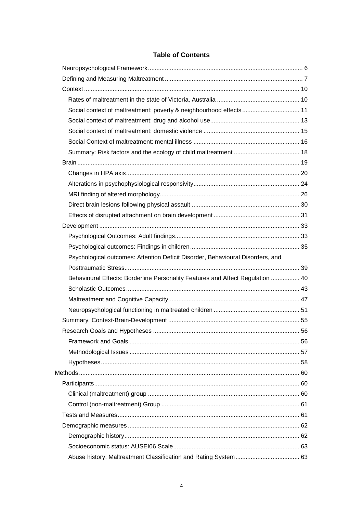# **Table of Contents**

| Social context of maltreatment: poverty & neighbourhood effects 11             |  |
|--------------------------------------------------------------------------------|--|
|                                                                                |  |
|                                                                                |  |
|                                                                                |  |
|                                                                                |  |
|                                                                                |  |
|                                                                                |  |
|                                                                                |  |
|                                                                                |  |
|                                                                                |  |
|                                                                                |  |
|                                                                                |  |
|                                                                                |  |
|                                                                                |  |
| Psychological outcomes: Attention Deficit Disorder, Behavioural Disorders, and |  |
|                                                                                |  |
| Behavioural Effects: Borderline Personality Features and Affect Regulation  40 |  |
|                                                                                |  |
|                                                                                |  |
|                                                                                |  |
|                                                                                |  |
|                                                                                |  |
|                                                                                |  |
|                                                                                |  |
|                                                                                |  |
|                                                                                |  |
|                                                                                |  |
|                                                                                |  |
|                                                                                |  |
|                                                                                |  |
|                                                                                |  |
|                                                                                |  |
|                                                                                |  |
|                                                                                |  |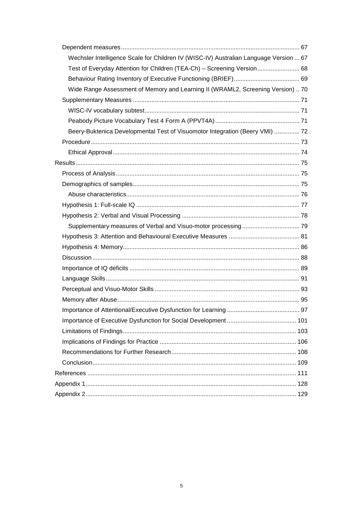| Wechsler Intelligence Scale for Children IV (WISC-IV) Australian Language Version  67 |  |
|---------------------------------------------------------------------------------------|--|
| Test of Everyday Attention for Children (TEA-Ch) - Screening Version 68               |  |
|                                                                                       |  |
| Wide Range Assessment of Memory and Learning II (WRAML2, Screening Version)  70       |  |
|                                                                                       |  |
|                                                                                       |  |
|                                                                                       |  |
| Beery-Buktenica Developmental Test of Visuomotor Integration (Beery VMI)  72          |  |
|                                                                                       |  |
|                                                                                       |  |
|                                                                                       |  |
|                                                                                       |  |
|                                                                                       |  |
|                                                                                       |  |
|                                                                                       |  |
|                                                                                       |  |
|                                                                                       |  |
|                                                                                       |  |
|                                                                                       |  |
|                                                                                       |  |
|                                                                                       |  |
|                                                                                       |  |
|                                                                                       |  |
|                                                                                       |  |
|                                                                                       |  |
|                                                                                       |  |
|                                                                                       |  |
|                                                                                       |  |
|                                                                                       |  |
|                                                                                       |  |
|                                                                                       |  |
|                                                                                       |  |
|                                                                                       |  |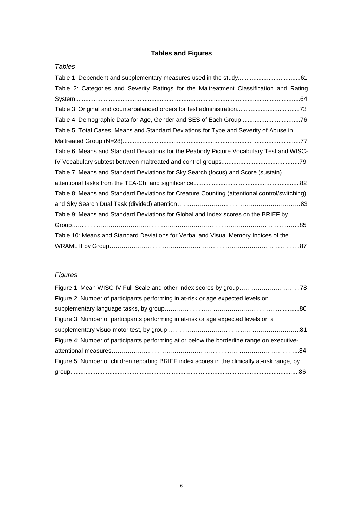# **Tables and Figures**

<span id="page-5-0"></span>

| <b>Tables</b>                                                                                |
|----------------------------------------------------------------------------------------------|
|                                                                                              |
| Table 2: Categories and Severity Ratings for the Maltreatment Classification and Rating      |
|                                                                                              |
|                                                                                              |
|                                                                                              |
| Table 5: Total Cases, Means and Standard Deviations for Type and Severity of Abuse in        |
|                                                                                              |
| Table 6: Means and Standard Deviations for the Peabody Picture Vocabulary Test and WISC-     |
|                                                                                              |
| Table 7: Means and Standard Deviations for Sky Search (focus) and Score (sustain)            |
|                                                                                              |
| Table 8: Means and Standard Deviations for Creature Counting (attentional control/switching) |
|                                                                                              |
| Table 9: Means and Standard Deviations for Global and Index scores on the BRIEF by           |
|                                                                                              |
| Table 10: Means and Standard Deviations for Verbal and Visual Memory Indices of the          |
|                                                                                              |

# *Figures*

| Figure 2: Number of participants performing in at-risk or age expected levels on              |
|-----------------------------------------------------------------------------------------------|
|                                                                                               |
| Figure 3: Number of participants performing in at-risk or age expected levels on a            |
|                                                                                               |
| Figure 4: Number of participants performing at or below the borderline range on executive-    |
|                                                                                               |
| Figure 5: Number of children reporting BRIEF index scores in the clinically at-risk range, by |
|                                                                                               |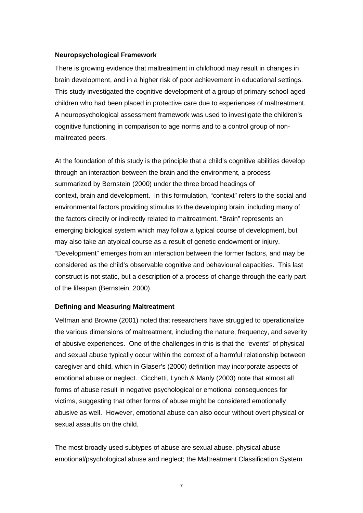#### **Neuropsychological Framework**

There is growing evidence that maltreatment in childhood may result in changes in brain development, and in a higher risk of poor achievement in educational settings. This study investigated the cognitive development of a group of primary-school-aged children who had been placed in protective care due to experiences of maltreatment. A neuropsychological assessment framework was used to investigate the children's cognitive functioning in comparison to age norms and to a control group of nonmaltreated peers.

At the foundation of this study is the principle that a child's cognitive abilities develop through an interaction between the brain and the environment, a process summarized by Bernstein (2000) under the three broad headings of context, brain and development. In this formulation, "context" refers to the social and environmental factors providing stimulus to the developing brain, including many of the factors directly or indirectly related to maltreatment. "Brain" represents an emerging biological system which may follow a typical course of development, but may also take an atypical course as a result of genetic endowment or injury. "Development" emerges from an interaction between the former factors, and may be considered as the child's observable cognitive and behavioural capacities. This last construct is not static, but a description of a process of change through the early part of the lifespan (Bernstein, 2000).

#### <span id="page-6-0"></span>**Defining and Measuring Maltreatment**

Veltman and Browne (2001) noted that researchers have struggled to operationalize the various dimensions of maltreatment, including the nature, frequency, and severity of abusive experiences. One of the challenges in this is that the "events" of physical and sexual abuse typically occur within the context of a harmful relationship between caregiver and child, which in Glaser's (2000) definition may incorporate aspects of emotional abuse or neglect. Cicchetti, Lynch & Manly (2003) note that almost all forms of abuse result in negative psychological or emotional consequences for victims, suggesting that other forms of abuse might be considered emotionally abusive as well. However, emotional abuse can also occur without overt physical or sexual assaults on the child.

The most broadly used subtypes of abuse are sexual abuse, physical abuse emotional/psychological abuse and neglect; the Maltreatment Classification System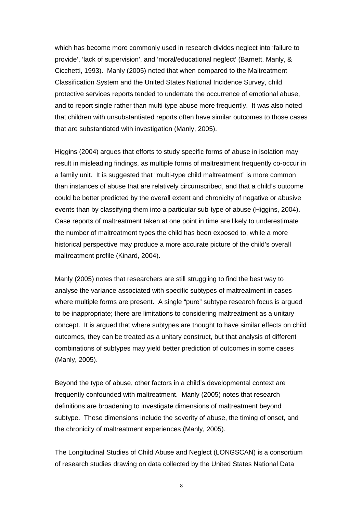which has become more commonly used in research divides neglect into 'failure to provide', 'lack of supervision', and 'moral/educational neglect' (Barnett, Manly, & Cicchetti, 1993). Manly (2005) noted that when compared to the Maltreatment Classification System and the United States National Incidence Survey, child protective services reports tended to underrate the occurrence of emotional abuse, and to report single rather than multi-type abuse more frequently. It was also noted that children with unsubstantiated reports often have similar outcomes to those cases that are substantiated with investigation (Manly, 2005).

Higgins (2004) argues that efforts to study specific forms of abuse in isolation may result in misleading findings, as multiple forms of maltreatment frequently co-occur in a family unit. It is suggested that "multi-type child maltreatment" is more common than instances of abuse that are relatively circumscribed, and that a child's outcome could be better predicted by the overall extent and chronicity of negative or abusive events than by classifying them into a particular sub-type of abuse (Higgins, 2004). Case reports of maltreatment taken at one point in time are likely to underestimate the number of maltreatment types the child has been exposed to, while a more historical perspective may produce a more accurate picture of the child's overall maltreatment profile (Kinard, 2004).

Manly (2005) notes that researchers are still struggling to find the best way to analyse the variance associated with specific subtypes of maltreatment in cases where multiple forms are present. A single "pure" subtype research focus is argued to be inappropriate; there are limitations to considering maltreatment as a unitary concept. It is argued that where subtypes are thought to have similar effects on child outcomes, they can be treated as a unitary construct, but that analysis of different combinations of subtypes may yield better prediction of outcomes in some cases (Manly, 2005).

Beyond the type of abuse, other factors in a child's developmental context are frequently confounded with maltreatment. Manly (2005) notes that research definitions are broadening to investigate dimensions of maltreatment beyond subtype. These dimensions include the severity of abuse, the timing of onset, and the chronicity of maltreatment experiences (Manly, 2005).

The Longitudinal Studies of Child Abuse and Neglect (LONGSCAN) is a consortium of research studies drawing on data collected by the United States National Data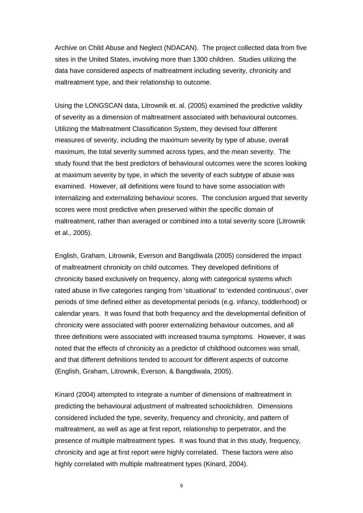Archive on Child Abuse and Neglect (NDACAN). The project collected data from five sites in the United States, involving more than 1300 children. Studies utilizing the data have considered aspects of maltreatment including severity, chronicity and maltreatment type, and their relationship to outcome.

Using the LONGSCAN data, Litrownik et. al. (2005) examined the predictive validity of severity as a dimension of maltreatment associated with behavioural outcomes. Utilizing the Maltreatment Classification System, they devised four different measures of severity, including the maximum severity by type of abuse, overall maximum, the total severity summed across types, and the mean severity. The study found that the best predictors of behavioural outcomes were the scores looking at maximum severity by type, in which the severity of each subtype of abuse was examined. However, all definitions were found to have some association with internalizing and externalizing behaviour scores. The conclusion argued that severity scores were most predictive when preserved within the specific domain of maltreatment, rather than averaged or combined into a total severity score (Litrownik et al., 2005).

English, Graham, Litrownik, Everson and Bangdiwala (2005) considered the impact of maltreatment chronicity on child outcomes. They developed definitions of chronicity based exclusively on frequency, along with categorical systems which rated abuse in five categories ranging from 'situational' to 'extended continuous', over periods of time defined either as developmental periods (e.g. infancy, toddlerhood) or calendar years. It was found that both frequency and the developmental definition of chronicity were associated with poorer externalizing behaviour outcomes, and all three definitions were associated with increased trauma symptoms. However, it was noted that the effects of chronicity as a predictor of childhood outcomes was small, and that different definitions tended to account for different aspects of outcome (English, Graham, Litrownik, Everson, & Bangdiwala, 2005).

Kinard (2004) attempted to integrate a number of dimensions of maltreatment in predicting the behavioural adjustment of maltreated schoolchildren. Dimensions considered included the type, severity, frequency and chronicity, and pattern of maltreatment, as well as age at first report, relationship to perpetrator, and the presence of multiple maltreatment types. It was found that in this study, frequency, chronicity and age at first report were highly correlated. These factors were also highly correlated with multiple maltreatment types (Kinard, 2004).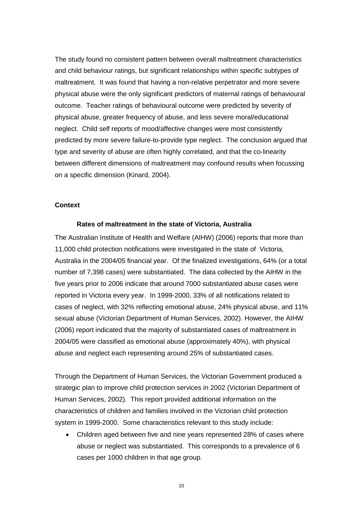The study found no consistent pattern between overall maltreatment characteristics and child behaviour ratings, but significant relationships within specific subtypes of maltreatment. It was found that having a non-relative perpetrator and more severe physical abuse were the only significant predictors of maternal ratings of behavioural outcome. Teacher ratings of behavioural outcome were predicted by severity of physical abuse, greater frequency of abuse, and less severe moral/educational neglect. Child self reports of mood/affective changes were most consistently predicted by more severe failure-to-provide type neglect. The conclusion argued that type and severity of abuse are often highly correlated, and that the co-linearity between different dimensions of maltreatment may confound results when focussing on a specific dimension (Kinard, 2004).

#### <span id="page-9-1"></span><span id="page-9-0"></span>**Context**

#### **Rates of maltreatment in the state of Victoria, Australia**

The Australian Institute of Health and Welfare (AIHW) (2006) reports that more than 11,000 child protection notifications were investigated in the state of Victoria, Australia in the 2004/05 financial year. Of the finalized investigations, 64% (or a total number of 7,398 cases) were substantiated. The data collected by the AIHW in the five years prior to 2006 indicate that around 7000 substantiated abuse cases were reported in Victoria every year. In 1999-2000, 33% of all notifications related to cases of neglect, with 32% reflecting emotional abuse, 24% physical abuse, and 11% sexual abuse (Victorian Department of Human Services, 2002). However, the AIHW (2006) report indicated that the majority of substantiated cases of maltreatment in 2004/05 were classified as emotional abuse (approximately 40%), with physical abuse and neglect each representing around 25% of substantiated cases.

Through the Department of Human Services, the Victorian Government produced a strategic plan to improve child protection services in 2002 (Victorian Department of Human Services, 2002). This report provided additional information on the characteristics of children and families involved in the Victorian child protection system in 1999-2000. Some characteristics relevant to this study include:

• Children aged between five and nine years represented 28% of cases where abuse or neglect was substantiated. This corresponds to a prevalence of 6 cases per 1000 children in that age group.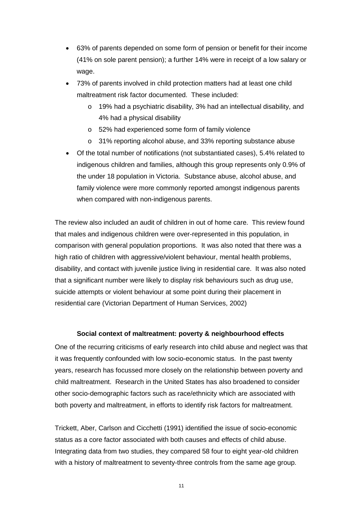- 63% of parents depended on some form of pension or benefit for their income (41% on sole parent pension); a further 14% were in receipt of a low salary or wage.
- 73% of parents involved in child protection matters had at least one child maltreatment risk factor documented. These included:
	- o 19% had a psychiatric disability, 3% had an intellectual disability, and 4% had a physical disability
	- o 52% had experienced some form of family violence
	- o 31% reporting alcohol abuse, and 33% reporting substance abuse
- Of the total number of notifications (not substantiated cases), 5.4% related to indigenous children and families, although this group represents only 0.9% of the under 18 population in Victoria. Substance abuse, alcohol abuse, and family violence were more commonly reported amongst indigenous parents when compared with non-indigenous parents.

The review also included an audit of children in out of home care. This review found that males and indigenous children were over-represented in this population, in comparison with general population proportions. It was also noted that there was a high ratio of children with aggressive/violent behaviour, mental health problems, disability, and contact with juvenile justice living in residential care. It was also noted that a significant number were likely to display risk behaviours such as drug use, suicide attempts or violent behaviour at some point during their placement in residential care (Victorian Department of Human Services, 2002)

#### **Social context of maltreatment: poverty & neighbourhood effects**

<span id="page-10-0"></span>One of the recurring criticisms of early research into child abuse and neglect was that it was frequently confounded with low socio-economic status. In the past twenty years, research has focussed more closely on the relationship between poverty and child maltreatment. Research in the United States has also broadened to consider other socio-demographic factors such as race/ethnicity which are associated with both poverty and maltreatment, in efforts to identify risk factors for maltreatment.

Trickett, Aber, Carlson and Cicchetti (1991) identified the issue of socio-economic status as a core factor associated with both causes and effects of child abuse. Integrating data from two studies, they compared 58 four to eight year-old children with a history of maltreatment to seventy-three controls from the same age group.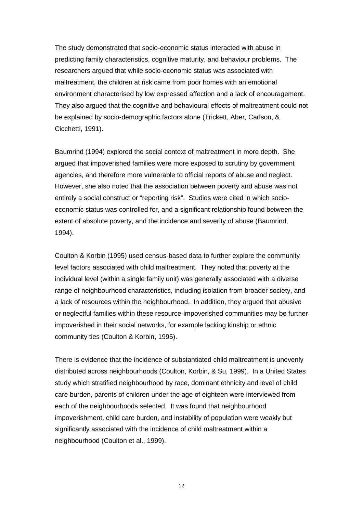The study demonstrated that socio-economic status interacted with abuse in predicting family characteristics, cognitive maturity, and behaviour problems. The researchers argued that while socio-economic status was associated with maltreatment, the children at risk came from poor homes with an emotional environment characterised by low expressed affection and a lack of encouragement. They also argued that the cognitive and behavioural effects of maltreatment could not be explained by socio-demographic factors alone (Trickett, Aber, Carlson, & Cicchetti, 1991).

Baumrind (1994) explored the social context of maltreatment in more depth. She argued that impoverished families were more exposed to scrutiny by government agencies, and therefore more vulnerable to official reports of abuse and neglect. However, she also noted that the association between poverty and abuse was not entirely a social construct or "reporting risk". Studies were cited in which socioeconomic status was controlled for, and a significant relationship found between the extent of absolute poverty, and the incidence and severity of abuse (Baumrind, 1994).

Coulton & Korbin (1995) used census-based data to further explore the community level factors associated with child maltreatment. They noted that poverty at the individual level (within a single family unit) was generally associated with a diverse range of neighbourhood characteristics, including isolation from broader society, and a lack of resources within the neighbourhood. In addition, they argued that abusive or neglectful families within these resource-impoverished communities may be further impoverished in their social networks, for example lacking kinship or ethnic community ties (Coulton & Korbin, 1995).

There is evidence that the incidence of substantiated child maltreatment is unevenly distributed across neighbourhoods (Coulton, Korbin, & Su, 1999). In a United States study which stratified neighbourhood by race, dominant ethnicity and level of child care burden, parents of children under the age of eighteen were interviewed from each of the neighbourhoods selected. It was found that neighbourhood impoverishment, child care burden, and instability of population were weakly but significantly associated with the incidence of child maltreatment within a neighbourhood (Coulton et al., 1999).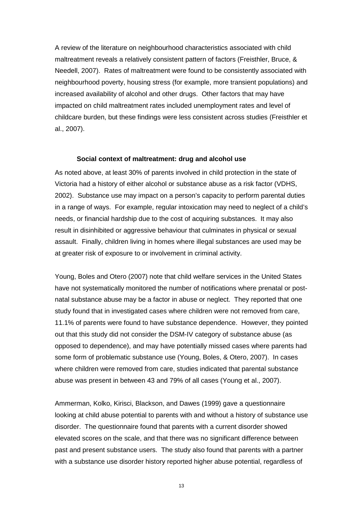A review of the literature on neighbourhood characteristics associated with child maltreatment reveals a relatively consistent pattern of factors (Freisthler, Bruce, & Needell, 2007). Rates of maltreatment were found to be consistently associated with neighbourhood poverty, housing stress (for example, more transient populations) and increased availability of alcohol and other drugs. Other factors that may have impacted on child maltreatment rates included unemployment rates and level of childcare burden, but these findings were less consistent across studies (Freisthler et al., 2007).

#### **Social context of maltreatment: drug and alcohol use**

<span id="page-12-0"></span>As noted above, at least 30% of parents involved in child protection in the state of Victoria had a history of either alcohol or substance abuse as a risk factor (VDHS, 2002). Substance use may impact on a person's capacity to perform parental duties in a range of ways. For example, regular intoxication may need to neglect of a child's needs, or financial hardship due to the cost of acquiring substances. It may also result in disinhibited or aggressive behaviour that culminates in physical or sexual assault. Finally, children living in homes where illegal substances are used may be at greater risk of exposure to or involvement in criminal activity.

Young, Boles and Otero (2007) note that child welfare services in the United States have not systematically monitored the number of notifications where prenatal or postnatal substance abuse may be a factor in abuse or neglect. They reported that one study found that in investigated cases where children were not removed from care, 11.1% of parents were found to have substance dependence. However, they pointed out that this study did not consider the DSM-IV category of substance abuse (as opposed to dependence), and may have potentially missed cases where parents had some form of problematic substance use (Young, Boles, & Otero, 2007). In cases where children were removed from care, studies indicated that parental substance abuse was present in between 43 and 79% of all cases (Young et al., 2007).

Ammerman, Kolko, Kirisci, Blackson, and Dawes (1999) gave a questionnaire looking at child abuse potential to parents with and without a history of substance use disorder. The questionnaire found that parents with a current disorder showed elevated scores on the scale, and that there was no significant difference between past and present substance users. The study also found that parents with a partner with a substance use disorder history reported higher abuse potential, regardless of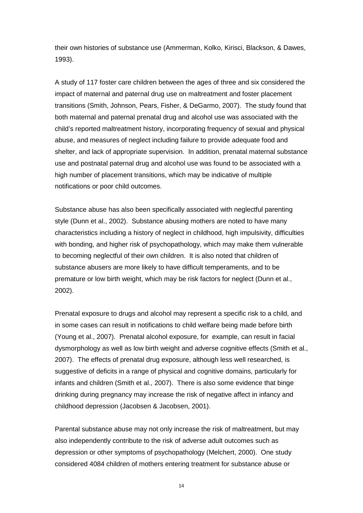their own histories of substance use (Ammerman, Kolko, Kirisci, Blackson, & Dawes, 1993).

A study of 117 foster care children between the ages of three and six considered the impact of maternal and paternal drug use on maltreatment and foster placement transitions (Smith, Johnson, Pears, Fisher, & DeGarmo, 2007). The study found that both maternal and paternal prenatal drug and alcohol use was associated with the child's reported maltreatment history, incorporating frequency of sexual and physical abuse, and measures of neglect including failure to provide adequate food and shelter, and lack of appropriate supervision. In addition, prenatal maternal substance use and postnatal paternal drug and alcohol use was found to be associated with a high number of placement transitions, which may be indicative of multiple notifications or poor child outcomes.

Substance abuse has also been specifically associated with neglectful parenting style (Dunn et al., 2002). Substance abusing mothers are noted to have many characteristics including a history of neglect in childhood, high impulsivity, difficulties with bonding, and higher risk of psychopathology, which may make them vulnerable to becoming neglectful of their own children. It is also noted that children of substance abusers are more likely to have difficult temperaments, and to be premature or low birth weight, which may be risk factors for neglect (Dunn et al., 2002).

Prenatal exposure to drugs and alcohol may represent a specific risk to a child, and in some cases can result in notifications to child welfare being made before birth (Young et al., 2007). Prenatal alcohol exposure, for example, can result in facial dysmorphology as well as low birth weight and adverse cognitive effects (Smith et al., 2007). The effects of prenatal drug exposure, although less well researched, is suggestive of deficits in a range of physical and cognitive domains, particularly for infants and children (Smith et al., 2007). There is also some evidence that binge drinking during pregnancy may increase the risk of negative affect in infancy and childhood depression (Jacobsen & Jacobsen, 2001).

Parental substance abuse may not only increase the risk of maltreatment, but may also independently contribute to the risk of adverse adult outcomes such as depression or other symptoms of psychopathology (Melchert, 2000). One study considered 4084 children of mothers entering treatment for substance abuse or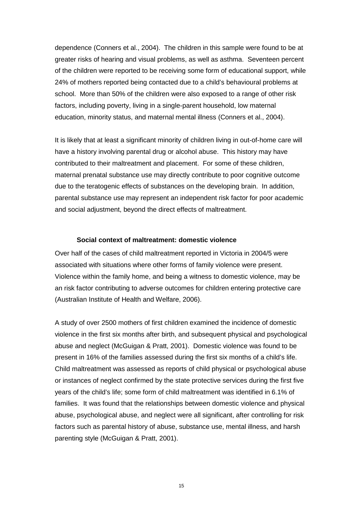dependence (Conners et al., 2004). The children in this sample were found to be at greater risks of hearing and visual problems, as well as asthma. Seventeen percent of the children were reported to be receiving some form of educational support, while 24% of mothers reported being contacted due to a child's behavioural problems at school. More than 50% of the children were also exposed to a range of other risk factors, including poverty, living in a single-parent household, low maternal education, minority status, and maternal mental illness (Conners et al., 2004).

It is likely that at least a significant minority of children living in out-of-home care will have a history involving parental drug or alcohol abuse. This history may have contributed to their maltreatment and placement. For some of these children, maternal prenatal substance use may directly contribute to poor cognitive outcome due to the teratogenic effects of substances on the developing brain. In addition, parental substance use may represent an independent risk factor for poor academic and social adjustment, beyond the direct effects of maltreatment.

#### **Social context of maltreatment: domestic violence**

<span id="page-14-0"></span>Over half of the cases of child maltreatment reported in Victoria in 2004/5 were associated with situations where other forms of family violence were present. Violence within the family home, and being a witness to domestic violence, may be an risk factor contributing to adverse outcomes for children entering protective care (Australian Institute of Health and Welfare, 2006).

A study of over 2500 mothers of first children examined the incidence of domestic violence in the first six months after birth, and subsequent physical and psychological abuse and neglect (McGuigan & Pratt, 2001). Domestic violence was found to be present in 16% of the families assessed during the first six months of a child's life. Child maltreatment was assessed as reports of child physical or psychological abuse or instances of neglect confirmed by the state protective services during the first five years of the child's life; some form of child maltreatment was identified in 6.1% of families. It was found that the relationships between domestic violence and physical abuse, psychological abuse, and neglect were all significant, after controlling for risk factors such as parental history of abuse, substance use, mental illness, and harsh parenting style (McGuigan & Pratt, 2001).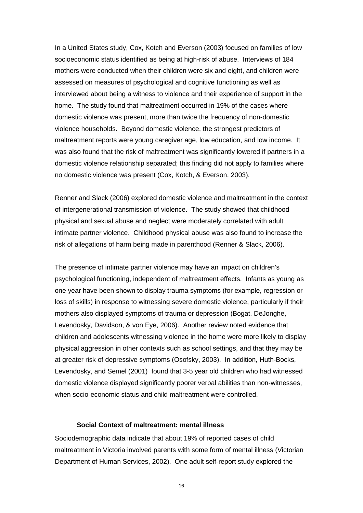In a United States study, Cox, Kotch and Everson (2003) focused on families of low socioeconomic status identified as being at high-risk of abuse. Interviews of 184 mothers were conducted when their children were six and eight, and children were assessed on measures of psychological and cognitive functioning as well as interviewed about being a witness to violence and their experience of support in the home. The study found that maltreatment occurred in 19% of the cases where domestic violence was present, more than twice the frequency of non-domestic violence households. Beyond domestic violence, the strongest predictors of maltreatment reports were young caregiver age, low education, and low income. It was also found that the risk of maltreatment was significantly lowered if partners in a domestic violence relationship separated; this finding did not apply to families where no domestic violence was present (Cox, Kotch, & Everson, 2003).

Renner and Slack (2006) explored domestic violence and maltreatment in the context of intergenerational transmission of violence. The study showed that childhood physical and sexual abuse and neglect were moderately correlated with adult intimate partner violence. Childhood physical abuse was also found to increase the risk of allegations of harm being made in parenthood (Renner & Slack, 2006).

The presence of intimate partner violence may have an impact on children's psychological functioning, independent of maltreatment effects. Infants as young as one year have been shown to display trauma symptoms (for example, regression or loss of skills) in response to witnessing severe domestic violence, particularly if their mothers also displayed symptoms of trauma or depression (Bogat, DeJonghe, Levendosky, Davidson, & von Eye, 2006). Another review noted evidence that children and adolescents witnessing violence in the home were more likely to display physical aggression in other contexts such as school settings, and that they may be at greater risk of depressive symptoms (Osofsky, 2003). In addition, Huth-Bocks, Levendosky, and Semel (2001) found that 3-5 year old children who had witnessed domestic violence displayed significantly poorer verbal abilities than non-witnesses, when socio-economic status and child maltreatment were controlled.

#### **Social Context of maltreatment: mental illness**

<span id="page-15-0"></span>Sociodemographic data indicate that about 19% of reported cases of child maltreatment in Victoria involved parents with some form of mental illness (Victorian Department of Human Services, 2002). One adult self-report study explored the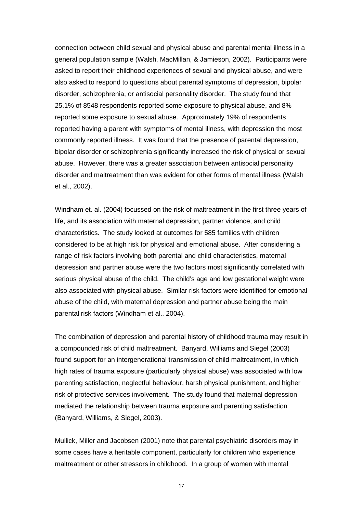connection between child sexual and physical abuse and parental mental illness in a general population sample (Walsh, MacMillan, & Jamieson, 2002). Participants were asked to report their childhood experiences of sexual and physical abuse, and were also asked to respond to questions about parental symptoms of depression, bipolar disorder, schizophrenia, or antisocial personality disorder. The study found that 25.1% of 8548 respondents reported some exposure to physical abuse, and 8% reported some exposure to sexual abuse. Approximately 19% of respondents reported having a parent with symptoms of mental illness, with depression the most commonly reported illness. It was found that the presence of parental depression, bipolar disorder or schizophrenia significantly increased the risk of physical or sexual abuse. However, there was a greater association between antisocial personality disorder and maltreatment than was evident for other forms of mental illness (Walsh et al., 2002).

Windham et. al. (2004) focussed on the risk of maltreatment in the first three years of life, and its association with maternal depression, partner violence, and child characteristics. The study looked at outcomes for 585 families with children considered to be at high risk for physical and emotional abuse. After considering a range of risk factors involving both parental and child characteristics, maternal depression and partner abuse were the two factors most significantly correlated with serious physical abuse of the child. The child's age and low gestational weight were also associated with physical abuse. Similar risk factors were identified for emotional abuse of the child, with maternal depression and partner abuse being the main parental risk factors (Windham et al., 2004).

The combination of depression and parental history of childhood trauma may result in a compounded risk of child maltreatment. Banyard, Williams and Siegel (2003) found support for an intergenerational transmission of child maltreatment, in which high rates of trauma exposure (particularly physical abuse) was associated with low parenting satisfaction, neglectful behaviour, harsh physical punishment, and higher risk of protective services involvement. The study found that maternal depression mediated the relationship between trauma exposure and parenting satisfaction (Banyard, Williams, & Siegel, 2003).

Mullick, Miller and Jacobsen (2001) note that parental psychiatric disorders may in some cases have a heritable component, particularly for children who experience maltreatment or other stressors in childhood. In a group of women with mental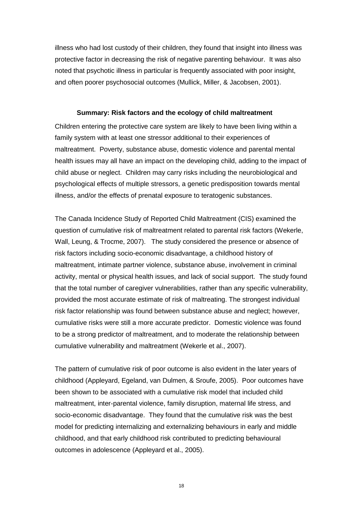illness who had lost custody of their children, they found that insight into illness was protective factor in decreasing the risk of negative parenting behaviour. It was also noted that psychotic illness in particular is frequently associated with poor insight, and often poorer psychosocial outcomes (Mullick, Miller, & Jacobsen, 2001).

#### **Summary: Risk factors and the ecology of child maltreatment**

<span id="page-17-0"></span>Children entering the protective care system are likely to have been living within a family system with at least one stressor additional to their experiences of maltreatment. Poverty, substance abuse, domestic violence and parental mental health issues may all have an impact on the developing child, adding to the impact of child abuse or neglect. Children may carry risks including the neurobiological and psychological effects of multiple stressors, a genetic predisposition towards mental illness, and/or the effects of prenatal exposure to teratogenic substances.

The Canada Incidence Study of Reported Child Maltreatment (CIS) examined the question of cumulative risk of maltreatment related to parental risk factors (Wekerle, Wall, Leung, & Trocme, 2007). The study considered the presence or absence of risk factors including socio-economic disadvantage, a childhood history of maltreatment, intimate partner violence, substance abuse, involvement in criminal activity, mental or physical health issues, and lack of social support. The study found that the total number of caregiver vulnerabilities, rather than any specific vulnerability, provided the most accurate estimate of risk of maltreating. The strongest individual risk factor relationship was found between substance abuse and neglect; however, cumulative risks were still a more accurate predictor. Domestic violence was found to be a strong predictor of maltreatment, and to moderate the relationship between cumulative vulnerability and maltreatment (Wekerle et al., 2007).

The pattern of cumulative risk of poor outcome is also evident in the later years of childhood (Appleyard, Egeland, van Dulmen, & Sroufe, 2005). Poor outcomes have been shown to be associated with a cumulative risk model that included child maltreatment, inter-parental violence, family disruption, maternal life stress, and socio-economic disadvantage. They found that the cumulative risk was the best model for predicting internalizing and externalizing behaviours in early and middle childhood, and that early childhood risk contributed to predicting behavioural outcomes in adolescence (Appleyard et al., 2005).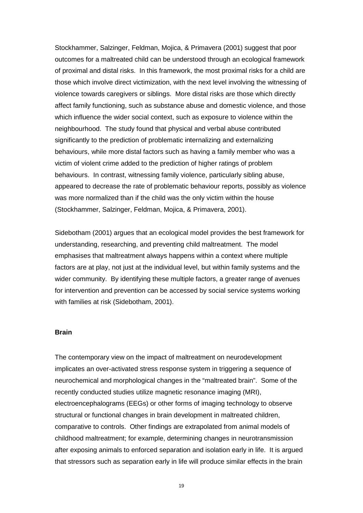Stockhammer, Salzinger, Feldman, Mojica, & Primavera (2001) suggest that poor outcomes for a maltreated child can be understood through an ecological framework of proximal and distal risks. In this framework, the most proximal risks for a child are those which involve direct victimization, with the next level involving the witnessing of violence towards caregivers or siblings. More distal risks are those which directly affect family functioning, such as substance abuse and domestic violence, and those which influence the wider social context, such as exposure to violence within the neighbourhood. The study found that physical and verbal abuse contributed significantly to the prediction of problematic internalizing and externalizing behaviours, while more distal factors such as having a family member who was a victim of violent crime added to the prediction of higher ratings of problem behaviours. In contrast, witnessing family violence, particularly sibling abuse, appeared to decrease the rate of problematic behaviour reports, possibly as violence was more normalized than if the child was the only victim within the house (Stockhammer, Salzinger, Feldman, Mojica, & Primavera, 2001).

Sidebotham (2001) argues that an ecological model provides the best framework for understanding, researching, and preventing child maltreatment. The model emphasises that maltreatment always happens within a context where multiple factors are at play, not just at the individual level, but within family systems and the wider community. By identifying these multiple factors, a greater range of avenues for intervention and prevention can be accessed by social service systems working with families at risk (Sidebotham, 2001).

#### <span id="page-18-0"></span>**Brain**

The contemporary view on the impact of maltreatment on neurodevelopment implicates an over-activated stress response system in triggering a sequence of neurochemical and morphological changes in the "maltreated brain". Some of the recently conducted studies utilize magnetic resonance imaging (MRI), electroencephalograms (EEGs) or other forms of imaging technology to observe structural or functional changes in brain development in maltreated children, comparative to controls. Other findings are extrapolated from animal models of childhood maltreatment; for example, determining changes in neurotransmission after exposing animals to enforced separation and isolation early in life. It is argued that stressors such as separation early in life will produce similar effects in the brain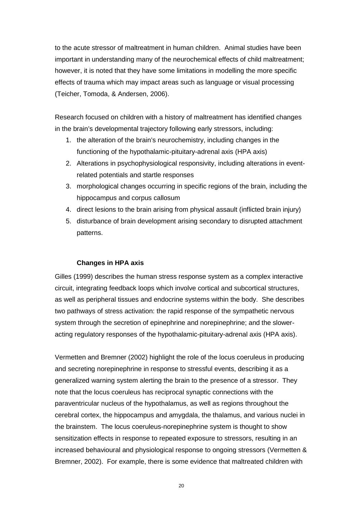to the acute stressor of maltreatment in human children. Animal studies have been important in understanding many of the neurochemical effects of child maltreatment; however, it is noted that they have some limitations in modelling the more specific effects of trauma which may impact areas such as language or visual processing (Teicher, Tomoda, & Andersen, 2006).

Research focused on children with a history of maltreatment has identified changes in the brain's developmental trajectory following early stressors, including:

- 1. the alteration of the brain's neurochemistry, including changes in the functioning of the hypothalamic-pituitary-adrenal axis (HPA axis)
- 2. Alterations in psychophysiological responsivity, including alterations in eventrelated potentials and startle responses
- 3. morphological changes occurring in specific regions of the brain, including the hippocampus and corpus callosum
- 4. direct lesions to the brain arising from physical assault (inflicted brain injury)
- 5. disturbance of brain development arising secondary to disrupted attachment patterns.

#### **Changes in HPA axis**

<span id="page-19-0"></span>Gilles (1999) describes the human stress response system as a complex interactive circuit, integrating feedback loops which involve cortical and subcortical structures, as well as peripheral tissues and endocrine systems within the body. She describes two pathways of stress activation: the rapid response of the sympathetic nervous system through the secretion of epinephrine and norepinephrine; and the sloweracting regulatory responses of the hypothalamic-pituitary-adrenal axis (HPA axis).

Vermetten and Bremner (2002) highlight the role of the locus coeruleus in producing and secreting norepinephrine in response to stressful events, describing it as a generalized warning system alerting the brain to the presence of a stressor. They note that the locus coeruleus has reciprocal synaptic connections with the paraventricular nucleus of the hypothalamus, as well as regions throughout the cerebral cortex, the hippocampus and amygdala, the thalamus, and various nuclei in the brainstem. The locus coeruleus-norepinephrine system is thought to show sensitization effects in response to repeated exposure to stressors, resulting in an increased behavioural and physiological response to ongoing stressors (Vermetten & Bremner, 2002). For example, there is some evidence that maltreated children with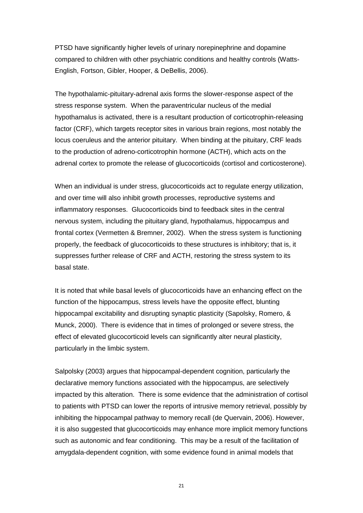PTSD have significantly higher levels of urinary norepinephrine and dopamine compared to children with other psychiatric conditions and healthy controls (Watts-English, Fortson, Gibler, Hooper, & DeBellis, 2006).

The hypothalamic-pituitary-adrenal axis forms the slower-response aspect of the stress response system. When the paraventricular nucleus of the medial hypothamalus is activated, there is a resultant production of corticotrophin-releasing factor (CRF), which targets receptor sites in various brain regions, most notably the locus coeruleus and the anterior pituitary. When binding at the pituitary, CRF leads to the production of adreno-corticotrophin hormone (ACTH), which acts on the adrenal cortex to promote the release of glucocorticoids (cortisol and corticosterone).

When an individual is under stress, glucocorticoids act to regulate energy utilization, and over time will also inhibit growth processes, reproductive systems and inflammatory responses. Glucocorticoids bind to feedback sites in the central nervous system, including the pituitary gland, hypothalamus, hippocampus and frontal cortex (Vermetten & Bremner, 2002). When the stress system is functioning properly, the feedback of glucocorticoids to these structures is inhibitory; that is, it suppresses further release of CRF and ACTH, restoring the stress system to its basal state.

It is noted that while basal levels of glucocorticoids have an enhancing effect on the function of the hippocampus, stress levels have the opposite effect, blunting hippocampal excitability and disrupting synaptic plasticity (Sapolsky, Romero, & Munck, 2000). There is evidence that in times of prolonged or severe stress, the effect of elevated glucocorticoid levels can significantly alter neural plasticity, particularly in the limbic system.

Salpolsky (2003) argues that hippocampal-dependent cognition, particularly the declarative memory functions associated with the hippocampus, are selectively impacted by this alteration. There is some evidence that the administration of cortisol to patients with PTSD can lower the reports of intrusive memory retrieval, possibly by inhibiting the hippocampal pathway to memory recall (de Quervain, 2006). However, it is also suggested that glucocorticoids may enhance more implicit memory functions such as autonomic and fear conditioning. This may be a result of the facilitation of amygdala-dependent cognition, with some evidence found in animal models that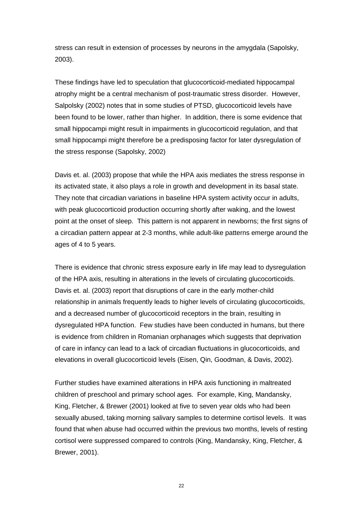stress can result in extension of processes by neurons in the amygdala (Sapolsky, 2003).

These findings have led to speculation that glucocorticoid-mediated hippocampal atrophy might be a central mechanism of post-traumatic stress disorder. However, Salpolsky (2002) notes that in some studies of PTSD, glucocorticoid levels have been found to be lower, rather than higher. In addition, there is some evidence that small hippocampi might result in impairments in glucocorticoid regulation, and that small hippocampi might therefore be a predisposing factor for later dysregulation of the stress response (Sapolsky, 2002)

Davis et. al. (2003) propose that while the HPA axis mediates the stress response in its activated state, it also plays a role in growth and development in its basal state. They note that circadian variations in baseline HPA system activity occur in adults, with peak glucocorticoid production occurring shortly after waking, and the lowest point at the onset of sleep. This pattern is not apparent in newborns; the first signs of a circadian pattern appear at 2-3 months, while adult-like patterns emerge around the ages of 4 to 5 years.

There is evidence that chronic stress exposure early in life may lead to dysregulation of the HPA axis, resulting in alterations in the levels of circulating glucocorticoids. Davis et. al. (2003) report that disruptions of care in the early mother-child relationship in animals frequently leads to higher levels of circulating glucocorticoids, and a decreased number of glucocorticoid receptors in the brain, resulting in dysregulated HPA function. Few studies have been conducted in humans, but there is evidence from children in Romanian orphanages which suggests that deprivation of care in infancy can lead to a lack of circadian fluctuations in glucocorticoids, and elevations in overall glucocorticoid levels (Eisen, Qin, Goodman, & Davis, 2002).

Further studies have examined alterations in HPA axis functioning in maltreated children of preschool and primary school ages. For example, King, Mandansky, King, Fletcher, & Brewer (2001) looked at five to seven year olds who had been sexually abused, taking morning salivary samples to determine cortisol levels. It was found that when abuse had occurred within the previous two months, levels of resting cortisol were suppressed compared to controls (King, Mandansky, King, Fletcher, & Brewer, 2001).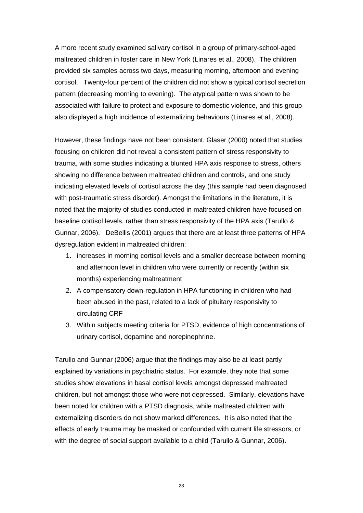A more recent study examined salivary cortisol in a group of primary-school-aged maltreated children in foster care in New York (Linares et al., 2008). The children provided six samples across two days, measuring morning, afternoon and evening cortisol. Twenty-four percent of the children did not show a typical cortisol secretion pattern (decreasing morning to evening). The atypical pattern was shown to be associated with failure to protect and exposure to domestic violence, and this group also displayed a high incidence of externalizing behaviours (Linares et al., 2008).

However, these findings have not been consistent. Glaser (2000) noted that studies focusing on children did not reveal a consistent pattern of stress responsivity to trauma, with some studies indicating a blunted HPA axis response to stress, others showing no difference between maltreated children and controls, and one study indicating elevated levels of cortisol across the day (this sample had been diagnosed with post-traumatic stress disorder). Amongst the limitations in the literature, it is noted that the majority of studies conducted in maltreated children have focused on baseline cortisol levels, rather than stress responsivity of the HPA axis (Tarullo & Gunnar, 2006). DeBellis (2001) argues that there are at least three patterns of HPA dysregulation evident in maltreated children:

- 1. increases in morning cortisol levels and a smaller decrease between morning and afternoon level in children who were currently or recently (within six months) experiencing maltreatment
- 2. A compensatory down-regulation in HPA functioning in children who had been abused in the past, related to a lack of pituitary responsivity to circulating CRF
- 3. Within subjects meeting criteria for PTSD, evidence of high concentrations of urinary cortisol, dopamine and norepinephrine.

Tarullo and Gunnar (2006) argue that the findings may also be at least partly explained by variations in psychiatric status. For example, they note that some studies show elevations in basal cortisol levels amongst depressed maltreated children, but not amongst those who were not depressed. Similarly, elevations have been noted for children with a PTSD diagnosis, while maltreated children with externalizing disorders do not show marked differences. It is also noted that the effects of early trauma may be masked or confounded with current life stressors, or with the degree of social support available to a child (Tarullo & Gunnar, 2006).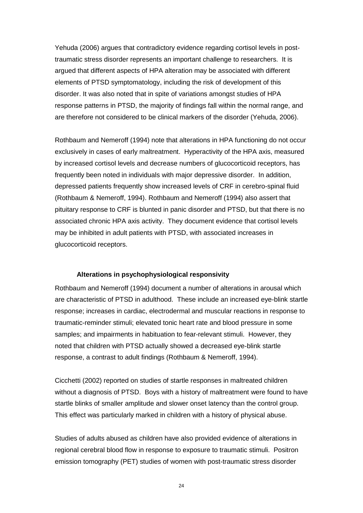Yehuda (2006) argues that contradictory evidence regarding cortisol levels in posttraumatic stress disorder represents an important challenge to researchers. It is argued that different aspects of HPA alteration may be associated with different elements of PTSD symptomatology, including the risk of development of this disorder. It was also noted that in spite of variations amongst studies of HPA response patterns in PTSD, the majority of findings fall within the normal range, and are therefore not considered to be clinical markers of the disorder (Yehuda, 2006).

Rothbaum and Nemeroff (1994) note that alterations in HPA functioning do not occur exclusively in cases of early maltreatment. Hyperactivity of the HPA axis, measured by increased cortisol levels and decrease numbers of glucocorticoid receptors, has frequently been noted in individuals with major depressive disorder. In addition, depressed patients frequently show increased levels of CRF in cerebro-spinal fluid (Rothbaum & Nemeroff, 1994). Rothbaum and Nemeroff (1994) also assert that pituitary response to CRF is blunted in panic disorder and PTSD, but that there is no associated chronic HPA axis activity. They document evidence that cortisol levels may be inhibited in adult patients with PTSD, with associated increases in glucocorticoid receptors.

#### **Alterations in psychophysiological responsivity**

<span id="page-23-0"></span>Rothbaum and Nemeroff (1994) document a number of alterations in arousal which are characteristic of PTSD in adulthood. These include an increased eye-blink startle response; increases in cardiac, electrodermal and muscular reactions in response to traumatic-reminder stimuli; elevated tonic heart rate and blood pressure in some samples; and impairments in habituation to fear-relevant stimuli. However, they noted that children with PTSD actually showed a decreased eye-blink startle response, a contrast to adult findings (Rothbaum & Nemeroff, 1994).

Cicchetti (2002) reported on studies of startle responses in maltreated children without a diagnosis of PTSD. Boys with a history of maltreatment were found to have startle blinks of smaller amplitude and slower onset latency than the control group. This effect was particularly marked in children with a history of physical abuse.

Studies of adults abused as children have also provided evidence of alterations in regional cerebral blood flow in response to exposure to traumatic stimuli. Positron emission tomography (PET) studies of women with post-traumatic stress disorder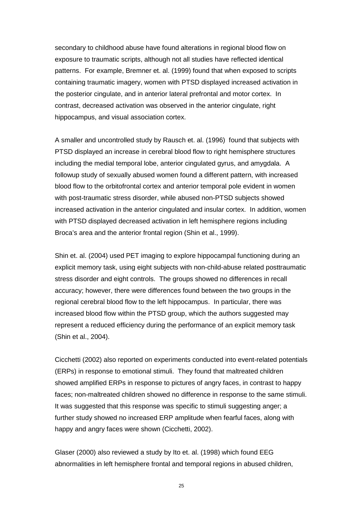secondary to childhood abuse have found alterations in regional blood flow on exposure to traumatic scripts, although not all studies have reflected identical patterns. For example, Bremner et. al. (1999) found that when exposed to scripts containing traumatic imagery, women with PTSD displayed increased activation in the posterior cingulate, and in anterior lateral prefrontal and motor cortex. In contrast, decreased activation was observed in the anterior cingulate, right hippocampus, and visual association cortex.

A smaller and uncontrolled study by Rausch et. al. (1996) found that subjects with PTSD displayed an increase in cerebral blood flow to right hemisphere structures including the medial temporal lobe, anterior cingulated gyrus, and amygdala. A followup study of sexually abused women found a different pattern, with increased blood flow to the orbitofrontal cortex and anterior temporal pole evident in women with post-traumatic stress disorder, while abused non-PTSD subjects showed increased activation in the anterior cingulated and insular cortex. In addition, women with PTSD displayed decreased activation in left hemisphere regions including Broca's area and the anterior frontal region (Shin et al., 1999).

Shin et. al. (2004) used PET imaging to explore hippocampal functioning during an explicit memory task, using eight subjects with non-child-abuse related posttraumatic stress disorder and eight controls. The groups showed no differences in recall accuracy; however, there were differences found between the two groups in the regional cerebral blood flow to the left hippocampus. In particular, there was increased blood flow within the PTSD group, which the authors suggested may represent a reduced efficiency during the performance of an explicit memory task (Shin et al., 2004).

Cicchetti (2002) also reported on experiments conducted into event-related potentials (ERPs) in response to emotional stimuli. They found that maltreated children showed amplified ERPs in response to pictures of angry faces, in contrast to happy faces; non-maltreated children showed no difference in response to the same stimuli. It was suggested that this response was specific to stimuli suggesting anger; a further study showed no increased ERP amplitude when fearful faces, along with happy and angry faces were shown (Cicchetti, 2002).

Glaser (2000) also reviewed a study by Ito et. al. (1998) which found EEG abnormalities in left hemisphere frontal and temporal regions in abused children,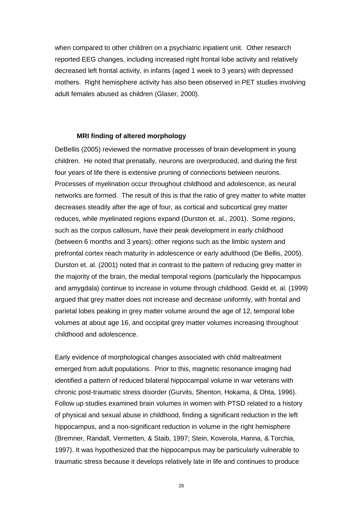when compared to other children on a psychiatric inpatient unit. Other research reported EEG changes, including increased right frontal lobe activity and relatively decreased left frontal activity, in infants (aged 1 week to 3 years) with depressed mothers. Right hemisphere activity has also been observed in PET studies involving adult females abused as children (Glaser, 2000).

#### **MRI finding of altered morphology**

<span id="page-25-0"></span>DeBellis (2005) reviewed the normative processes of brain development in young children. He noted that prenatally, neurons are overproduced, and during the first four years of life there is extensive pruning of connections between neurons. Processes of myelination occur throughout childhood and adolescence, as neural networks are formed. The result of this is that the ratio of grey matter to white matter decreases steadily after the age of four, as cortical and subcortical grey matter reduces, while myelinated regions expand (Durston et. al., 2001). Some regions, such as the corpus callosum, have their peak development in early childhood (between 6 months and 3 years); other regions such as the limbic system and prefrontal cortex reach maturity in adolescence or early adulthood (De Bellis, 2005). Durston et. al. (2001) noted that in contrast to the pattern of reducing grey matter in the majority of the brain, the medial temporal regions (particularly the hippocampus and amygdala) continue to increase in volume through childhood. Geidd et. al. (1999) argued that grey matter does not increase and decrease uniformly, with frontal and parietal lobes peaking in grey matter volume around the age of 12, temporal lobe volumes at about age 16, and occipital grey matter volumes increasing throughout childhood and adolescence.

Early evidence of morphological changes associated with child maltreatment emerged from adult populations. Prior to this, magnetic resonance imaging had identified a pattern of reduced bilateral hippocampal volume in war veterans with chronic post-traumatic stress disorder (Gurvits, Shenton, Hokama, & Ohta, 1996). Follow up studies examined brain volumes in women with PTSD related to a history of physical and sexual abuse in childhood, finding a significant reduction in the left hippocampus, and a non-significant reduction in volume in the right hemisphere (Bremner, Randall, Vermetten, & Staib, 1997; Stein, Koverola, Hanna, & Torchia, 1997). It was hypothesized that the hippocampus may be particularly vulnerable to traumatic stress because it develops relatively late in life and continues to produce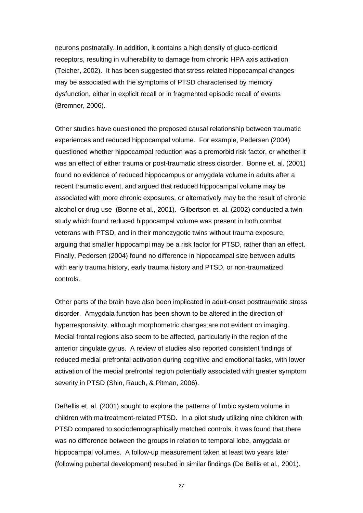neurons postnatally. In addition, it contains a high density of gluco-corticoid receptors, resulting in vulnerability to damage from chronic HPA axis activation (Teicher, 2002). It has been suggested that stress related hippocampal changes may be associated with the symptoms of PTSD characterised by memory dysfunction, either in explicit recall or in fragmented episodic recall of events (Bremner, 2006).

Other studies have questioned the proposed causal relationship between traumatic experiences and reduced hippocampal volume. For example, Pedersen (2004) questioned whether hippocampal reduction was a premorbid risk factor, or whether it was an effect of either trauma or post-traumatic stress disorder. Bonne et. al. (2001) found no evidence of reduced hippocampus or amygdala volume in adults after a recent traumatic event, and argued that reduced hippocampal volume may be associated with more chronic exposures, or alternatively may be the result of chronic alcohol or drug use (Bonne et al., 2001). Gilbertson et. al. (2002) conducted a twin study which found reduced hippocampal volume was present in both combat veterans with PTSD, and in their monozygotic twins without trauma exposure, arguing that smaller hippocampi may be a risk factor for PTSD, rather than an effect. Finally, Pedersen (2004) found no difference in hippocampal size between adults with early trauma history, early trauma history and PTSD, or non-traumatized controls.

Other parts of the brain have also been implicated in adult-onset posttraumatic stress disorder. Amygdala function has been shown to be altered in the direction of hyperresponsivity, although morphometric changes are not evident on imaging. Medial frontal regions also seem to be affected, particularly in the region of the anterior cingulate gyrus. A review of studies also reported consistent findings of reduced medial prefrontal activation during cognitive and emotional tasks, with lower activation of the medial prefrontal region potentially associated with greater symptom severity in PTSD (Shin, Rauch, & Pitman, 2006).

DeBellis et. al. (2001) sought to explore the patterns of limbic system volume in children with maltreatment-related PTSD. In a pilot study utilizing nine children with PTSD compared to sociodemographically matched controls, it was found that there was no difference between the groups in relation to temporal lobe, amygdala or hippocampal volumes. A follow-up measurement taken at least two years later (following pubertal development) resulted in similar findings (De Bellis et al., 2001).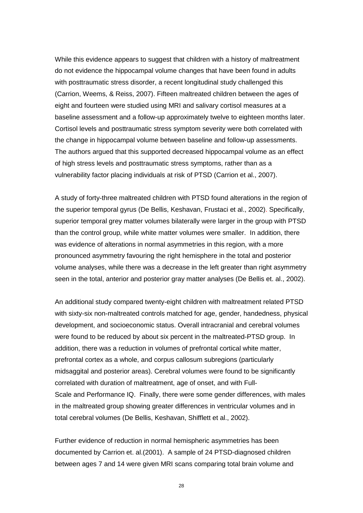While this evidence appears to suggest that children with a history of maltreatment do not evidence the hippocampal volume changes that have been found in adults with posttraumatic stress disorder, a recent longitudinal study challenged this (Carrion, Weems, & Reiss, 2007). Fifteen maltreated children between the ages of eight and fourteen were studied using MRI and salivary cortisol measures at a baseline assessment and a follow-up approximately twelve to eighteen months later. Cortisol levels and posttraumatic stress symptom severity were both correlated with the change in hippocampal volume between baseline and follow-up assessments. The authors argued that this supported decreased hippocampal volume as an effect of high stress levels and posttraumatic stress symptoms, rather than as a vulnerability factor placing individuals at risk of PTSD (Carrion et al., 2007).

A study of forty-three maltreated children with PTSD found alterations in the region of the superior temporal gyrus (De Bellis, Keshavan, Frustaci et al., 2002). Specifically, superior temporal grey matter volumes bilaterally were larger in the group with PTSD than the control group, while white matter volumes were smaller. In addition, there was evidence of alterations in normal asymmetries in this region, with a more pronounced asymmetry favouring the right hemisphere in the total and posterior volume analyses, while there was a decrease in the left greater than right asymmetry seen in the total, anterior and posterior gray matter analyses (De Bellis et. al., 2002).

An additional study compared twenty-eight children with maltreatment related PTSD with sixty-six non-maltreated controls matched for age, gender, handedness, physical development, and socioeconomic status. Overall intracranial and cerebral volumes were found to be reduced by about six percent in the maltreated-PTSD group. In addition, there was a reduction in volumes of prefrontal cortical white matter, prefrontal cortex as a whole, and corpus callosum subregions (particularly midsaggital and posterior areas). Cerebral volumes were found to be significantly correlated with duration of maltreatment, age of onset, and with Full-Scale and Performance IQ. Finally, there were some gender differences, with males in the maltreated group showing greater differences in ventricular volumes and in total cerebral volumes (De Bellis, Keshavan, Shifflett et al., 2002).

Further evidence of reduction in normal hemispheric asymmetries has been documented by Carrion et. al.(2001). A sample of 24 PTSD-diagnosed children between ages 7 and 14 were given MRI scans comparing total brain volume and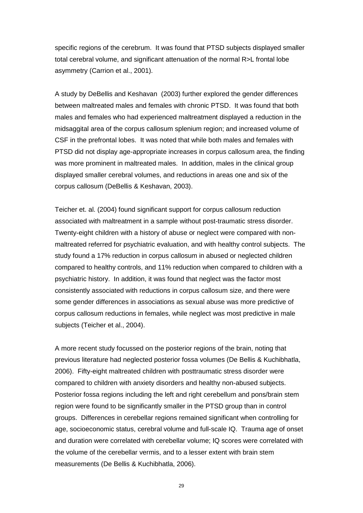specific regions of the cerebrum. It was found that PTSD subjects displayed smaller total cerebral volume, and significant attenuation of the normal R>L frontal lobe asymmetry (Carrion et al., 2001).

A study by DeBellis and Keshavan (2003) further explored the gender differences between maltreated males and females with chronic PTSD. It was found that both males and females who had experienced maltreatment displayed a reduction in the midsaggital area of the corpus callosum splenium region; and increased volume of CSF in the prefrontal lobes. It was noted that while both males and females with PTSD did not display age-appropriate increases in corpus callosum area, the finding was more prominent in maltreated males. In addition, males in the clinical group displayed smaller cerebral volumes, and reductions in areas one and six of the corpus callosum (DeBellis & Keshavan, 2003).

Teicher et. al. (2004) found significant support for corpus callosum reduction associated with maltreatment in a sample without post-traumatic stress disorder. Twenty-eight children with a history of abuse or neglect were compared with nonmaltreated referred for psychiatric evaluation, and with healthy control subjects. The study found a 17% reduction in corpus callosum in abused or neglected children compared to healthy controls, and 11% reduction when compared to children with a psychiatric history. In addition, it was found that neglect was the factor most consistently associated with reductions in corpus callosum size, and there were some gender differences in associations as sexual abuse was more predictive of corpus callosum reductions in females, while neglect was most predictive in male subjects (Teicher et al., 2004).

A more recent study focussed on the posterior regions of the brain, noting that previous literature had neglected posterior fossa volumes (De Bellis & Kuchibhatla, 2006). Fifty-eight maltreated children with posttraumatic stress disorder were compared to children with anxiety disorders and healthy non-abused subjects. Posterior fossa regions including the left and right cerebellum and pons/brain stem region were found to be significantly smaller in the PTSD group than in control groups. Differences in cerebellar regions remained significant when controlling for age, socioeconomic status, cerebral volume and full-scale IQ. Trauma age of onset and duration were correlated with cerebellar volume; IQ scores were correlated with the volume of the cerebellar vermis, and to a lesser extent with brain stem measurements (De Bellis & Kuchibhatla, 2006).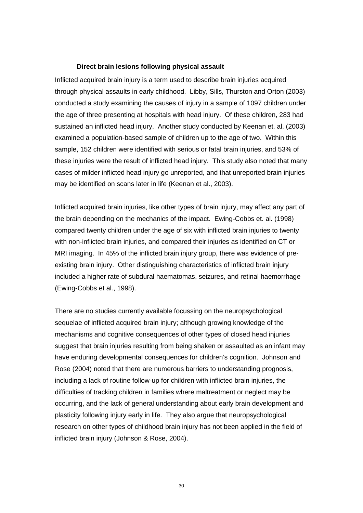#### **Direct brain lesions following physical assault**

<span id="page-29-0"></span>Inflicted acquired brain injury is a term used to describe brain injuries acquired through physical assaults in early childhood. Libby, Sills, Thurston and Orton (2003) conducted a study examining the causes of injury in a sample of 1097 children under the age of three presenting at hospitals with head injury. Of these children, 283 had sustained an inflicted head injury. Another study conducted by Keenan et. al. (2003) examined a population-based sample of children up to the age of two. Within this sample, 152 children were identified with serious or fatal brain injuries, and 53% of these injuries were the result of inflicted head injury. This study also noted that many cases of milder inflicted head injury go unreported, and that unreported brain injuries may be identified on scans later in life (Keenan et al., 2003).

Inflicted acquired brain injuries, like other types of brain injury, may affect any part of the brain depending on the mechanics of the impact. Ewing-Cobbs et. al. (1998) compared twenty children under the age of six with inflicted brain injuries to twenty with non-inflicted brain injuries, and compared their injuries as identified on CT or MRI imaging. In 45% of the inflicted brain injury group, there was evidence of preexisting brain injury. Other distinguishing characteristics of inflicted brain injury included a higher rate of subdural haematomas, seizures, and retinal haemorrhage (Ewing-Cobbs et al., 1998).

There are no studies currently available focussing on the neuropsychological sequelae of inflicted acquired brain injury; although growing knowledge of the mechanisms and cognitive consequences of other types of closed head injuries suggest that brain injuries resulting from being shaken or assaulted as an infant may have enduring developmental consequences for children's cognition. Johnson and Rose (2004) noted that there are numerous barriers to understanding prognosis, including a lack of routine follow-up for children with inflicted brain injuries, the difficulties of tracking children in families where maltreatment or neglect may be occurring, and the lack of general understanding about early brain development and plasticity following injury early in life. They also argue that neuropsychological research on other types of childhood brain injury has not been applied in the field of inflicted brain injury (Johnson & Rose, 2004).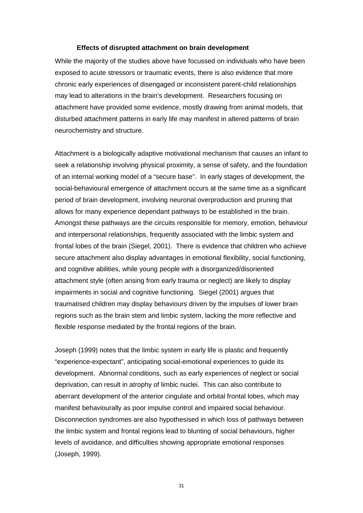#### **Effects of disrupted attachment on brain development**

<span id="page-30-0"></span>While the majority of the studies above have focussed on individuals who have been exposed to acute stressors or traumatic events, there is also evidence that more chronic early experiences of disengaged or inconsistent parent-child relationships may lead to alterations in the brain's development. Researchers focusing on attachment have provided some evidence, mostly drawing from animal models, that disturbed attachment patterns in early life may manifest in altered patterns of brain neurochemistry and structure.

Attachment is a biologically adaptive motivational mechanism that causes an infant to seek a relationship involving physical proximity, a sense of safety, and the foundation of an internal working model of a "secure base". In early stages of development, the social-behavioural emergence of attachment occurs at the same time as a significant period of brain development, involving neuronal overproduction and pruning that allows for many experience dependant pathways to be established in the brain. Amongst these pathways are the circuits responsible for memory, emotion, behaviour and interpersonal relationships, frequently associated with the limbic system and frontal lobes of the brain (Siegel, 2001). There is evidence that children who achieve secure attachment also display advantages in emotional flexibility, social functioning, and cognitive abilities, while young people with a disorganized/disoriented attachment style (often arising from early trauma or neglect) are likely to display impairments in social and cognitive functioning. Siegel (2001) argues that traumatised children may display behaviours driven by the impulses of lower brain regions such as the brain stem and limbic system, lacking the more reflective and flexible response mediated by the frontal regions of the brain.

Joseph (1999) notes that the limbic system in early life is plastic and frequently "experience-expectant", anticipating social-emotional experiences to guide its development. Abnormal conditions, such as early experiences of neglect or social deprivation, can result in atrophy of limbic nuclei. This can also contribute to aberrant development of the anterior cingulate and orbital frontal lobes, which may manifest behaviourally as poor impulse control and impaired social behaviour. Disconnection syndromes are also hypothesised in which loss of pathways between the limbic system and frontal regions lead to blunting of social behaviours, higher levels of avoidance, and difficulties showing appropriate emotional responses (Joseph, 1999).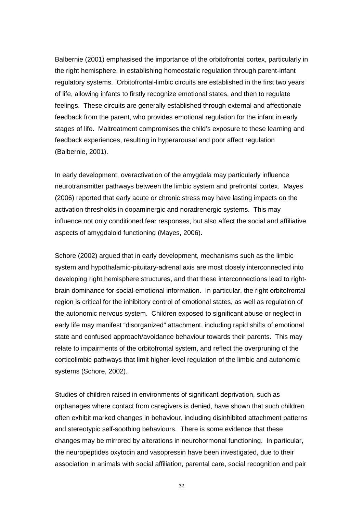Balbernie (2001) emphasised the importance of the orbitofrontal cortex, particularly in the right hemisphere, in establishing homeostatic regulation through parent-infant regulatory systems. Orbitofrontal-limbic circuits are established in the first two years of life, allowing infants to firstly recognize emotional states, and then to regulate feelings. These circuits are generally established through external and affectionate feedback from the parent, who provides emotional regulation for the infant in early stages of life. Maltreatment compromises the child's exposure to these learning and feedback experiences, resulting in hyperarousal and poor affect regulation (Balbernie, 2001).

In early development, overactivation of the amygdala may particularly influence neurotransmitter pathways between the limbic system and prefrontal cortex. Mayes (2006) reported that early acute or chronic stress may have lasting impacts on the activation thresholds in dopaminergic and noradrenergic systems. This may influence not only conditioned fear responses, but also affect the social and affiliative aspects of amygdaloid functioning (Mayes, 2006).

Schore (2002) argued that in early development, mechanisms such as the limbic system and hypothalamic-pituitary-adrenal axis are most closely interconnected into developing right hemisphere structures, and that these interconnections lead to rightbrain dominance for social-emotional information. In particular, the right orbitofrontal region is critical for the inhibitory control of emotional states, as well as regulation of the autonomic nervous system. Children exposed to significant abuse or neglect in early life may manifest "disorganized" attachment, including rapid shifts of emotional state and confused approach/avoidance behaviour towards their parents. This may relate to impairments of the orbitofrontal system, and reflect the overpruning of the corticolimbic pathways that limit higher-level regulation of the limbic and autonomic systems (Schore, 2002).

Studies of children raised in environments of significant deprivation, such as orphanages where contact from caregivers is denied, have shown that such children often exhibit marked changes in behaviour, including disinhibited attachment patterns and stereotypic self-soothing behaviours. There is some evidence that these changes may be mirrored by alterations in neurohormonal functioning. In particular, the neuropeptides oxytocin and vasopressin have been investigated, due to their association in animals with social affiliation, parental care, social recognition and pair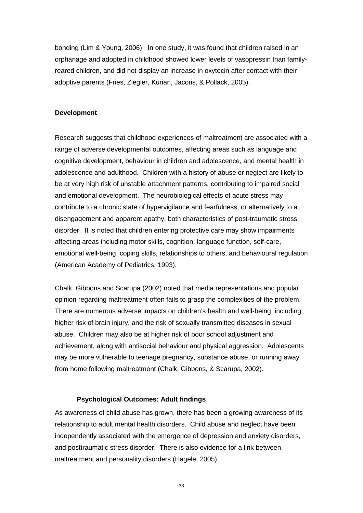bonding (Lim & Young, 2006). In one study, it was found that children raised in an orphanage and adopted in childhood showed lower levels of vasopressin than familyreared children, and did not display an increase in oxytocin after contact with their adoptive parents (Fries, Ziegler, Kurian, Jacoris, & Pollack, 2005).

#### <span id="page-32-0"></span>**Development**

Research suggests that childhood experiences of maltreatment are associated with a range of adverse developmental outcomes, affecting areas such as language and cognitive development, behaviour in children and adolescence, and mental health in adolescence and adulthood. Children with a history of abuse or neglect are likely to be at very high risk of unstable attachment patterns, contributing to impaired social and emotional development. The neurobiological effects of acute stress may contribute to a chronic state of hypervigilance and fearfulness, or alternatively to a disengagement and apparent apathy, both characteristics of post-traumatic stress disorder. It is noted that children entering protective care may show impairments affecting areas including motor skills, cognition, language function, self-care, emotional well-being, coping skills, relationships to others, and behavioural regulation (American Academy of Pediatrics, 1993).

Chalk, Gibbons and Scarupa (2002) noted that media representations and popular opinion regarding maltreatment often fails to grasp the complexities of the problem. There are numerous adverse impacts on children's health and well-being, including higher risk of brain injury, and the risk of sexually transmitted diseases in sexual abuse. Children may also be at higher risk of poor school adjustment and achievement, along with antisocial behaviour and physical aggression. Adolescents may be more vulnerable to teenage pregnancy, substance abuse, or running away from home following maltreatment (Chalk, Gibbons, & Scarupa, 2002).

#### **Psychological Outcomes: Adult findings**

<span id="page-32-1"></span>As awareness of child abuse has grown, there has been a growing awareness of its relationship to adult mental health disorders. Child abuse and neglect have been independently associated with the emergence of depression and anxiety disorders, and posttraumatic stress disorder. There is also evidence for a link between maltreatment and personality disorders (Hagele, 2005).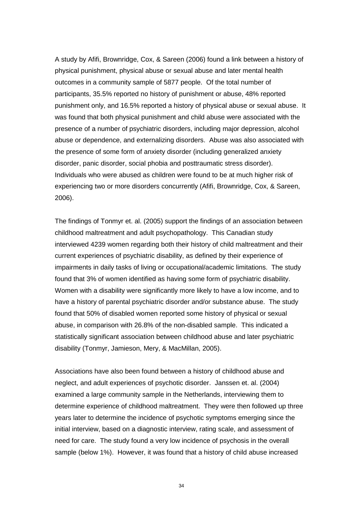A study by Afifi, Brownridge, Cox, & Sareen (2006) found a link between a history of physical punishment, physical abuse or sexual abuse and later mental health outcomes in a community sample of 5877 people. Of the total number of participants, 35.5% reported no history of punishment or abuse, 48% reported punishment only, and 16.5% reported a history of physical abuse or sexual abuse. It was found that both physical punishment and child abuse were associated with the presence of a number of psychiatric disorders, including major depression, alcohol abuse or dependence, and externalizing disorders. Abuse was also associated with the presence of some form of anxiety disorder (including generalized anxiety disorder, panic disorder, social phobia and posttraumatic stress disorder). Individuals who were abused as children were found to be at much higher risk of experiencing two or more disorders concurrently (Afifi, Brownridge, Cox, & Sareen, 2006).

The findings of Tonmyr et. al. (2005) support the findings of an association between childhood maltreatment and adult psychopathology. This Canadian study interviewed 4239 women regarding both their history of child maltreatment and their current experiences of psychiatric disability, as defined by their experience of impairments in daily tasks of living or occupational/academic limitations. The study found that 3% of women identified as having some form of psychiatric disability. Women with a disability were significantly more likely to have a low income, and to have a history of parental psychiatric disorder and/or substance abuse. The study found that 50% of disabled women reported some history of physical or sexual abuse, in comparison with 26.8% of the non-disabled sample. This indicated a statistically significant association between childhood abuse and later psychiatric disability (Tonmyr, Jamieson, Mery, & MacMillan, 2005).

Associations have also been found between a history of childhood abuse and neglect, and adult experiences of psychotic disorder. Janssen et. al. (2004) examined a large community sample in the Netherlands, interviewing them to determine experience of childhood maltreatment. They were then followed up three years later to determine the incidence of psychotic symptoms emerging since the initial interview, based on a diagnostic interview, rating scale, and assessment of need for care. The study found a very low incidence of psychosis in the overall sample (below 1%). However, it was found that a history of child abuse increased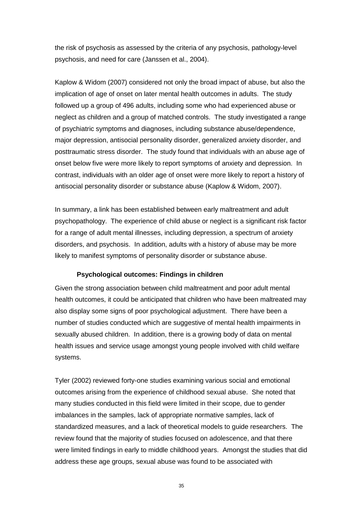the risk of psychosis as assessed by the criteria of any psychosis, pathology-level psychosis, and need for care (Janssen et al., 2004).

Kaplow & Widom (2007) considered not only the broad impact of abuse, but also the implication of age of onset on later mental health outcomes in adults. The study followed up a group of 496 adults, including some who had experienced abuse or neglect as children and a group of matched controls. The study investigated a range of psychiatric symptoms and diagnoses, including substance abuse/dependence, major depression, antisocial personality disorder, generalized anxiety disorder, and posttraumatic stress disorder. The study found that individuals with an abuse age of onset below five were more likely to report symptoms of anxiety and depression. In contrast, individuals with an older age of onset were more likely to report a history of antisocial personality disorder or substance abuse (Kaplow & Widom, 2007).

In summary, a link has been established between early maltreatment and adult psychopathology. The experience of child abuse or neglect is a significant risk factor for a range of adult mental illnesses, including depression, a spectrum of anxiety disorders, and psychosis. In addition, adults with a history of abuse may be more likely to manifest symptoms of personality disorder or substance abuse.

#### **Psychological outcomes: Findings in children**

<span id="page-34-0"></span>Given the strong association between child maltreatment and poor adult mental health outcomes, it could be anticipated that children who have been maltreated may also display some signs of poor psychological adjustment. There have been a number of studies conducted which are suggestive of mental health impairments in sexually abused children. In addition, there is a growing body of data on mental health issues and service usage amongst young people involved with child welfare systems.

Tyler (2002) reviewed forty-one studies examining various social and emotional outcomes arising from the experience of childhood sexual abuse. She noted that many studies conducted in this field were limited in their scope, due to gender imbalances in the samples, lack of appropriate normative samples, lack of standardized measures, and a lack of theoretical models to guide researchers. The review found that the majority of studies focused on adolescence, and that there were limited findings in early to middle childhood years. Amongst the studies that did address these age groups, sexual abuse was found to be associated with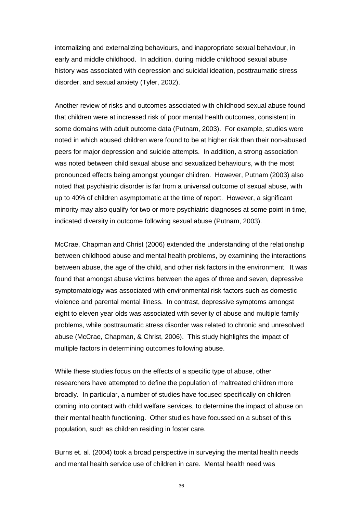internalizing and externalizing behaviours, and inappropriate sexual behaviour, in early and middle childhood. In addition, during middle childhood sexual abuse history was associated with depression and suicidal ideation, posttraumatic stress disorder, and sexual anxiety (Tyler, 2002).

Another review of risks and outcomes associated with childhood sexual abuse found that children were at increased risk of poor mental health outcomes, consistent in some domains with adult outcome data (Putnam, 2003). For example, studies were noted in which abused children were found to be at higher risk than their non-abused peers for major depression and suicide attempts. In addition, a strong association was noted between child sexual abuse and sexualized behaviours, with the most pronounced effects being amongst younger children. However, Putnam (2003) also noted that psychiatric disorder is far from a universal outcome of sexual abuse, with up to 40% of children asymptomatic at the time of report. However, a significant minority may also qualify for two or more psychiatric diagnoses at some point in time, indicated diversity in outcome following sexual abuse (Putnam, 2003).

McCrae, Chapman and Christ (2006) extended the understanding of the relationship between childhood abuse and mental health problems, by examining the interactions between abuse, the age of the child, and other risk factors in the environment. It was found that amongst abuse victims between the ages of three and seven, depressive symptomatology was associated with environmental risk factors such as domestic violence and parental mental illness. In contrast, depressive symptoms amongst eight to eleven year olds was associated with severity of abuse and multiple family problems, while posttraumatic stress disorder was related to chronic and unresolved abuse (McCrae, Chapman, & Christ, 2006). This study highlights the impact of multiple factors in determining outcomes following abuse.

While these studies focus on the effects of a specific type of abuse, other researchers have attempted to define the population of maltreated children more broadly. In particular, a number of studies have focused specifically on children coming into contact with child welfare services, to determine the impact of abuse on their mental health functioning. Other studies have focussed on a subset of this population, such as children residing in foster care.

Burns et. al. (2004) took a broad perspective in surveying the mental health needs and mental health service use of children in care. Mental health need was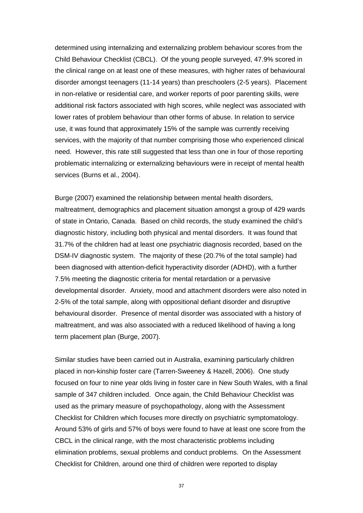determined using internalizing and externalizing problem behaviour scores from the Child Behaviour Checklist (CBCL). Of the young people surveyed, 47.9% scored in the clinical range on at least one of these measures, with higher rates of behavioural disorder amongst teenagers (11-14 years) than preschoolers (2-5 years). Placement in non-relative or residential care, and worker reports of poor parenting skills, were additional risk factors associated with high scores, while neglect was associated with lower rates of problem behaviour than other forms of abuse. In relation to service use, it was found that approximately 15% of the sample was currently receiving services, with the majority of that number comprising those who experienced clinical need. However, this rate still suggested that less than one in four of those reporting problematic internalizing or externalizing behaviours were in receipt of mental health services (Burns et al., 2004).

Burge (2007) examined the relationship between mental health disorders, maltreatment, demographics and placement situation amongst a group of 429 wards of state in Ontario, Canada. Based on child records, the study examined the child's diagnostic history, including both physical and mental disorders. It was found that 31.7% of the children had at least one psychiatric diagnosis recorded, based on the DSM-IV diagnostic system. The majority of these (20.7% of the total sample) had been diagnosed with attention-deficit hyperactivity disorder (ADHD), with a further 7.5% meeting the diagnostic criteria for mental retardation or a pervasive developmental disorder. Anxiety, mood and attachment disorders were also noted in 2-5% of the total sample, along with oppositional defiant disorder and disruptive behavioural disorder. Presence of mental disorder was associated with a history of maltreatment, and was also associated with a reduced likelihood of having a long term placement plan (Burge, 2007).

Similar studies have been carried out in Australia, examining particularly children placed in non-kinship foster care (Tarren-Sweeney & Hazell, 2006). One study focused on four to nine year olds living in foster care in New South Wales, with a final sample of 347 children included. Once again, the Child Behaviour Checklist was used as the primary measure of psychopathology, along with the Assessment Checklist for Children which focuses more directly on psychiatric symptomatology. Around 53% of girls and 57% of boys were found to have at least one score from the CBCL in the clinical range, with the most characteristic problems including elimination problems, sexual problems and conduct problems. On the Assessment Checklist for Children, around one third of children were reported to display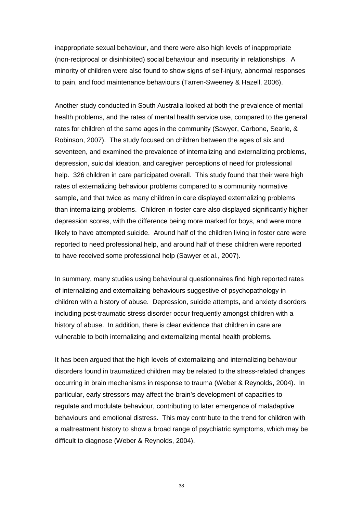inappropriate sexual behaviour, and there were also high levels of inappropriate (non-reciprocal or disinhibited) social behaviour and insecurity in relationships. A minority of children were also found to show signs of self-injury, abnormal responses to pain, and food maintenance behaviours (Tarren-Sweeney & Hazell, 2006).

Another study conducted in South Australia looked at both the prevalence of mental health problems, and the rates of mental health service use, compared to the general rates for children of the same ages in the community (Sawyer, Carbone, Searle, & Robinson, 2007). The study focused on children between the ages of six and seventeen, and examined the prevalence of internalizing and externalizing problems, depression, suicidal ideation, and caregiver perceptions of need for professional help. 326 children in care participated overall. This study found that their were high rates of externalizing behaviour problems compared to a community normative sample, and that twice as many children in care displayed externalizing problems than internalizing problems. Children in foster care also displayed significantly higher depression scores, with the difference being more marked for boys, and were more likely to have attempted suicide. Around half of the children living in foster care were reported to need professional help, and around half of these children were reported to have received some professional help (Sawyer et al., 2007).

In summary, many studies using behavioural questionnaires find high reported rates of internalizing and externalizing behaviours suggestive of psychopathology in children with a history of abuse. Depression, suicide attempts, and anxiety disorders including post-traumatic stress disorder occur frequently amongst children with a history of abuse. In addition, there is clear evidence that children in care are vulnerable to both internalizing and externalizing mental health problems.

It has been argued that the high levels of externalizing and internalizing behaviour disorders found in traumatized children may be related to the stress-related changes occurring in brain mechanisms in response to trauma (Weber & Reynolds, 2004). In particular, early stressors may affect the brain's development of capacities to regulate and modulate behaviour, contributing to later emergence of maladaptive behaviours and emotional distress. This may contribute to the trend for children with a maltreatment history to show a broad range of psychiatric symptoms, which may be difficult to diagnose (Weber & Reynolds, 2004).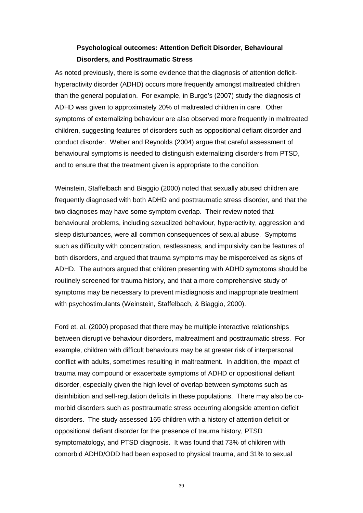# **Psychological outcomes: Attention Deficit Disorder, Behavioural Disorders, and Posttraumatic Stress**

As noted previously, there is some evidence that the diagnosis of attention deficithyperactivity disorder (ADHD) occurs more frequently amongst maltreated children than the general population. For example, in Burge's (2007) study the diagnosis of ADHD was given to approximately 20% of maltreated children in care. Other symptoms of externalizing behaviour are also observed more frequently in maltreated children, suggesting features of disorders such as oppositional defiant disorder and conduct disorder. Weber and Reynolds (2004) argue that careful assessment of behavioural symptoms is needed to distinguish externalizing disorders from PTSD, and to ensure that the treatment given is appropriate to the condition.

Weinstein, Staffelbach and Biaggio (2000) noted that sexually abused children are frequently diagnosed with both ADHD and posttraumatic stress disorder, and that the two diagnoses may have some symptom overlap. Their review noted that behavioural problems, including sexualized behaviour, hyperactivity, aggression and sleep disturbances, were all common consequences of sexual abuse. Symptoms such as difficulty with concentration, restlessness, and impulsivity can be features of both disorders, and argued that trauma symptoms may be misperceived as signs of ADHD. The authors argued that children presenting with ADHD symptoms should be routinely screened for trauma history, and that a more comprehensive study of symptoms may be necessary to prevent misdiagnosis and inappropriate treatment with psychostimulants (Weinstein, Staffelbach, & Biaggio, 2000).

Ford et. al. (2000) proposed that there may be multiple interactive relationships between disruptive behaviour disorders, maltreatment and posttraumatic stress. For example, children with difficult behaviours may be at greater risk of interpersonal conflict with adults, sometimes resulting in maltreatment. In addition, the impact of trauma may compound or exacerbate symptoms of ADHD or oppositional defiant disorder, especially given the high level of overlap between symptoms such as disinhibition and self-regulation deficits in these populations. There may also be comorbid disorders such as posttraumatic stress occurring alongside attention deficit disorders. The study assessed 165 children with a history of attention deficit or oppositional defiant disorder for the presence of trauma history, PTSD symptomatology, and PTSD diagnosis. It was found that 73% of children with comorbid ADHD/ODD had been exposed to physical trauma, and 31% to sexual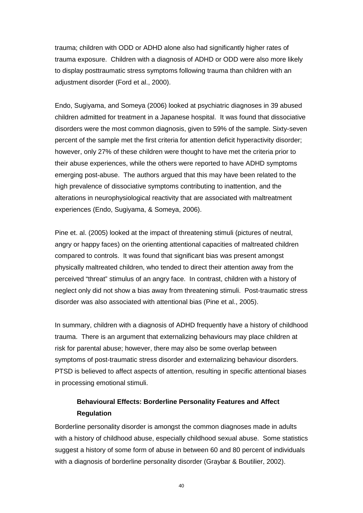trauma; children with ODD or ADHD alone also had significantly higher rates of trauma exposure. Children with a diagnosis of ADHD or ODD were also more likely to display posttraumatic stress symptoms following trauma than children with an adjustment disorder (Ford et al., 2000).

Endo, Sugiyama, and Someya (2006) looked at psychiatric diagnoses in 39 abused children admitted for treatment in a Japanese hospital. It was found that dissociative disorders were the most common diagnosis, given to 59% of the sample. Sixty-seven percent of the sample met the first criteria for attention deficit hyperactivity disorder; however, only 27% of these children were thought to have met the criteria prior to their abuse experiences, while the others were reported to have ADHD symptoms emerging post-abuse. The authors argued that this may have been related to the high prevalence of dissociative symptoms contributing to inattention, and the alterations in neurophysiological reactivity that are associated with maltreatment experiences (Endo, Sugiyama, & Someya, 2006).

Pine et. al. (2005) looked at the impact of threatening stimuli (pictures of neutral, angry or happy faces) on the orienting attentional capacities of maltreated children compared to controls. It was found that significant bias was present amongst physically maltreated children, who tended to direct their attention away from the perceived "threat" stimulus of an angry face. In contrast, children with a history of neglect only did not show a bias away from threatening stimuli. Post-traumatic stress disorder was also associated with attentional bias (Pine et al., 2005).

In summary, children with a diagnosis of ADHD frequently have a history of childhood trauma. There is an argument that externalizing behaviours may place children at risk for parental abuse; however, there may also be some overlap between symptoms of post-traumatic stress disorder and externalizing behaviour disorders. PTSD is believed to affect aspects of attention, resulting in specific attentional biases in processing emotional stimuli.

## **Behavioural Effects: Borderline Personality Features and Affect Regulation**

Borderline personality disorder is amongst the common diagnoses made in adults with a history of childhood abuse, especially childhood sexual abuse. Some statistics suggest a history of some form of abuse in between 60 and 80 percent of individuals with a diagnosis of borderline personality disorder (Graybar & Boutilier, 2002).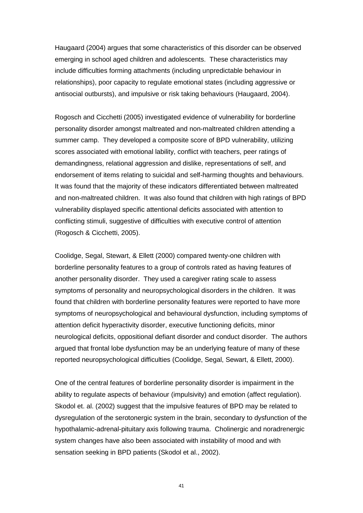Haugaard (2004) argues that some characteristics of this disorder can be observed emerging in school aged children and adolescents. These characteristics may include difficulties forming attachments (including unpredictable behaviour in relationships), poor capacity to regulate emotional states (including aggressive or antisocial outbursts), and impulsive or risk taking behaviours (Haugaard, 2004).

Rogosch and Cicchetti (2005) investigated evidence of vulnerability for borderline personality disorder amongst maltreated and non-maltreated children attending a summer camp. They developed a composite score of BPD vulnerability, utilizing scores associated with emotional lability, conflict with teachers, peer ratings of demandingness, relational aggression and dislike, representations of self, and endorsement of items relating to suicidal and self-harming thoughts and behaviours. It was found that the majority of these indicators differentiated between maltreated and non-maltreated children. It was also found that children with high ratings of BPD vulnerability displayed specific attentional deficits associated with attention to conflicting stimuli, suggestive of difficulties with executive control of attention (Rogosch & Cicchetti, 2005).

Coolidge, Segal, Stewart, & Ellett (2000) compared twenty-one children with borderline personality features to a group of controls rated as having features of another personality disorder. They used a caregiver rating scale to assess symptoms of personality and neuropsychological disorders in the children. It was found that children with borderline personality features were reported to have more symptoms of neuropsychological and behavioural dysfunction, including symptoms of attention deficit hyperactivity disorder, executive functioning deficits, minor neurological deficits, oppositional defiant disorder and conduct disorder. The authors argued that frontal lobe dysfunction may be an underlying feature of many of these reported neuropsychological difficulties (Coolidge, Segal, Sewart, & Ellett, 2000).

One of the central features of borderline personality disorder is impairment in the ability to regulate aspects of behaviour (impulsivity) and emotion (affect regulation). Skodol et. al. (2002) suggest that the impulsive features of BPD may be related to dysregulation of the serotonergic system in the brain, secondary to dysfunction of the hypothalamic-adrenal-pituitary axis following trauma. Cholinergic and noradrenergic system changes have also been associated with instability of mood and with sensation seeking in BPD patients (Skodol et al., 2002).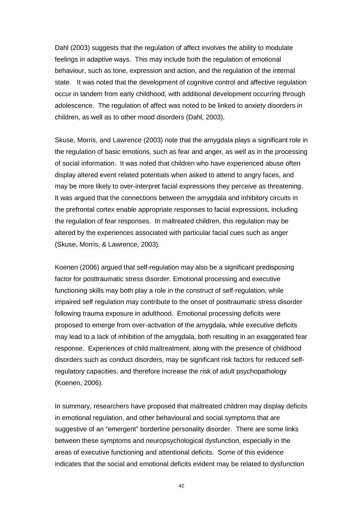Dahl (2003) suggests that the regulation of affect involves the ability to modulate feelings in adaptive ways. This may include both the regulation of emotional behaviour, such as tone, expression and action, and the regulation of the internal state. It was noted that the development of cognitive control and affective regulation occur in tandem from early childhood, with additional development occurring through adolescence. The regulation of affect was noted to be linked to anxiety disorders in children, as well as to other mood disorders (Dahl, 2003).

Skuse, Morris, and Lawrence (2003) note that the amygdala plays a significant role in the regulation of basic emotions, such as fear and anger, as well as in the processing of social information. It was noted that children who have experienced abuse often display altered event related potentials when asked to attend to angry faces, and may be more likely to over-interpret facial expressions they perceive as threatening. It was argued that the connections between the amygdala and inhibitory circuits in the prefrontal cortex enable appropriate responses to facial expressions, including the regulation of fear responses. In maltreated children, this regulation may be altered by the experiences associated with particular facial cues such as anger (Skuse, Morris, & Lawrence, 2003).

Koenen (2006) argued that self-regulation may also be a significant predisposing factor for posttraumatic stress disorder. Emotional processing and executive functioning skills may both play a role in the construct of self-regulation, while impaired self regulation may contribute to the onset of posttraumatic stress disorder following trauma exposure in adulthood. Emotional processing deficits were proposed to emerge from over-activation of the amygdala, while executive deficits may lead to a lack of inhibition of the amygdala, both resulting in an exaggerated fear response. Experiences of child maltreatment, along with the presence of childhood disorders such as conduct disorders, may be significant risk factors for reduced selfregulatory capacities, and therefore increase the risk of adult psychopathology (Koenen, 2006).

In summary, researchers have proposed that maltreated children may display deficits in emotional regulation, and other behavioural and social symptoms that are suggestive of an "emergent" borderline personality disorder. There are some links between these symptoms and neuropsychological dysfunction, especially in the areas of executive functioning and attentional deficits. Some of this evidence indicates that the social and emotional deficits evident may be related to dysfunction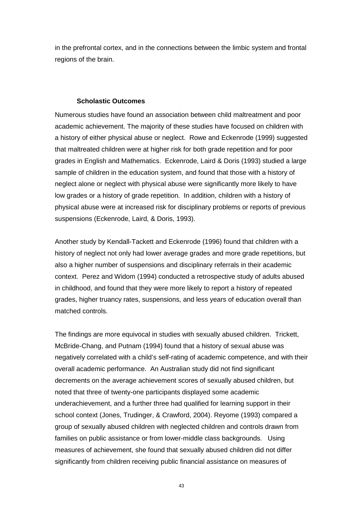in the prefrontal cortex, and in the connections between the limbic system and frontal regions of the brain.

#### **Scholastic Outcomes**

Numerous studies have found an association between child maltreatment and poor academic achievement. The majority of these studies have focused on children with a history of either physical abuse or neglect. Rowe and Eckenrode (1999) suggested that maltreated children were at higher risk for both grade repetition and for poor grades in English and Mathematics. Eckenrode, Laird & Doris (1993) studied a large sample of children in the education system, and found that those with a history of neglect alone or neglect with physical abuse were significantly more likely to have low grades or a history of grade repetition. In addition, children with a history of physical abuse were at increased risk for disciplinary problems or reports of previous suspensions (Eckenrode, Laird, & Doris, 1993).

Another study by Kendall-Tackett and Eckenrode (1996) found that children with a history of neglect not only had lower average grades and more grade repetitions, but also a higher number of suspensions and disciplinary referrals in their academic context. Perez and Widom (1994) conducted a retrospective study of adults abused in childhood, and found that they were more likely to report a history of repeated grades, higher truancy rates, suspensions, and less years of education overall than matched controls.

The findings are more equivocal in studies with sexually abused children. Trickett, McBride-Chang, and Putnam (1994) found that a history of sexual abuse was negatively correlated with a child's self-rating of academic competence, and with their overall academic performance. An Australian study did not find significant decrements on the average achievement scores of sexually abused children, but noted that three of twenty-one participants displayed some academic underachievement, and a further three had qualified for learning support in their school context (Jones, Trudinger, & Crawford, 2004). Reyome (1993) compared a group of sexually abused children with neglected children and controls drawn from families on public assistance or from lower-middle class backgrounds. Using measures of achievement, she found that sexually abused children did not differ significantly from children receiving public financial assistance on measures of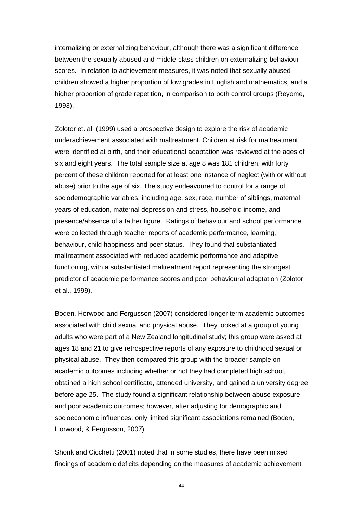internalizing or externalizing behaviour, although there was a significant difference between the sexually abused and middle-class children on externalizing behaviour scores. In relation to achievement measures, it was noted that sexually abused children showed a higher proportion of low grades in English and mathematics, and a higher proportion of grade repetition, in comparison to both control groups (Reyome, 1993).

Zolotor et. al. (1999) used a prospective design to explore the risk of academic underachievement associated with maltreatment. Children at risk for maltreatment were identified at birth, and their educational adaptation was reviewed at the ages of six and eight years. The total sample size at age 8 was 181 children, with forty percent of these children reported for at least one instance of neglect (with or without abuse) prior to the age of six. The study endeavoured to control for a range of sociodemographic variables, including age, sex, race, number of siblings, maternal years of education, maternal depression and stress, household income, and presence/absence of a father figure. Ratings of behaviour and school performance were collected through teacher reports of academic performance, learning, behaviour, child happiness and peer status. They found that substantiated maltreatment associated with reduced academic performance and adaptive functioning, with a substantiated maltreatment report representing the strongest predictor of academic performance scores and poor behavioural adaptation (Zolotor et al., 1999).

Boden, Horwood and Fergusson (2007) considered longer term academic outcomes associated with child sexual and physical abuse. They looked at a group of young adults who were part of a New Zealand longitudinal study; this group were asked at ages 18 and 21 to give retrospective reports of any exposure to childhood sexual or physical abuse. They then compared this group with the broader sample on academic outcomes including whether or not they had completed high school, obtained a high school certificate, attended university, and gained a university degree before age 25. The study found a significant relationship between abuse exposure and poor academic outcomes; however, after adjusting for demographic and socioeconomic influences, only limited significant associations remained (Boden, Horwood, & Fergusson, 2007).

Shonk and Cicchetti (2001) noted that in some studies, there have been mixed findings of academic deficits depending on the measures of academic achievement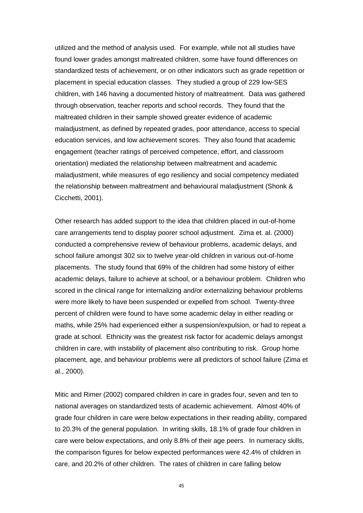utilized and the method of analysis used. For example, while not all studies have found lower grades amongst maltreated children, some have found differences on standardized tests of achievement, or on other indicators such as grade repetition or placement in special education classes. They studied a group of 229 low-SES children, with 146 having a documented history of maltreatment. Data was gathered through observation, teacher reports and school records. They found that the maltreated children in their sample showed greater evidence of academic maladjustment, as defined by repeated grades, poor attendance, access to special education services, and low achievement scores. They also found that academic engagement (teacher ratings of perceived competence, effort, and classroom orientation) mediated the relationship between maltreatment and academic maladjustment, while measures of ego resiliency and social competency mediated the relationship between maltreatment and behavioural maladjustment (Shonk & Cicchetti, 2001).

Other research has added support to the idea that children placed in out-of-home care arrangements tend to display poorer school adjustment. Zima et. al. (2000) conducted a comprehensive review of behaviour problems, academic delays, and school failure amongst 302 six to twelve year-old children in various out-of-home placements. The study found that 69% of the children had some history of either academic delays, failure to achieve at school, or a behaviour problem. Children who scored in the clinical range for internalizing and/or externalizing behaviour problems were more likely to have been suspended or expelled from school. Twenty-three percent of children were found to have some academic delay in either reading or maths, while 25% had experienced either a suspension/expulsion, or had to repeat a grade at school. Ethnicity was the greatest risk factor for academic delays amongst children in care, with instability of placement also contributing to risk. Group home placement, age, and behaviour problems were all predictors of school failure (Zima et al., 2000).

Mitic and Rimer (2002) compared children in care in grades four, seven and ten to national averages on standardized tests of academic achievement. Almost 40% of grade four children in care were below expectations in their reading ability, compared to 20.3% of the general population. In writing skills, 18.1% of grade four children in care were below expectations, and only 8.8% of their age peers. In numeracy skills, the comparison figures for below expected performances were 42.4% of children in care, and 20.2% of other children. The rates of children in care falling below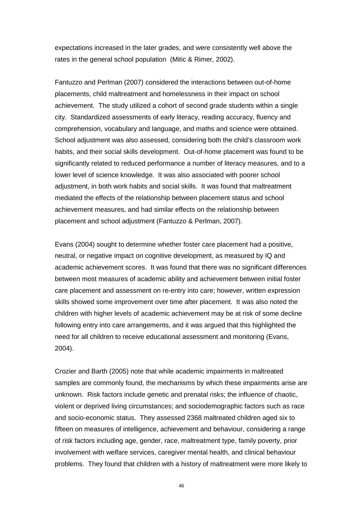expectations increased in the later grades, and were consistently well above the rates in the general school population (Mitic & Rimer, 2002).

Fantuzzo and Perlman (2007) considered the interactions between out-of-home placements, child maltreatment and homelessness in their impact on school achievement. The study utilized a cohort of second grade students within a single city. Standardized assessments of early literacy, reading accuracy, fluency and comprehension, vocabulary and language, and maths and science were obtained. School adjustment was also assessed, considering both the child's classroom work habits, and their social skills development. Out-of-home placement was found to be significantly related to reduced performance a number of literacy measures, and to a lower level of science knowledge. It was also associated with poorer school adjustment, in both work habits and social skills. It was found that maltreatment mediated the effects of the relationship between placement status and school achievement measures, and had similar effects on the relationship between placement and school adjustment (Fantuzzo & Perlman, 2007).

Evans (2004) sought to determine whether foster care placement had a positive, neutral, or negative impact on cognitive development, as measured by IQ and academic achievement scores. It was found that there was no significant differences between most measures of academic ability and achievement between initial foster care placement and assessment on re-entry into care; however, written expression skills showed some improvement over time after placement. It was also noted the children with higher levels of academic achievement may be at risk of some decline following entry into care arrangements, and it was argued that this highlighted the need for all children to receive educational assessment and monitoring (Evans, 2004).

Crozier and Barth (2005) note that while academic impairments in maltreated samples are commonly found, the mechanisms by which these impairments arise are unknown. Risk factors include genetic and prenatal risks; the influence of chaotic, violent or deprived living circumstances; and sociodemographic factors such as race and socio-economic status. They assessed 2368 maltreated children aged six to fifteen on measures of intelligence, achievement and behaviour, considering a range of risk factors including age, gender, race, maltreatment type, family poverty, prior involvement with welfare services, caregiver mental health, and clinical behaviour problems. They found that children with a history of maltreatment were more likely to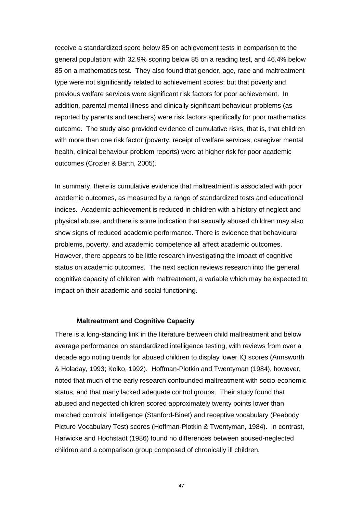receive a standardized score below 85 on achievement tests in comparison to the general population; with 32.9% scoring below 85 on a reading test, and 46.4% below 85 on a mathematics test. They also found that gender, age, race and maltreatment type were not significantly related to achievement scores; but that poverty and previous welfare services were significant risk factors for poor achievement. In addition, parental mental illness and clinically significant behaviour problems (as reported by parents and teachers) were risk factors specifically for poor mathematics outcome. The study also provided evidence of cumulative risks, that is, that children with more than one risk factor (poverty, receipt of welfare services, caregiver mental health, clinical behaviour problem reports) were at higher risk for poor academic outcomes (Crozier & Barth, 2005).

In summary, there is cumulative evidence that maltreatment is associated with poor academic outcomes, as measured by a range of standardized tests and educational indices. Academic achievement is reduced in children with a history of neglect and physical abuse, and there is some indication that sexually abused children may also show signs of reduced academic performance. There is evidence that behavioural problems, poverty, and academic competence all affect academic outcomes. However, there appears to be little research investigating the impact of cognitive status on academic outcomes. The next section reviews research into the general cognitive capacity of children with maltreatment, a variable which may be expected to impact on their academic and social functioning.

#### **Maltreatment and Cognitive Capacity**

There is a long-standing link in the literature between child maltreatment and below average performance on standardized intelligence testing, with reviews from over a decade ago noting trends for abused children to display lower IQ scores (Armsworth & Holaday, 1993; Kolko, 1992). Hoffman-Plotkin and Twentyman (1984), however, noted that much of the early research confounded maltreatment with socio-economic status, and that many lacked adequate control groups. Their study found that abused and negected children scored approximately twenty points lower than matched controls' intelligence (Stanford-Binet) and receptive vocabulary (Peabody Picture Vocabulary Test) scores (Hoffman-Plotkin & Twentyman, 1984). In contrast, Harwicke and Hochstadt (1986) found no differences between abused-neglected children and a comparison group composed of chronically ill children.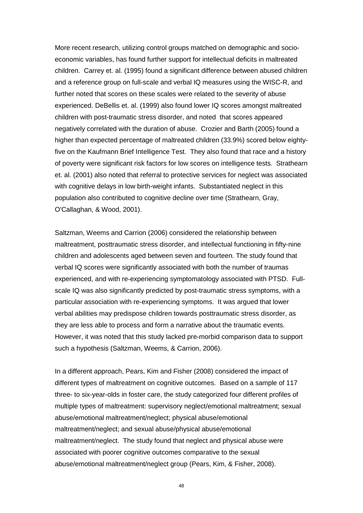More recent research, utilizing control groups matched on demographic and socioeconomic variables, has found further support for intellectual deficits in maltreated children. Carrey et. al. (1995) found a significant difference between abused children and a reference group on full-scale and verbal IQ measures using the WISC-R, and further noted that scores on these scales were related to the severity of abuse experienced. DeBellis et. al. (1999) also found lower IQ scores amongst maltreated children with post-traumatic stress disorder, and noted that scores appeared negatively correlated with the duration of abuse. Crozier and Barth (2005) found a higher than expected percentage of maltreated children (33.9%) scored below eightyfive on the Kaufmann Brief Intelligence Test. They also found that race and a history of poverty were significant risk factors for low scores on intelligence tests. Strathearn et. al. (2001) also noted that referral to protective services for neglect was associated with cognitive delays in low birth-weight infants. Substantiated neglect in this population also contributed to cognitive decline over time (Strathearn, Gray, O'Callaghan, & Wood, 2001).

Saltzman, Weems and Carrion (2006) considered the relationship between maltreatment, posttraumatic stress disorder, and intellectual functioning in fifty-nine children and adolescents aged between seven and fourteen. The study found that verbal IQ scores were significantly associated with both the number of traumas experienced, and with re-experiencing symptomatology associated with PTSD. Fullscale IQ was also significantly predicted by post-traumatic stress symptoms, with a particular association with re-experiencing symptoms. It was argued that lower verbal abilities may predispose children towards posttraumatic stress disorder, as they are less able to process and form a narrative about the traumatic events. However, it was noted that this study lacked pre-morbid comparison data to support such a hypothesis (Saltzman, Weems, & Carrion, 2006).

In a different approach, Pears, Kim and Fisher (2008) considered the impact of different types of maltreatment on cognitive outcomes. Based on a sample of 117 three- to six-year-olds in foster care, the study categorized four different profiles of multiple types of maltreatment: supervisory neglect/emotional maltreatment; sexual abuse/emotional maltreatment/neglect; physical abuse/emotional maltreatment/neglect; and sexual abuse/physical abuse/emotional maltreatment/neglect. The study found that neglect and physical abuse were associated with poorer cognitive outcomes comparative to the sexual abuse/emotional maltreatment/neglect group (Pears, Kim, & Fisher, 2008).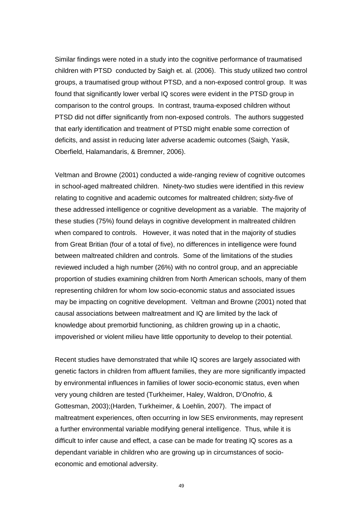Similar findings were noted in a study into the cognitive performance of traumatised children with PTSD conducted by Saigh et. al. (2006). This study utilized two control groups, a traumatised group without PTSD, and a non-exposed control group. It was found that significantly lower verbal IQ scores were evident in the PTSD group in comparison to the control groups. In contrast, trauma-exposed children without PTSD did not differ significantly from non-exposed controls. The authors suggested that early identification and treatment of PTSD might enable some correction of deficits, and assist in reducing later adverse academic outcomes (Saigh, Yasik, Oberfield, Halamandaris, & Bremner, 2006).

Veltman and Browne (2001) conducted a wide-ranging review of cognitive outcomes in school-aged maltreated children. Ninety-two studies were identified in this review relating to cognitive and academic outcomes for maltreated children; sixty-five of these addressed intelligence or cognitive development as a variable. The majority of these studies (75%) found delays in cognitive development in maltreated children when compared to controls. However, it was noted that in the majority of studies from Great Britian (four of a total of five), no differences in intelligence were found between maltreated children and controls. Some of the limitations of the studies reviewed included a high number (26%) with no control group, and an appreciable proportion of studies examining children from North American schools, many of them representing children for whom low socio-economic status and associated issues may be impacting on cognitive development. Veltman and Browne (2001) noted that causal associations between maltreatment and IQ are limited by the lack of knowledge about premorbid functioning, as children growing up in a chaotic, impoverished or violent milieu have little opportunity to develop to their potential.

Recent studies have demonstrated that while IQ scores are largely associated with genetic factors in children from affluent families, they are more significantly impacted by environmental influences in families of lower socio-economic status, even when very young children are tested (Turkheimer, Haley, Waldron, D'Onofrio, & Gottesman, 2003);(Harden, Turkheimer, & Loehlin, 2007). The impact of maltreatment experiences, often occurring in low SES environments, may represent a further environmental variable modifying general intelligence. Thus, while it is difficult to infer cause and effect, a case can be made for treating IQ scores as a dependant variable in children who are growing up in circumstances of socioeconomic and emotional adversity.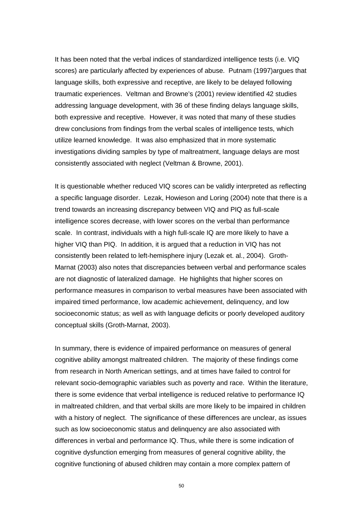It has been noted that the verbal indices of standardized intelligence tests (i.e. VIQ scores) are particularly affected by experiences of abuse. Putnam (1997)argues that language skills, both expressive and receptive, are likely to be delayed following traumatic experiences. Veltman and Browne's (2001) review identified 42 studies addressing language development, with 36 of these finding delays language skills, both expressive and receptive. However, it was noted that many of these studies drew conclusions from findings from the verbal scales of intelligence tests, which utilize learned knowledge. It was also emphasized that in more systematic investigations dividing samples by type of maltreatment, language delays are most consistently associated with neglect (Veltman & Browne, 2001).

It is questionable whether reduced VIQ scores can be validly interpreted as reflecting a specific language disorder. Lezak, Howieson and Loring (2004) note that there is a trend towards an increasing discrepancy between VIQ and PIQ as full-scale intelligence scores decrease, with lower scores on the verbal than performance scale. In contrast, individuals with a high full-scale IQ are more likely to have a higher VIQ than PIQ. In addition, it is argued that a reduction in VIQ has not consistently been related to left-hemisphere injury (Lezak et. al., 2004). Groth-Marnat (2003) also notes that discrepancies between verbal and performance scales are not diagnostic of lateralized damage. He highlights that higher scores on performance measures in comparison to verbal measures have been associated with impaired timed performance, low academic achievement, delinquency, and low socioeconomic status; as well as with language deficits or poorly developed auditory conceptual skills (Groth-Marnat, 2003).

In summary, there is evidence of impaired performance on measures of general cognitive ability amongst maltreated children. The majority of these findings come from research in North American settings, and at times have failed to control for relevant socio-demographic variables such as poverty and race. Within the literature, there is some evidence that verbal intelligence is reduced relative to performance IQ in maltreated children, and that verbal skills are more likely to be impaired in children with a history of neglect. The significance of these differences are unclear, as issues such as low socioeconomic status and delinquency are also associated with differences in verbal and performance IQ. Thus, while there is some indication of cognitive dysfunction emerging from measures of general cognitive ability, the cognitive functioning of abused children may contain a more complex pattern of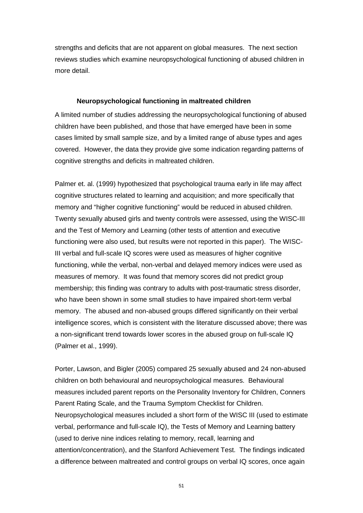strengths and deficits that are not apparent on global measures. The next section reviews studies which examine neuropsychological functioning of abused children in more detail.

#### **Neuropsychological functioning in maltreated children**

A limited number of studies addressing the neuropsychological functioning of abused children have been published, and those that have emerged have been in some cases limited by small sample size, and by a limited range of abuse types and ages covered. However, the data they provide give some indication regarding patterns of cognitive strengths and deficits in maltreated children.

Palmer et. al. (1999) hypothesized that psychological trauma early in life may affect cognitive structures related to learning and acquisition; and more specifically that memory and "higher cognitive functioning" would be reduced in abused children. Twenty sexually abused girls and twenty controls were assessed, using the WISC-III and the Test of Memory and Learning (other tests of attention and executive functioning were also used, but results were not reported in this paper). The WISC-III verbal and full-scale IQ scores were used as measures of higher cognitive functioning, while the verbal, non-verbal and delayed memory indices were used as measures of memory. It was found that memory scores did not predict group membership; this finding was contrary to adults with post-traumatic stress disorder, who have been shown in some small studies to have impaired short-term verbal memory. The abused and non-abused groups differed significantly on their verbal intelligence scores, which is consistent with the literature discussed above; there was a non-significant trend towards lower scores in the abused group on full-scale IQ (Palmer et al., 1999).

Porter, Lawson, and Bigler (2005) compared 25 sexually abused and 24 non-abused children on both behavioural and neuropsychological measures. Behavioural measures included parent reports on the Personality Inventory for Children, Conners Parent Rating Scale, and the Trauma Symptom Checklist for Children. Neuropsychological measures included a short form of the WISC III (used to estimate verbal, performance and full-scale IQ), the Tests of Memory and Learning battery (used to derive nine indices relating to memory, recall, learning and attention/concentration), and the Stanford Achievement Test. The findings indicated a difference between maltreated and control groups on verbal IQ scores, once again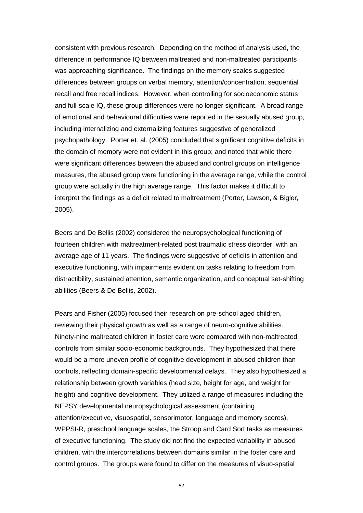consistent with previous research. Depending on the method of analysis used, the difference in performance IQ between maltreated and non-maltreated participants was approaching significance. The findings on the memory scales suggested differences between groups on verbal memory, attention/concentration, sequential recall and free recall indices. However, when controlling for socioeconomic status and full-scale IQ, these group differences were no longer significant. A broad range of emotional and behavioural difficulties were reported in the sexually abused group, including internalizing and externalizing features suggestive of generalized psychopathology. Porter et. al. (2005) concluded that significant cognitive deficits in the domain of memory were not evident in this group; and noted that while there were significant differences between the abused and control groups on intelligence measures, the abused group were functioning in the average range, while the control group were actually in the high average range. This factor makes it difficult to interpret the findings as a deficit related to maltreatment (Porter, Lawson, & Bigler, 2005).

Beers and De Bellis (2002) considered the neuropsychological functioning of fourteen children with maltreatment-related post traumatic stress disorder, with an average age of 11 years. The findings were suggestive of deficits in attention and executive functioning, with impairments evident on tasks relating to freedom from distractibility, sustained attention, semantic organization, and conceptual set-shifting abilities (Beers & De Bellis, 2002).

Pears and Fisher (2005) focused their research on pre-school aged children, reviewing their physical growth as well as a range of neuro-cognitive abilities. Ninety-nine maltreated children in foster care were compared with non-maltreated controls from similar socio-economic backgrounds. They hypothesized that there would be a more uneven profile of cognitive development in abused children than controls, reflecting domain-specific developmental delays. They also hypothesized a relationship between growth variables (head size, height for age, and weight for height) and cognitive development. They utilized a range of measures including the NEPSY developmental neuropsychological assessment (containing attention/executive, visuospatial, sensorimotor, language and memory scores), WPPSI-R, preschool language scales, the Stroop and Card Sort tasks as measures of executive functioning. The study did not find the expected variability in abused children, with the intercorrelations between domains similar in the foster care and control groups. The groups were found to differ on the measures of visuo-spatial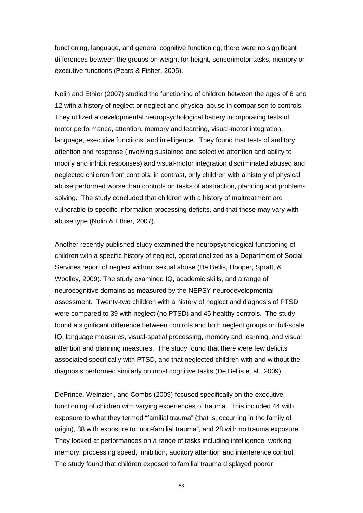functioning, language, and general cognitive functioning; there were no significant differences between the groups on weight for height, sensorimotor tasks, memory or executive functions (Pears & Fisher, 2005).

Nolin and Ethier (2007) studied the functioning of children between the ages of 6 and 12 with a history of neglect or neglect and physical abuse in comparison to controls. They utilized a developmental neuropsychological battery incorporating tests of motor performance, attention, memory and learning, visual-motor integration, language, executive functions, and intelligence. They found that tests of auditory attention and response (involving sustained and selective attention and ability to modify and inhibit responses) and visual-motor integration discriminated abused and neglected children from controls; in contrast, only children with a history of physical abuse performed worse than controls on tasks of abstraction, planning and problemsolving. The study concluded that children with a history of maltreatment are vulnerable to specific information processing deficits, and that these may vary with abuse type (Nolin & Ethier, 2007).

Another recently published study examined the neuropsychological functioning of children with a specific history of neglect, operationalized as a Department of Social Services report of neglect without sexual abuse (De Bellis, Hooper, Spratt, & Woolley, 2009). The study examined IQ, academic skills, and a range of neurocognitive domains as measured by the NEPSY neurodevelopmental assessment. Twenty-two children with a history of neglect and diagnosis of PTSD were compared to 39 with neglect (no PTSD) and 45 healthy controls. The study found a significant difference between controls and both neglect groups on full-scale IQ, language measures, visual-spatial processing, memory and learning, and visual attention and planning measures. The study found that there were few deficits associated specifically with PTSD, and that neglected children with and without the diagnosis performed similarly on most cognitive tasks (De Bellis et al., 2009).

DePrince, Weinzierl, and Combs (2009) focused specifically on the executive functioning of children with varying experiences of trauma. This included 44 with exposure to what they termed "familial trauma" (that is, occurring in the family of origin), 38 with exposure to "non-familial trauma", and 28 with no trauma exposure. They looked at performances on a range of tasks including intelligence, working memory, processing speed, inhibition, auditory attention and interference control. The study found that children exposed to familial trauma displayed poorer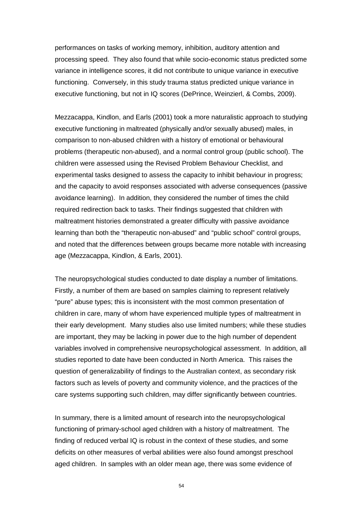performances on tasks of working memory, inhibition, auditory attention and processing speed. They also found that while socio-economic status predicted some variance in intelligence scores, it did not contribute to unique variance in executive functioning. Conversely, in this study trauma status predicted unique variance in executive functioning, but not in IQ scores (DePrince, Weinzierl, & Combs, 2009).

Mezzacappa, Kindlon, and Earls (2001) took a more naturalistic approach to studying executive functioning in maltreated (physically and/or sexually abused) males, in comparison to non-abused children with a history of emotional or behavioural problems (therapeutic non-abused), and a normal control group (public school). The children were assessed using the Revised Problem Behaviour Checklist, and experimental tasks designed to assess the capacity to inhibit behaviour in progress; and the capacity to avoid responses associated with adverse consequences (passive avoidance learning). In addition, they considered the number of times the child required redirection back to tasks. Their findings suggested that children with maltreatment histories demonstrated a greater difficulty with passive avoidance learning than both the "therapeutic non-abused" and "public school" control groups, and noted that the differences between groups became more notable with increasing age (Mezzacappa, Kindlon, & Earls, 2001).

The neuropsychological studies conducted to date display a number of limitations. Firstly, a number of them are based on samples claiming to represent relatively "pure" abuse types; this is inconsistent with the most common presentation of children in care, many of whom have experienced multiple types of maltreatment in their early development. Many studies also use limited numbers; while these studies are important, they may be lacking in power due to the high number of dependent variables involved in comprehensive neuropsychological assessment. In addition, all studies reported to date have been conducted in North America. This raises the question of generalizability of findings to the Australian context, as secondary risk factors such as levels of poverty and community violence, and the practices of the care systems supporting such children, may differ significantly between countries.

In summary, there is a limited amount of research into the neuropsychological functioning of primary-school aged children with a history of maltreatment. The finding of reduced verbal IQ is robust in the context of these studies, and some deficits on other measures of verbal abilities were also found amongst preschool aged children. In samples with an older mean age, there was some evidence of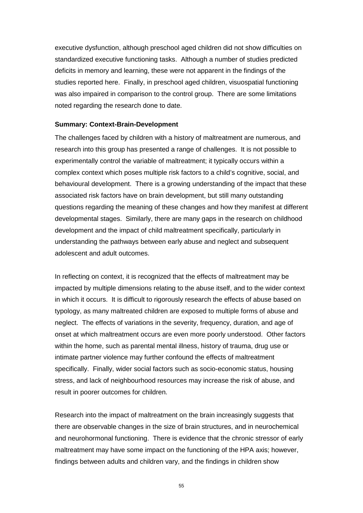executive dysfunction, although preschool aged children did not show difficulties on standardized executive functioning tasks. Although a number of studies predicted deficits in memory and learning, these were not apparent in the findings of the studies reported here. Finally, in preschool aged children, visuospatial functioning was also impaired in comparison to the control group. There are some limitations noted regarding the research done to date.

#### **Summary: Context-Brain-Development**

The challenges faced by children with a history of maltreatment are numerous, and research into this group has presented a range of challenges. It is not possible to experimentally control the variable of maltreatment; it typically occurs within a complex context which poses multiple risk factors to a child's cognitive, social, and behavioural development. There is a growing understanding of the impact that these associated risk factors have on brain development, but still many outstanding questions regarding the meaning of these changes and how they manifest at different developmental stages. Similarly, there are many gaps in the research on childhood development and the impact of child maltreatment specifically, particularly in understanding the pathways between early abuse and neglect and subsequent adolescent and adult outcomes.

In reflecting on context, it is recognized that the effects of maltreatment may be impacted by multiple dimensions relating to the abuse itself, and to the wider context in which it occurs. It is difficult to rigorously research the effects of abuse based on typology, as many maltreated children are exposed to multiple forms of abuse and neglect. The effects of variations in the severity, frequency, duration, and age of onset at which maltreatment occurs are even more poorly understood. Other factors within the home, such as parental mental illness, history of trauma, drug use or intimate partner violence may further confound the effects of maltreatment specifically. Finally, wider social factors such as socio-economic status, housing stress, and lack of neighbourhood resources may increase the risk of abuse, and result in poorer outcomes for children.

Research into the impact of maltreatment on the brain increasingly suggests that there are observable changes in the size of brain structures, and in neurochemical and neurohormonal functioning. There is evidence that the chronic stressor of early maltreatment may have some impact on the functioning of the HPA axis; however, findings between adults and children vary, and the findings in children show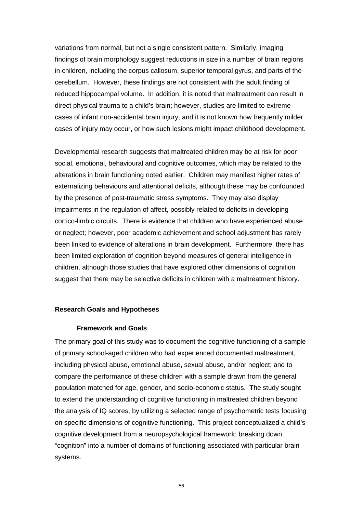variations from normal, but not a single consistent pattern. Similarly, imaging findings of brain morphology suggest reductions in size in a number of brain regions in children, including the corpus callosum, superior temporal gyrus, and parts of the cerebellum. However, these findings are not consistent with the adult finding of reduced hippocampal volume. In addition, it is noted that maltreatment can result in direct physical trauma to a child's brain; however, studies are limited to extreme cases of infant non-accidental brain injury, and it is not known how frequently milder cases of injury may occur, or how such lesions might impact childhood development.

Developmental research suggests that maltreated children may be at risk for poor social, emotional, behavioural and cognitive outcomes, which may be related to the alterations in brain functioning noted earlier. Children may manifest higher rates of externalizing behaviours and attentional deficits, although these may be confounded by the presence of post-traumatic stress symptoms. They may also display impairments in the regulation of affect, possibly related to deficits in developing cortico-limbic circuits. There is evidence that children who have experienced abuse or neglect; however, poor academic achievement and school adjustment has rarely been linked to evidence of alterations in brain development. Furthermore, there has been limited exploration of cognition beyond measures of general intelligence in children, although those studies that have explored other dimensions of cognition suggest that there may be selective deficits in children with a maltreatment history.

## **Research Goals and Hypotheses**

#### **Framework and Goals**

The primary goal of this study was to document the cognitive functioning of a sample of primary school-aged children who had experienced documented maltreatment, including physical abuse, emotional abuse, sexual abuse, and/or neglect; and to compare the performance of these children with a sample drawn from the general population matched for age, gender, and socio-economic status. The study sought to extend the understanding of cognitive functioning in maltreated children beyond the analysis of IQ scores, by utilizing a selected range of psychometric tests focusing on specific dimensions of cognitive functioning. This project conceptualized a child's cognitive development from a neuropsychological framework; breaking down "cognition" into a number of domains of functioning associated with particular brain systems.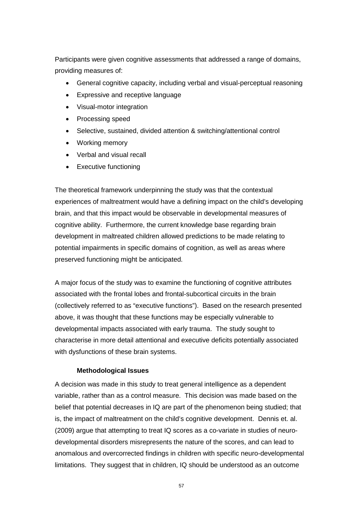Participants were given cognitive assessments that addressed a range of domains, providing measures of:

- General cognitive capacity, including verbal and visual-perceptual reasoning
- Expressive and receptive language
- Visual-motor integration
- Processing speed
- Selective, sustained, divided attention & switching/attentional control
- Working memory
- Verbal and visual recall
- **Executive functioning**

The theoretical framework underpinning the study was that the contextual experiences of maltreatment would have a defining impact on the child's developing brain, and that this impact would be observable in developmental measures of cognitive ability. Furthermore, the current knowledge base regarding brain development in maltreated children allowed predictions to be made relating to potential impairments in specific domains of cognition, as well as areas where preserved functioning might be anticipated.

A major focus of the study was to examine the functioning of cognitive attributes associated with the frontal lobes and frontal-subcortical circuits in the brain (collectively referred to as "executive functions"). Based on the research presented above, it was thought that these functions may be especially vulnerable to developmental impacts associated with early trauma. The study sought to characterise in more detail attentional and executive deficits potentially associated with dysfunctions of these brain systems.

## **Methodological Issues**

A decision was made in this study to treat general intelligence as a dependent variable, rather than as a control measure. This decision was made based on the belief that potential decreases in IQ are part of the phenomenon being studied; that is, the impact of maltreatment on the child's cognitive development. Dennis et. al. (2009) argue that attempting to treat IQ scores as a co-variate in studies of neurodevelopmental disorders misrepresents the nature of the scores, and can lead to anomalous and overcorrected findings in children with specific neuro-developmental limitations. They suggest that in children, IQ should be understood as an outcome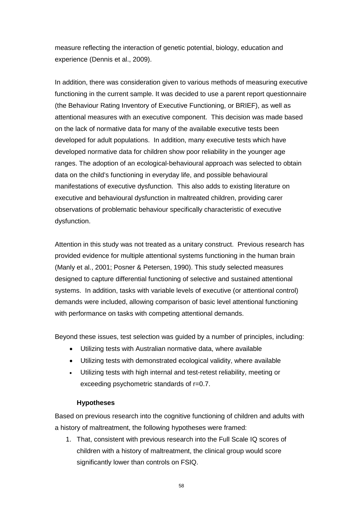measure reflecting the interaction of genetic potential, biology, education and experience (Dennis et al., 2009).

In addition, there was consideration given to various methods of measuring executive functioning in the current sample. It was decided to use a parent report questionnaire (the Behaviour Rating Inventory of Executive Functioning, or BRIEF), as well as attentional measures with an executive component. This decision was made based on the lack of normative data for many of the available executive tests been developed for adult populations. In addition, many executive tests which have developed normative data for children show poor reliability in the younger age ranges. The adoption of an ecological-behavioural approach was selected to obtain data on the child's functioning in everyday life, and possible behavioural manifestations of executive dysfunction. This also adds to existing literature on executive and behavioural dysfunction in maltreated children, providing carer observations of problematic behaviour specifically characteristic of executive dysfunction.

Attention in this study was not treated as a unitary construct. Previous research has provided evidence for multiple attentional systems functioning in the human brain (Manly et al., 2001; Posner & Petersen, 1990). This study selected measures designed to capture differential functioning of selective and sustained attentional systems. In addition, tasks with variable levels of executive (or attentional control) demands were included, allowing comparison of basic level attentional functioning with performance on tasks with competing attentional demands.

Beyond these issues, test selection was guided by a number of principles, including:

- Utilizing tests with Australian normative data, where available
- Utilizing tests with demonstrated ecological validity, where available
- Utilizing tests with high internal and test-retest reliability, meeting or exceeding psychometric standards of r=0.7.

## **Hypotheses**

Based on previous research into the cognitive functioning of children and adults with a history of maltreatment, the following hypotheses were framed:

1. That, consistent with previous research into the Full Scale IQ scores of children with a history of maltreatment, the clinical group would score significantly lower than controls on FSIQ.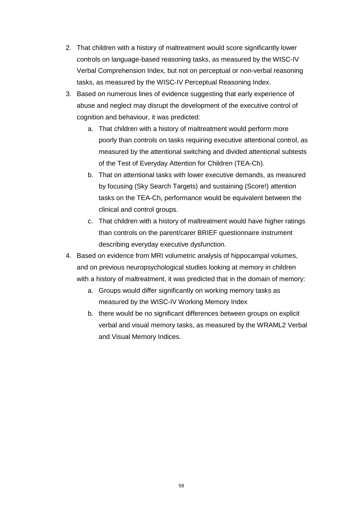- 2. That children with a history of maltreatment would score significantly lower controls on language-based reasoning tasks, as measured by the WISC-IV Verbal Comprehension Index, but not on perceptual or non-verbal reasoning tasks, as measured by the WISC-IV Perceptual Reasoning Index.
- 3. Based on numerous lines of evidence suggesting that early experience of abuse and neglect may disrupt the development of the executive control of cognition and behaviour, it was predicted:
	- a. That children with a history of maltreatment would perform more poorly than controls on tasks requiring executive attentional control, as measured by the attentional switching and divided attentional subtests of the Test of Everyday Attention for Children (TEA-Ch).
	- b. That on attentional tasks with lower executive demands, as measured by focusing (Sky Search Targets) and sustaining (Score!) attention tasks on the TEA-Ch, performance would be equivalent between the clinical and control groups.
	- c. That children with a history of maltreatment would have higher ratings than controls on the parent/carer BRIEF questionnaire instrument describing everyday executive dysfunction.
- 4. Based on evidence from MRI volumetric analysis of hippocampal volumes, and on previous neuropsychological studies looking at memory in children with a history of maltreatment, it was predicted that in the domain of memory:
	- a. Groups would differ significantly on working memory tasks as measured by the WISC-IV Working Memory Index
	- b. there would be no significant differences between groups on explicit verbal and visual memory tasks, as measured by the WRAML2 Verbal and Visual Memory Indices.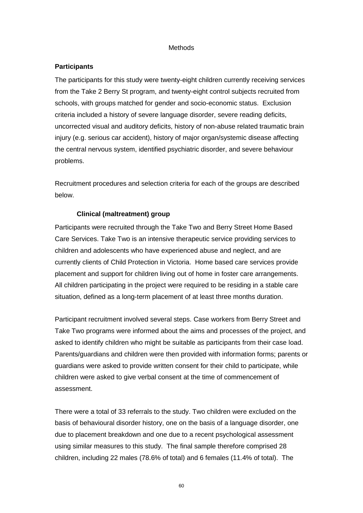#### Methods

#### **Participants**

The participants for this study were twenty-eight children currently receiving services from the Take 2 Berry St program, and twenty-eight control subjects recruited from schools, with groups matched for gender and socio-economic status. Exclusion criteria included a history of severe language disorder, severe reading deficits, uncorrected visual and auditory deficits, history of non-abuse related traumatic brain injury (e.g. serious car accident), history of major organ/systemic disease affecting the central nervous system, identified psychiatric disorder, and severe behaviour problems.

Recruitment procedures and selection criteria for each of the groups are described below.

## **Clinical (maltreatment) group**

Participants were recruited through the Take Two and Berry Street Home Based Care Services. Take Two is an intensive therapeutic service providing services to children and adolescents who have experienced abuse and neglect, and are currently clients of Child Protection in Victoria. Home based care services provide placement and support for children living out of home in foster care arrangements. All children participating in the project were required to be residing in a stable care situation, defined as a long-term placement of at least three months duration.

Participant recruitment involved several steps. Case workers from Berry Street and Take Two programs were informed about the aims and processes of the project, and asked to identify children who might be suitable as participants from their case load. Parents/guardians and children were then provided with information forms; parents or guardians were asked to provide written consent for their child to participate, while children were asked to give verbal consent at the time of commencement of assessment.

There were a total of 33 referrals to the study. Two children were excluded on the basis of behavioural disorder history, one on the basis of a language disorder, one due to placement breakdown and one due to a recent psychological assessment using similar measures to this study. The final sample therefore comprised 28 children, including 22 males (78.6% of total) and 6 females (11.4% of total). The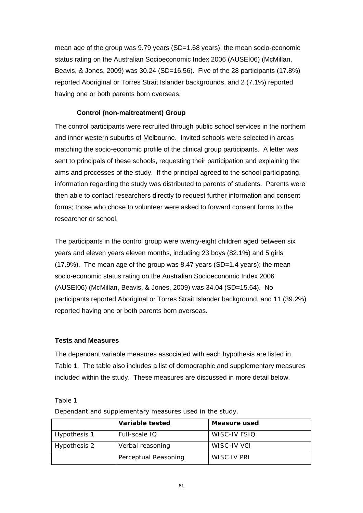mean age of the group was 9.79 years (SD=1.68 years); the mean socio-economic status rating on the Australian Socioeconomic Index 2006 (AUSEI06) (McMillan, Beavis, & Jones, 2009) was 30.24 (SD=16.56). Five of the 28 participants (17.8%) reported Aboriginal or Torres Strait Islander backgrounds, and 2 (7.1%) reported having one or both parents born overseas.

## **Control (non-maltreatment) Group**

The control participants were recruited through public school services in the northern and inner western suburbs of Melbourne. Invited schools were selected in areas matching the socio-economic profile of the clinical group participants. A letter was sent to principals of these schools, requesting their participation and explaining the aims and processes of the study. If the principal agreed to the school participating, information regarding the study was distributed to parents of students. Parents were then able to contact researchers directly to request further information and consent forms; those who chose to volunteer were asked to forward consent forms to the researcher or school.

The participants in the control group were twenty-eight children aged between six years and eleven years eleven months, including 23 boys (82.1%) and 5 girls (17.9%). The mean age of the group was 8.47 years (SD=1.4 years); the mean socio-economic status rating on the Australian Socioeconomic Index 2006 (AUSEI06) (McMillan, Beavis, & Jones, 2009) was 34.04 (SD=15.64). No participants reported Aboriginal or Torres Strait Islander background, and 11 (39.2%) reported having one or both parents born overseas.

#### **Tests and Measures**

The dependant variable measures associated with each hypothesis are listed in Table 1. The table also includes a list of demographic and supplementary measures included within the study. These measures are discussed in more detail below.

#### Table 1

|              | Variable tested      | Measure used |
|--------------|----------------------|--------------|
| Hypothesis 1 | Full-scale IQ        | WISC-IV FSIO |
| Hypothesis 2 | Verbal reasoning     | WISC-IV VCI  |
|              | Perceptual Reasoning | WISC IV PRI  |

*Dependant and supplementary measures used in the study.*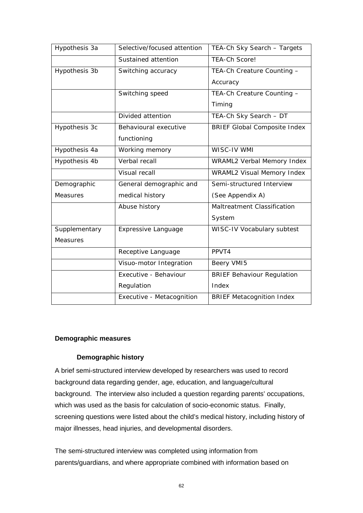| Hypothesis 3a   | Selective/focused attention | TEA-Ch Sky Search - Targets         |
|-----------------|-----------------------------|-------------------------------------|
|                 | Sustained attention         | <b>TEA-Ch Score!</b>                |
| Hypothesis 3b   | Switching accuracy          | TEA-Ch Creature Counting -          |
|                 |                             | Accuracy                            |
|                 | Switching speed             | TEA-Ch Creature Counting -          |
|                 |                             | Timing                              |
|                 | Divided attention           | TEA-Ch Sky Search - DT              |
| Hypothesis 3c   | Behavioural executive       | <b>BRIEF Global Composite Index</b> |
|                 | functioning                 |                                     |
| Hypothesis 4a   | Working memory              | WISC-IV WMI                         |
| Hypothesis 4b   | Verbal recall               | WRAML2 Verbal Memory Index          |
|                 | <b>Visual recall</b>        | WRAML2 Visual Memory Index          |
| Demographic     | General demographic and     | Semi-structured Interview           |
| <b>Measures</b> | medical history             | (See Appendix A)                    |
|                 | Abuse history               | Maltreatment Classification         |
|                 |                             | System                              |
| Supplementary   | <b>Expressive Language</b>  | WISC-IV Vocabulary subtest          |
| <b>Measures</b> |                             |                                     |
|                 | Receptive Language          | PPVT4                               |
|                 | Visuo-motor Integration     | Beery VMI5                          |
|                 | Executive - Behaviour       | <b>BRIEF Behaviour Regulation</b>   |
|                 | Regulation                  | Index                               |
|                 | Executive - Metacognition   | <b>BRIEF Metacognition Index</b>    |

## **Demographic measures**

## **Demographic history**

A brief semi-structured interview developed by researchers was used to record background data regarding gender, age, education, and language/cultural background. The interview also included a question regarding parents' occupations, which was used as the basis for calculation of socio-economic status. Finally, screening questions were listed about the child's medical history, including history of major illnesses, head injuries, and developmental disorders.

The semi-structured interview was completed using information from parents/guardians, and where appropriate combined with information based on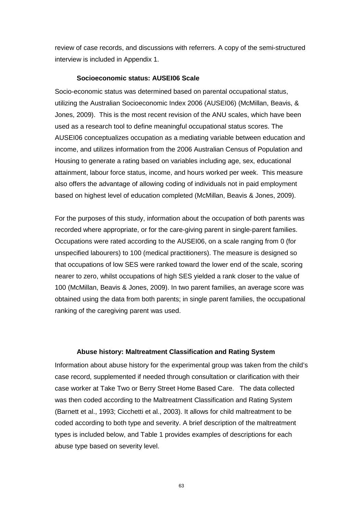review of case records, and discussions with referrers. A copy of the semi-structured interview is included in Appendix 1.

#### **Socioeconomic status: AUSEI06 Scale**

Socio-economic status was determined based on parental occupational status, utilizing the Australian Socioeconomic Index 2006 (AUSEI06) (McMillan, Beavis, & Jones, 2009). This is the most recent revision of the ANU scales, which have been used as a research tool to define meaningful occupational status scores. The AUSEI06 conceptualizes occupation as a mediating variable between education and income, and utilizes information from the 2006 Australian Census of Population and Housing to generate a rating based on variables including age, sex, educational attainment, labour force status, income, and hours worked per week. This measure also offers the advantage of allowing coding of individuals not in paid employment based on highest level of education completed (McMillan, Beavis & Jones, 2009).

For the purposes of this study, information about the occupation of both parents was recorded where appropriate, or for the care-giving parent in single-parent families. Occupations were rated according to the AUSEI06, on a scale ranging from 0 (for unspecified labourers) to 100 (medical practitioners). The measure is designed so that occupations of low SES were ranked toward the lower end of the scale, scoring nearer to zero, whilst occupations of high SES yielded a rank closer to the value of 100 (McMillan, Beavis & Jones, 2009). In two parent families, an average score was obtained using the data from both parents; in single parent families, the occupational ranking of the caregiving parent was used.

#### **Abuse history: Maltreatment Classification and Rating System**

Information about abuse history for the experimental group was taken from the child's case record, supplemented if needed through consultation or clarification with their case worker at Take Two or Berry Street Home Based Care. The data collected was then coded according to the Maltreatment Classification and Rating System (Barnett et al., 1993; Cicchetti et al., 2003). It allows for child maltreatment to be coded according to both type and severity. A brief description of the maltreatment types is included below, and Table 1 provides examples of descriptions for each abuse type based on severity level.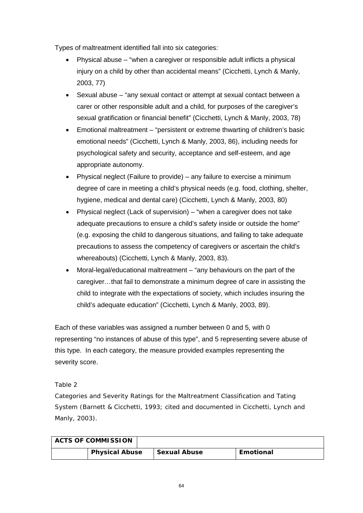Types of maltreatment identified fall into six categories:

- Physical abuse "when a caregiver or responsible adult inflicts a physical injury on a child by other than accidental means" (Cicchetti, Lynch & Manly, 2003, 77)
- Sexual abuse "any sexual contact or attempt at sexual contact between a carer or other responsible adult and a child, for purposes of the caregiver's sexual gratification or financial benefit" (Cicchetti, Lynch & Manly, 2003, 78)
- Emotional maltreatment "persistent or extreme thwarting of children's basic emotional needs" (Cicchetti, Lynch & Manly, 2003, 86), including needs for psychological safety and security, acceptance and self-esteem, and age appropriate autonomy.
- Physical neglect (Failure to provide) any failure to exercise a minimum degree of care in meeting a child's physical needs (e.g. food, clothing, shelter, hygiene, medical and dental care) (Cicchetti, Lynch & Manly, 2003, 80)
- Physical neglect (Lack of supervision) "when a caregiver does not take adequate precautions to ensure a child's safety inside or outside the home" (e.g. exposing the child to dangerous situations, and failing to take adequate precautions to assess the competency of caregivers or ascertain the child's whereabouts) (Cicchetti, Lynch & Manly, 2003, 83).
- Moral-legal/educational maltreatment "any behaviours on the part of the caregiver…that fail to demonstrate a minimum degree of care in assisting the child to integrate with the expectations of society, which includes insuring the child's adequate education" (Cicchetti, Lynch & Manly, 2003, 89).

Each of these variables was assigned a number between 0 and 5, with 0 representing "no instances of abuse of this type", and 5 representing severe abuse of this type. In each category, the measure provided examples representing the severity score.

## Table 2

*Categories and Severity Ratings for the Maltreatment Classification and Tating System (Barnett & Cicchetti, 1993; cited and documented in Cicchetti, Lynch and Manly, 2003).* 

| <b>ACTS OF COMMISSION</b> |                     |                  |
|---------------------------|---------------------|------------------|
| <b>Physical Abuse</b>     | <b>Sexual Abuse</b> | <b>Emotional</b> |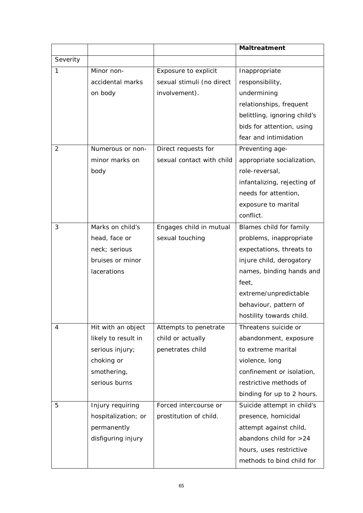|                |                     |                           | <b>Maltreatment</b>          |
|----------------|---------------------|---------------------------|------------------------------|
| Severity       |                     |                           |                              |
| 1              | Minor non-          | Exposure to explicit      | Inappropriate                |
|                | accidental marks    | sexual stimuli (no direct | responsibility,              |
|                | on body             | involvement).             | undermining                  |
|                |                     |                           | relationships, frequent      |
|                |                     |                           | belittling, ignoring child's |
|                |                     |                           | bids for attention, using    |
|                |                     |                           | fear and intimidation        |
| $\overline{2}$ | Numerous or non-    | Direct requests for       | Preventing age-              |
|                | minor marks on      | sexual contact with child | appropriate socialization,   |
|                | body                |                           | role-reversal,               |
|                |                     |                           | infantalizing, rejecting of  |
|                |                     |                           | needs for attention,         |
|                |                     |                           | exposure to marital          |
|                |                     |                           | conflict.                    |
| 3              | Marks on child's    | Engages child in mutual   | Blames child for family      |
|                | head, face or       | sexual touching           | problems, inappropriate      |
|                | neck; serious       |                           | expectations, threats to     |
|                | bruises or minor    |                           | injure child, derogatory     |
|                | lacerations         |                           | names, binding hands and     |
|                |                     |                           | feet,                        |
|                |                     |                           | extreme/unpredictable        |
|                |                     |                           | behaviour, pattern of        |
|                |                     |                           | hostility towards child.     |
| 4              | Hit with an object  | Attempts to penetrate     | Threatens suicide or         |
|                | likely to result in | child or actually         | abandonment, exposure        |
|                | serious injury;     | penetrates child          | to extreme marital           |
|                | choking or          |                           | violence, long               |
|                | smothering,         |                           | confinement or isolation,    |
|                | serious burns       |                           | restrictive methods of       |
|                |                     |                           | binding for up to 2 hours.   |
| 5              | Injury requiring    | Forced intercourse or     | Suicide attempt in child's   |
|                | hospitalization; or | prostitution of child.    | presence, homicidal          |
|                | permanently         |                           | attempt against child,       |
|                | disfiguring injury  |                           | abandons child for >24       |
|                |                     |                           | hours, uses restrictive      |
|                |                     |                           | methods to bind child for    |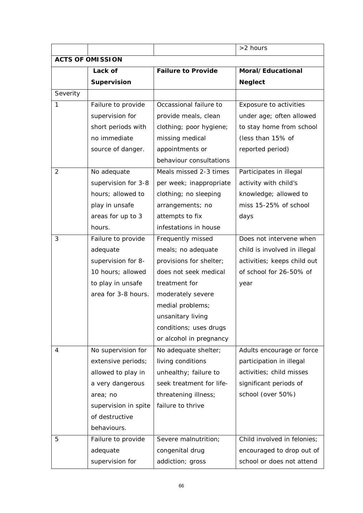|                |                         |                           | >2 hours                     |
|----------------|-------------------------|---------------------------|------------------------------|
|                | <b>ACTS OF OMISSION</b> |                           |                              |
|                | Lack of                 | <b>Failure to Provide</b> | Moral/Educational            |
|                | <b>Supervision</b>      |                           | <b>Neglect</b>               |
| Severity       |                         |                           |                              |
| 1              | Failure to provide      | Occassional failure to    | Exposure to activities       |
|                | supervision for         | provide meals, clean      | under age; often allowed     |
|                | short periods with      | clothing; poor hygiene;   | to stay home from school     |
|                | no immediate            | missing medical           | (less than 15% of            |
|                | source of danger.       | appointments or           | reported period)             |
|                |                         | behaviour consultations   |                              |
| $\overline{2}$ | No adequate             | Meals missed 2-3 times    | Participates in illegal      |
|                | supervision for 3-8     | per week; inappropriate   | activity with child's        |
|                | hours; allowed to       | clothing; no sleeping     | knowledge; allowed to        |
|                | play in unsafe          | arrangements; no          | miss 15-25% of school        |
|                | areas for up to 3       | attempts to fix           | days                         |
|                | hours.                  | infestations in house     |                              |
| 3              | Failure to provide      | Frequently missed         | Does not intervene when      |
|                | adequate                | meals; no adequate        | child is involved in illegal |
|                | supervision for 8-      | provisions for shelter;   | activities; keeps child out  |
|                | 10 hours; allowed       | does not seek medical     | of school for 26-50% of      |
|                | to play in unsafe       | treatment for             | year                         |
|                | area for 3-8 hours.     | moderately severe         |                              |
|                |                         | medial problems;          |                              |
|                |                         | unsanitary living         |                              |
|                |                         | conditions; uses drugs    |                              |
|                |                         | or alcohol in pregnancy   |                              |
| 4              | No supervision for      | No adequate shelter;      | Adults encourage or force    |
|                | extensive periods;      | living conditions         | participation in illegal     |
|                | allowed to play in      | unhealthy; failure to     | activities; child misses     |
|                | a very dangerous        | seek treatment for life-  | significant periods of       |
|                | area; no                | threatening illness;      | school (over 50%)            |
|                | supervision in spite    | failure to thrive         |                              |
|                | of destructive          |                           |                              |
|                | behaviours.             |                           |                              |
| 5              | Failure to provide      | Severe malnutrition;      | Child involved in felonies;  |
|                | adequate                | congenital drug           | encouraged to drop out of    |
|                | supervision for         | addiction; gross          | school or does not attend    |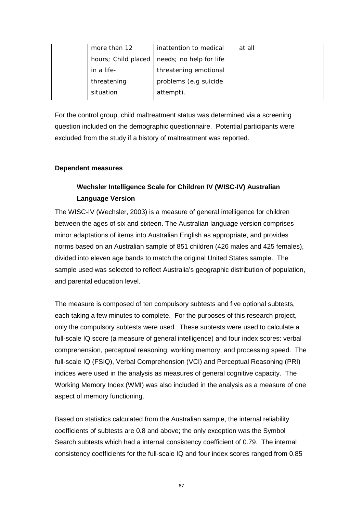| more than 12        | inattention to medical  | at all |
|---------------------|-------------------------|--------|
| hours; Child placed | needs; no help for life |        |
| in a life-          | threatening emotional   |        |
| threatening         | problems (e.g suicide   |        |
| situation           | attempt).               |        |

For the control group, child maltreatment status was determined via a screening question included on the demographic questionnaire. Potential participants were excluded from the study if a history of maltreatment was reported.

## **Dependent measures**

# **Wechsler Intelligence Scale for Children IV (WISC-IV) Australian Language Version**

The WISC-IV (Wechsler, 2003) is a measure of general intelligence for children between the ages of six and sixteen. The Australian language version comprises minor adaptations of items into Australian English as appropriate, and provides norms based on an Australian sample of 851 children (426 males and 425 females), divided into eleven age bands to match the original United States sample. The sample used was selected to reflect Australia's geographic distribution of population, and parental education level.

The measure is composed of ten compulsory subtests and five optional subtests, each taking a few minutes to complete. For the purposes of this research project, only the compulsory subtests were used. These subtests were used to calculate a full-scale IQ score (a measure of general intelligence) and four index scores: verbal comprehension, perceptual reasoning, working memory, and processing speed. The full-scale IQ (FSIQ), Verbal Comprehension (VCI) and Perceptual Reasoning (PRI) indices were used in the analysis as measures of general cognitive capacity. The Working Memory Index (WMI) was also included in the analysis as a measure of one aspect of memory functioning.

Based on statistics calculated from the Australian sample, the internal reliability coefficients of subtests are 0.8 and above; the only exception was the Symbol Search subtests which had a internal consistency coefficient of 0.79. The internal consistency coefficients for the full-scale IQ and four index scores ranged from 0.85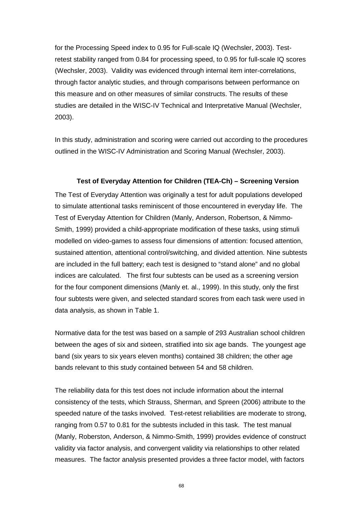for the Processing Speed index to 0.95 for Full-scale IQ (Wechsler, 2003). Testretest stability ranged from 0.84 for processing speed, to 0.95 for full-scale IQ scores (Wechsler, 2003). Validity was evidenced through internal item inter-correlations, through factor analytic studies, and through comparisons between performance on this measure and on other measures of similar constructs. The results of these studies are detailed in the WISC-IV Technical and Interpretative Manual (Wechsler, 2003).

In this study, administration and scoring were carried out according to the procedures outlined in the WISC-IV Administration and Scoring Manual (Wechsler, 2003).

## **Test of Everyday Attention for Children (TEA-Ch) – Screening Version**

The Test of Everyday Attention was originally a test for adult populations developed to simulate attentional tasks reminiscent of those encountered in everyday life. The Test of Everyday Attention for Children (Manly, Anderson, Robertson, & Nimmo-Smith, 1999) provided a child-appropriate modification of these tasks, using stimuli modelled on video-games to assess four dimensions of attention: focused attention, sustained attention, attentional control/switching, and divided attention. Nine subtests are included in the full battery; each test is designed to "stand alone" and no global indices are calculated. The first four subtests can be used as a screening version for the four component dimensions (Manly et. al., 1999). In this study, only the first four subtests were given, and selected standard scores from each task were used in data analysis, as shown in Table 1.

Normative data for the test was based on a sample of 293 Australian school children between the ages of six and sixteen, stratified into six age bands. The youngest age band (six years to six years eleven months) contained 38 children; the other age bands relevant to this study contained between 54 and 58 children.

The reliability data for this test does not include information about the internal consistency of the tests, which Strauss, Sherman, and Spreen (2006) attribute to the speeded nature of the tasks involved. Test-retest reliabilities are moderate to strong, ranging from 0.57 to 0.81 for the subtests included in this task. The test manual (Manly, Roberston, Anderson, & Nimmo-Smith, 1999) provides evidence of construct validity via factor analysis, and convergent validity via relationships to other related measures. The factor analysis presented provides a three factor model, with factors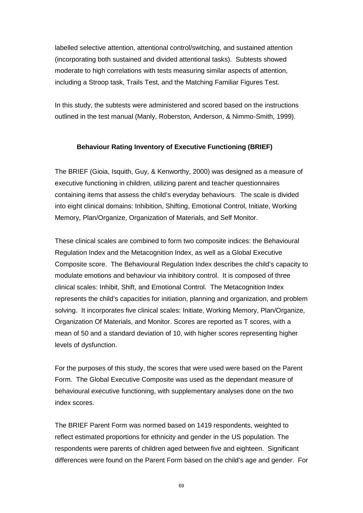labelled selective attention, attentional control/switching, and sustained attention (incorporating both sustained and divided attentional tasks). Subtests showed moderate to high correlations with tests measuring similar aspects of attention, including a Stroop task, Trails Test, and the Matching Familiar Figures Test.

In this study, the subtests were administered and scored based on the instructions outlined in the test manual (Manly, Roberston, Anderson, & Nimmo-Smith, 1999).

## **Behaviour Rating Inventory of Executive Functioning (BRIEF)**

The BRIEF (Gioia, Isquith, Guy, & Kenworthy, 2000) was designed as a measure of executive functioning in children, utilizing parent and teacher questionnaires containing items that assess the child's everyday behaviours. The scale is divided into eight clinical domains: Inhibition, Shifting, Emotional Control, Initiate, Working Memory, Plan/Organize, Organization of Materials, and Self Monitor.

These clinical scales are combined to form two composite indices: the Behavioural Regulation Index and the Metacognition Index, as well as a Global Executive Composite score. The Behavioural Regulation Index describes the child's capacity to modulate emotions and behaviour via inhibitory control. It is composed of three clinical scales: Inhibit, Shift, and Emotional Control. The Metacognition Index represents the child's capacities for initiation, planning and organization, and problem solving. It incorporates five clinical scales: Initiate, Working Memory, Plan/Organize, Organization Of Materials, and Monitor. Scores are reported as T scores, with a mean of 50 and a standard deviation of 10, with higher scores representing higher levels of dysfunction.

For the purposes of this study, the scores that were used were based on the Parent Form. The Global Executive Composite was used as the dependant measure of behavioural executive functioning, with supplementary analyses done on the two index scores.

The BRIEF Parent Form was normed based on 1419 respondents, weighted to reflect estimated proportions for ethnicity and gender in the US population. The respondents were parents of children aged between five and eighteen. Significant differences were found on the Parent Form based on the child's age and gender. For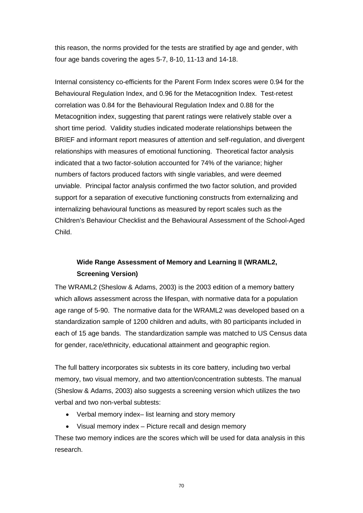this reason, the norms provided for the tests are stratified by age and gender, with four age bands covering the ages 5-7, 8-10, 11-13 and 14-18.

Internal consistency co-efficients for the Parent Form Index scores were 0.94 for the Behavioural Regulation Index, and 0.96 for the Metacognition Index. Test-retest correlation was 0.84 for the Behavioural Regulation Index and 0.88 for the Metacognition index, suggesting that parent ratings were relatively stable over a short time period. Validity studies indicated moderate relationships between the BRIEF and informant report measures of attention and self-regulation, and divergent relationships with measures of emotional functioning. Theoretical factor analysis indicated that a two factor-solution accounted for 74% of the variance; higher numbers of factors produced factors with single variables, and were deemed unviable. Principal factor analysis confirmed the two factor solution, and provided support for a separation of executive functioning constructs from externalizing and internalizing behavioural functions as measured by report scales such as the Children's Behaviour Checklist and the Behavioural Assessment of the School-Aged Child.

# **Wide Range Assessment of Memory and Learning II (WRAML2, Screening Version)**

The WRAML2 (Sheslow & Adams, 2003) is the 2003 edition of a memory battery which allows assessment across the lifespan, with normative data for a population age range of 5-90. The normative data for the WRAML2 was developed based on a standardization sample of 1200 children and adults, with 80 participants included in each of 15 age bands. The standardization sample was matched to US Census data for gender, race/ethnicity, educational attainment and geographic region.

The full battery incorporates six subtests in its core battery, including two verbal memory, two visual memory, and two attention/concentration subtests. The manual (Sheslow & Adams, 2003) also suggests a screening version which utilizes the two verbal and two non-verbal subtests:

- Verbal memory index– list learning and story memory
- Visual memory index Picture recall and design memory

These two memory indices are the scores which will be used for data analysis in this research.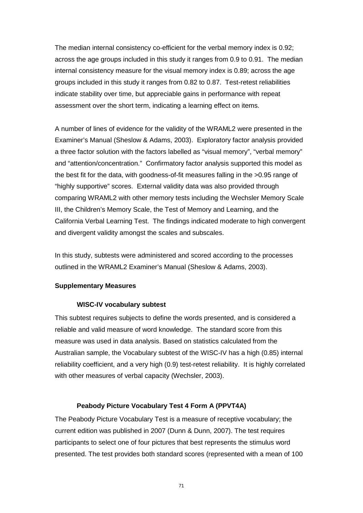The median internal consistency co-efficient for the verbal memory index is 0.92; across the age groups included in this study it ranges from 0.9 to 0.91. The median internal consistency measure for the visual memory index is 0.89; across the age groups included in this study it ranges from 0.82 to 0.87. Test-retest reliabilities indicate stability over time, but appreciable gains in performance with repeat assessment over the short term, indicating a learning effect on items.

A number of lines of evidence for the validity of the WRAML2 were presented in the Examiner's Manual (Sheslow & Adams, 2003). Exploratory factor analysis provided a three factor solution with the factors labelled as "visual memory", "verbal memory" and "attention/concentration." Confirmatory factor analysis supported this model as the best fit for the data, with goodness-of-fit measures falling in the >0.95 range of "highly supportive" scores. External validity data was also provided through comparing WRAML2 with other memory tests including the Wechsler Memory Scale III, the Children's Memory Scale, the Test of Memory and Learning, and the California Verbal Learning Test. The findings indicated moderate to high convergent and divergent validity amongst the scales and subscales.

In this study, subtests were administered and scored according to the processes outlined in the WRAML2 Examiner's Manual (Sheslow & Adams, 2003).

## **Supplementary Measures**

#### **WISC-IV vocabulary subtest**

This subtest requires subjects to define the words presented, and is considered a reliable and valid measure of word knowledge. The standard score from this measure was used in data analysis. Based on statistics calculated from the Australian sample, the Vocabulary subtest of the WISC-IV has a high (0.85) internal reliability coefficient, and a very high (0.9) test-retest reliability. It is highly correlated with other measures of verbal capacity (Wechsler, 2003).

#### **Peabody Picture Vocabulary Test 4 Form A (PPVT4A)**

The Peabody Picture Vocabulary Test is a measure of receptive vocabulary; the current edition was published in 2007 (Dunn & Dunn, 2007). The test requires participants to select one of four pictures that best represents the stimulus word presented. The test provides both standard scores (represented with a mean of 100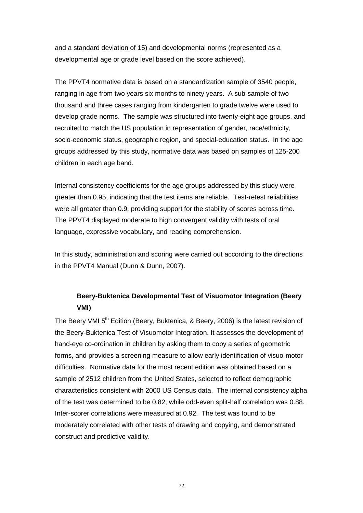and a standard deviation of 15) and developmental norms (represented as a developmental age or grade level based on the score achieved).

The PPVT4 normative data is based on a standardization sample of 3540 people, ranging in age from two years six months to ninety years. A sub-sample of two thousand and three cases ranging from kindergarten to grade twelve were used to develop grade norms. The sample was structured into twenty-eight age groups, and recruited to match the US population in representation of gender, race/ethnicity, socio-economic status, geographic region, and special-education status. In the age groups addressed by this study, normative data was based on samples of 125-200 children in each age band.

Internal consistency coefficients for the age groups addressed by this study were greater than 0.95, indicating that the test items are reliable. Test-retest reliabilities were all greater than 0.9, providing support for the stability of scores across time. The PPVT4 displayed moderate to high convergent validity with tests of oral language, expressive vocabulary, and reading comprehension.

In this study, administration and scoring were carried out according to the directions in the PPVT4 Manual (Dunn & Dunn, 2007).

# **Beery-Buktenica Developmental Test of Visuomotor Integration (Beery VMI)**

The Beery VMI 5<sup>th</sup> Edition (Beery, Buktenica, & Beery, 2006) is the latest revision of the Beery-Buktenica Test of Visuomotor Integration. It assesses the development of hand-eye co-ordination in children by asking them to copy a series of geometric forms, and provides a screening measure to allow early identification of visuo-motor difficulties. Normative data for the most recent edition was obtained based on a sample of 2512 children from the United States, selected to reflect demographic characteristics consistent with 2000 US Census data. The internal consistency alpha of the test was determined to be 0.82, while odd-even split-half correlation was 0.88. Inter-scorer correlations were measured at 0.92. The test was found to be moderately correlated with other tests of drawing and copying, and demonstrated construct and predictive validity.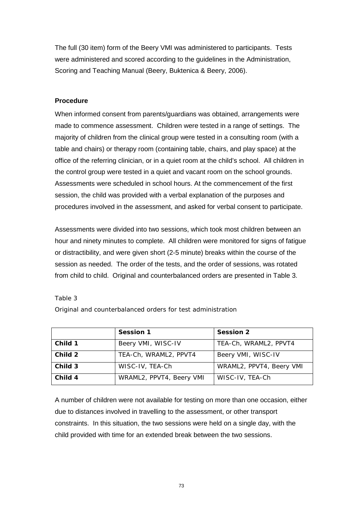The full (30 item) form of the Beery VMI was administered to participants. Tests were administered and scored according to the guidelines in the Administration, Scoring and Teaching Manual (Beery, Buktenica & Beery, 2006).

# **Procedure**

When informed consent from parents/guardians was obtained, arrangements were made to commence assessment. Children were tested in a range of settings. The majority of children from the clinical group were tested in a consulting room (with a table and chairs) or therapy room (containing table, chairs, and play space) at the office of the referring clinician, or in a quiet room at the child's school. All children in the control group were tested in a quiet and vacant room on the school grounds. Assessments were scheduled in school hours. At the commencement of the first session, the child was provided with a verbal explanation of the purposes and procedures involved in the assessment, and asked for verbal consent to participate.

Assessments were divided into two sessions, which took most children between an hour and ninety minutes to complete. All children were monitored for signs of fatigue or distractibility, and were given short (2-5 minute) breaks within the course of the session as needed. The order of the tests, and the order of sessions, was rotated from child to child. Original and counterbalanced orders are presented in Table 3.

### Table 3

*Original and counterbalanced orders for test administration*

|         | <b>Session 1</b>         | <b>Session 2</b>         |
|---------|--------------------------|--------------------------|
| Child 1 | Beery VMI, WISC-IV       | TEA-Ch, WRAML2, PPVT4    |
| Child 2 | TEA-Ch, WRAML2, PPVT4    | Beery VMI, WISC-IV       |
| Child 3 | WISC-IV, TEA-Ch          | WRAML2, PPVT4, Beery VMI |
| Child 4 | WRAML2, PPVT4, Beery VMI | WISC-IV, TEA-Ch          |

A number of children were not available for testing on more than one occasion, either due to distances involved in travelling to the assessment, or other transport constraints. In this situation, the two sessions were held on a single day, with the child provided with time for an extended break between the two sessions.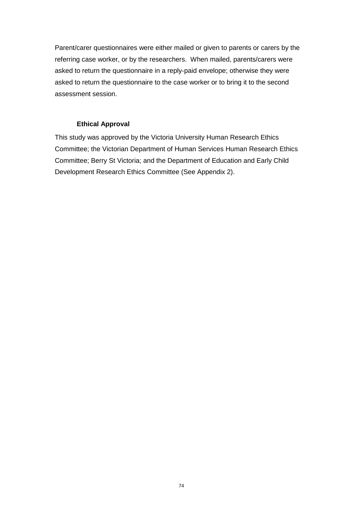Parent/carer questionnaires were either mailed or given to parents or carers by the referring case worker, or by the researchers. When mailed, parents/carers were asked to return the questionnaire in a reply-paid envelope; otherwise they were asked to return the questionnaire to the case worker or to bring it to the second assessment session.

# **Ethical Approval**

This study was approved by the Victoria University Human Research Ethics Committee; the Victorian Department of Human Services Human Research Ethics Committee; Berry St Victoria; and the Department of Education and Early Child Development Research Ethics Committee (See Appendix 2).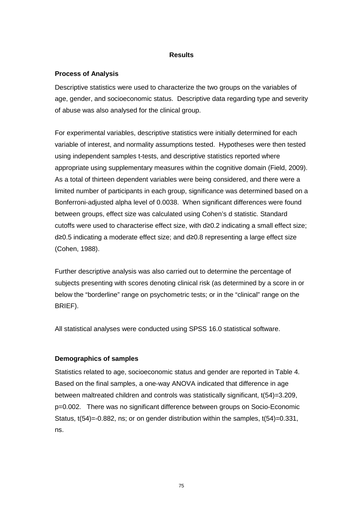# **Results**

### **Process of Analysis**

Descriptive statistics were used to characterize the two groups on the variables of age, gender, and socioeconomic status. Descriptive data regarding type and severity of abuse was also analysed for the clinical group.

For experimental variables, descriptive statistics were initially determined for each variable of interest, and normality assumptions tested. Hypotheses were then tested using independent samples t-tests, and descriptive statistics reported where appropriate using supplementary measures within the cognitive domain (Field, 2009). As a total of thirteen dependent variables were being considered, and there were a limited number of participants in each group, significance was determined based on a Bonferroni-adjusted alpha level of 0.0038. When significant differences were found between groups, effect size was calculated using Cohen's d statistic. Standard cutoffs were used to characterise effect size, with d≥0.2 indicating a small effect size; d≥0.5 indicating a moderate effect size; and d≥0.8 representing a large effect size (Cohen, 1988).

Further descriptive analysis was also carried out to determine the percentage of subjects presenting with scores denoting clinical risk (as determined by a score in or below the "borderline" range on psychometric tests; or in the "clinical" range on the BRIEF).

All statistical analyses were conducted using SPSS 16.0 statistical software.

# **Demographics of samples**

Statistics related to age, socioeconomic status and gender are reported in Table 4. Based on the final samples, a one-way ANOVA indicated that difference in age between maltreated children and controls was statistically significant, t(54)=3.209, p=0.002. There was no significant difference between groups on Socio-Economic Status, t(54)=-0.882, ns; or on gender distribution within the samples, t(54)=0.331, ns.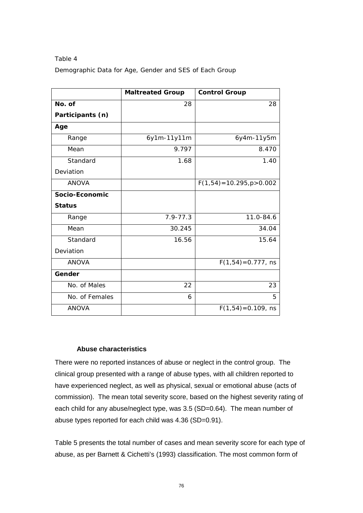| Table 4                                                |  |  |  |
|--------------------------------------------------------|--|--|--|
| Demographic Data for Age, Gender and SES of Each Group |  |  |  |

|                  | <b>Maltreated Group</b> | <b>Control Group</b>          |
|------------------|-------------------------|-------------------------------|
| No. of           | 28                      | 28                            |
| Participants (n) |                         |                               |
| Age              |                         |                               |
| Range            | 6y1m-11y11m             | 6y4m-11y5m                    |
| Mean             | 9.797                   | 8.470                         |
| Standard         | 1.68                    | 1.40                          |
| Deviation        |                         |                               |
| <b>ANOVA</b>     |                         | $F(1,54) = 10.295, p > 0.002$ |
| Socio-Economic   |                         |                               |
| <b>Status</b>    |                         |                               |
| Range            | $7.9 - 77.3$            | 11.0-84.6                     |
| Mean             | 30.245                  | 34.04                         |
| Standard         | 16.56                   | 15.64                         |
| Deviation        |                         |                               |
| <b>ANOVA</b>     |                         | $F(1,54) = 0.777$ , ns        |
| Gender           |                         |                               |
| No. of Males     | 22                      | 23                            |
| No. of Females   | 6                       | 5                             |
| <b>ANOVA</b>     |                         | $F(1,54) = 0.109$ , ns        |

# **Abuse characteristics**

There were no reported instances of abuse or neglect in the control group. The clinical group presented with a range of abuse types, with all children reported to have experienced neglect, as well as physical, sexual or emotional abuse (acts of commission). The mean total severity score, based on the highest severity rating of each child for any abuse/neglect type, was 3.5 (SD=0.64). The mean number of abuse types reported for each child was 4.36 (SD=0.91).

Table 5 presents the total number of cases and mean severity score for each type of abuse, as per Barnett & Cichetti's (1993) classification. The most common form of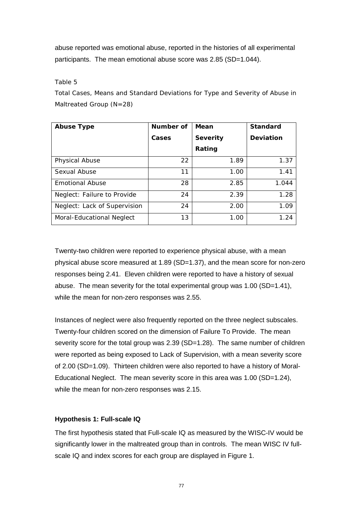abuse reported was emotional abuse, reported in the histories of all experimental participants. The mean emotional abuse score was 2.85 (SD=1.044).

Table 5

*Total Cases, Means and Standard Deviations for Type and Severity of Abuse in Maltreated Group (N=28)*

| <b>Abuse Type</b>            | Number of | Mean            | <b>Standard</b> |
|------------------------------|-----------|-----------------|-----------------|
|                              | Cases     | <b>Severity</b> | Deviation       |
|                              |           | Rating          |                 |
| <b>Physical Abuse</b>        | 22        | 1.89            | 1.37            |
| Sexual Abuse                 | 11        | 1.00            | 1.41            |
| <b>Emotional Abuse</b>       | 28        | 2.85            | 1.044           |
| Neglect: Failure to Provide  | 24        | 2.39            | 1.28            |
| Neglect: Lack of Supervision | 24        | 2.00            | 1.09            |
| Moral-Educational Neglect    | 13        | 1.00            | 1.24            |

Twenty-two children were reported to experience physical abuse, with a mean physical abuse score measured at 1.89 (SD=1.37), and the mean score for non-zero responses being 2.41. Eleven children were reported to have a history of sexual abuse. The mean severity for the total experimental group was 1.00 (SD=1.41), while the mean for non-zero responses was 2.55.

Instances of neglect were also frequently reported on the three neglect subscales. Twenty-four children scored on the dimension of Failure To Provide. The mean severity score for the total group was 2.39 (SD=1.28). The same number of children were reported as being exposed to Lack of Supervision, with a mean severity score of 2.00 (SD=1.09). Thirteen children were also reported to have a history of Moral-Educational Neglect. The mean severity score in this area was 1.00 (SD=1.24), while the mean for non-zero responses was 2.15.

# **Hypothesis 1: Full-scale IQ**

The first hypothesis stated that Full-scale IQ as measured by the WISC-IV would be significantly lower in the maltreated group than in controls. The mean WISC IV fullscale IQ and index scores for each group are displayed in Figure 1.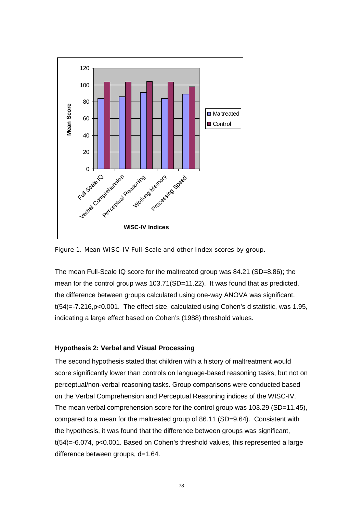

*Figure 1.* Mean WISC-IV Full-Scale and other Index scores by group.

The mean Full-Scale IQ score for the maltreated group was 84.21 (SD=8.86); the mean for the control group was 103.71(SD=11.22). It was found that as predicted, the difference between groups calculated using one-way ANOVA was significant, t(54)=-7.216,p<0.001. The effect size, calculated using Cohen's d statistic, was 1.95, indicating a large effect based on Cohen's (1988) threshold values.

### **Hypothesis 2: Verbal and Visual Processing**

The second hypothesis stated that children with a history of maltreatment would score significantly lower than controls on language-based reasoning tasks, but not on perceptual/non-verbal reasoning tasks. Group comparisons were conducted based on the Verbal Comprehension and Perceptual Reasoning indices of the WISC-IV. The mean verbal comprehension score for the control group was 103.29 (SD=11.45), compared to a mean for the maltreated group of 86.11 (SD=9.64). Consistent with the hypothesis, it was found that the difference between groups was significant, t(54)=-6.074, p<0.001. Based on Cohen's threshold values, this represented a large difference between groups, d=1.64.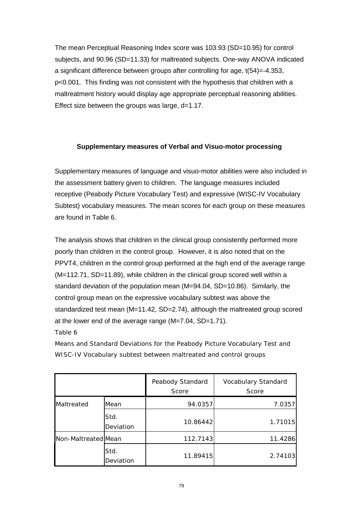The mean Perceptual Reasoning Index score was 103.93 (SD=10.95) for control subjects, and 90.96 (SD=11.33) for maltreated subjects. One-way ANOVA indicated a significant difference between groups after controlling for age,  $t(54) = -4.353$ , p<0.001. This finding was not consistent with the hypothesis that children with a maltreatment history would display age appropriate perceptual reasoning abilities. Effect size between the groups was large,  $d=1.17$ .

# **Supplementary measures of Verbal and Visuo-motor processing**

Supplementary measures of language and visuo-motor abilities were also included in the assessment battery given to children. The language measures included receptive (Peabody Picture Vocabulary Test) and expressive (WISC-IV Vocabulary Subtest) vocabulary measures. The mean scores for each group on these measures are found in Table 6.

The analysis shows that children in the clinical group consistently performed more poorly than children in the control group. However, it is also noted that on the PPVT4, children in the control group performed at the high end of the average range (M=112.71, SD=11.89), while children in the clinical group scored well within a standard deviation of the population mean (M=94.04, SD=10.86). Similarly, the control group mean on the expressive vocabulary subtest was above the standardized test mean (M=11.42, SD=2.74), although the maltreated group scored at the lower end of the average range (M=7.04, SD=1.71).

Table 6

*Means and Standard Deviations for the Peabody Picture Vocabulary Test and WISC-IV Vocabulary subtest between maltreated and control groups*

|                     |                   | Peabody Standard<br>Score | Vocabulary Standard<br>Score |
|---------------------|-------------------|---------------------------|------------------------------|
| Maltreated          | Mean              | 94.0357                   | 7.0357                       |
|                     | Std.<br>Deviation | 10.86442                  | 1.71015                      |
| Non-Maltreated Mean |                   | 112.7143                  | 11.4286                      |
|                     | Std.<br>Deviation | 11.89415                  | 2.74103                      |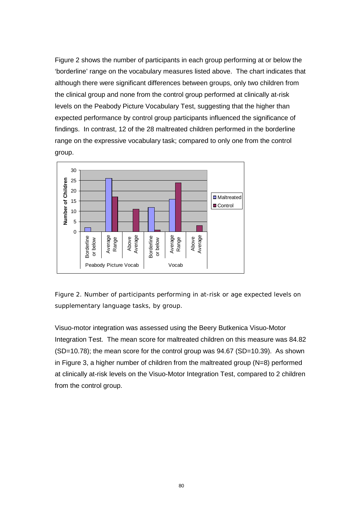Figure 2 shows the number of participants in each group performing at or below the 'borderline' range on the vocabulary measures listed above. The chart indicates that although there were significant differences between groups, only two children from the clinical group and none from the control group performed at clinically at-risk levels on the Peabody Picture Vocabulary Test, suggesting that the higher than expected performance by control group participants influenced the significance of findings. In contrast, 12 of the 28 maltreated children performed in the borderline range on the expressive vocabulary task; compared to only one from the control group.





Visuo-motor integration was assessed using the Beery Butkenica Visuo-Motor Integration Test. The mean score for maltreated children on this measure was 84.82 (SD=10.78); the mean score for the control group was 94.67 (SD=10.39). As shown in Figure 3, a higher number of children from the maltreated group (N=8) performed at clinically at-risk levels on the Visuo-Motor Integration Test, compared to 2 children from the control group.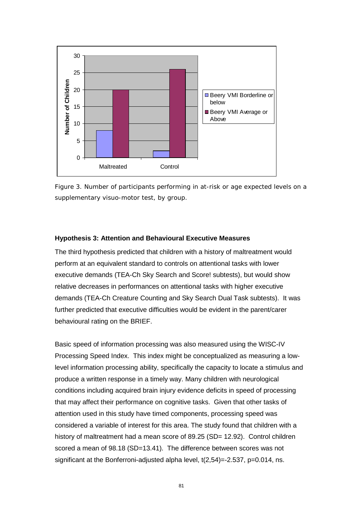



#### **Hypothesis 3: Attention and Behavioural Executive Measures**

The third hypothesis predicted that children with a history of maltreatment would perform at an equivalent standard to controls on attentional tasks with lower executive demands (TEA-Ch Sky Search and Score! subtests), but would show relative decreases in performances on attentional tasks with higher executive demands (TEA-Ch Creature Counting and Sky Search Dual Task subtests). It was further predicted that executive difficulties would be evident in the parent/carer behavioural rating on the BRIEF.

Basic speed of information processing was also measured using the WISC-IV Processing Speed Index. This index might be conceptualized as measuring a lowlevel information processing ability, specifically the capacity to locate a stimulus and produce a written response in a timely way. Many children with neurological conditions including acquired brain injury evidence deficits in speed of processing that may affect their performance on cognitive tasks. Given that other tasks of attention used in this study have timed components, processing speed was considered a variable of interest for this area. The study found that children with a history of maltreatment had a mean score of 89.25 (SD= 12.92). Control children scored a mean of 98.18 (SD=13.41). The difference between scores was not significant at the Bonferroni-adjusted alpha level,  $t(2,54) = -2.537$ ,  $p = 0.014$ , ns.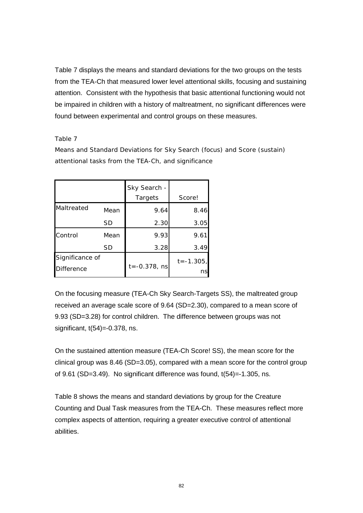Table 7 displays the means and standard deviations for the two groups on the tests from the TEA-Ch that measured lower level attentional skills, focusing and sustaining attention. Consistent with the hypothesis that basic attentional functioning would not be impaired in children with a history of maltreatment, no significant differences were found between experimental and control groups on these measures.

Table 7

*Means and Standard Deviations for Sky Search (focus) and Score (sustain) attentional tasks from the TEA-Ch, and significance*

|                                      |           | Sky Search -<br>Targets | Score!               |
|--------------------------------------|-----------|-------------------------|----------------------|
| Maltreated                           | Mean      | 9.64                    | 8.46                 |
|                                      | <b>SD</b> | 2.30                    | 3.05                 |
| Control                              | Mean      | 9.93                    | 9.61                 |
|                                      | SD        | 3.28                    | 3.49                 |
| Significance of<br><b>Difference</b> |           | $t = -0.378$ , ns       | $t = -1.305$ ,<br>ns |

On the focusing measure (TEA-Ch Sky Search-Targets SS), the maltreated group received an average scale score of 9.64 (SD=2.30), compared to a mean score of 9.93 (SD=3.28) for control children. The difference between groups was not significant, t(54)=-0.378, ns.

On the sustained attention measure (TEA-Ch Score! SS), the mean score for the clinical group was 8.46 (SD=3.05), compared with a mean score for the control group of 9.61 (SD=3.49). No significant difference was found, t(54)=-1.305, ns.

Table 8 shows the means and standard deviations by group for the Creature Counting and Dual Task measures from the TEA-Ch. These measures reflect more complex aspects of attention, requiring a greater executive control of attentional abilities.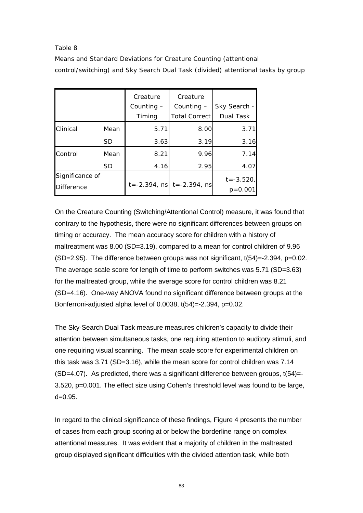### Table 8

*Means and Standard Deviations for Creature Counting (attentional control/switching) and Sky Search Dual Task (divided) attentional tasks by group*

|                                      |           | Creature<br>Counting $-$<br>Timing | Creature<br>Counting $-$<br><b>Total Correct</b> | Sky Search -<br>Dual Task    |
|--------------------------------------|-----------|------------------------------------|--------------------------------------------------|------------------------------|
| Clinical                             | Mean      | 5.71                               | 8.00                                             | 3.71                         |
|                                      | <b>SD</b> | 3.63                               | 3.19                                             | 3.16                         |
| Control                              | Mean      | 8.21                               | 9.96                                             | 7.14                         |
|                                      | <b>SD</b> | 4.16                               | 2.95                                             | 4.07                         |
| Significance of<br><b>Difference</b> |           |                                    | $t = -2.394$ , ns $t = -2.394$ , ns              | $t = -3.520,$<br>$p = 0.001$ |

On the Creature Counting (Switching/Attentional Control) measure, it was found that contrary to the hypothesis, there were no significant differences between groups on timing or accuracy. The mean accuracy score for children with a history of maltreatment was 8.00 (SD=3.19), compared to a mean for control children of 9.96  $(SD=2.95)$ . The difference between groups was not significant,  $t(54) = -2.394$ ,  $p=0.02$ . The average scale score for length of time to perform switches was 5.71 (SD=3.63) for the maltreated group, while the average score for control children was 8.21 (SD=4.16). One-way ANOVA found no significant difference between groups at the Bonferroni-adjusted alpha level of 0.0038, t(54)=-2.394, p=0.02.

The Sky-Search Dual Task measure measures children's capacity to divide their attention between simultaneous tasks, one requiring attention to auditory stimuli, and one requiring visual scanning. The mean scale score for experimental children on this task was 3.71 (SD=3.16), while the mean score for control children was 7.14  $(SD=4.07)$ . As predicted, there was a significant difference between groups,  $t(54)$ = 3.520, p=0.001. The effect size using Cohen's threshold level was found to be large,  $d=0.95$ .

In regard to the clinical significance of these findings, Figure 4 presents the number of cases from each group scoring at or below the borderline range on complex attentional measures. It was evident that a majority of children in the maltreated group displayed significant difficulties with the divided attention task, while both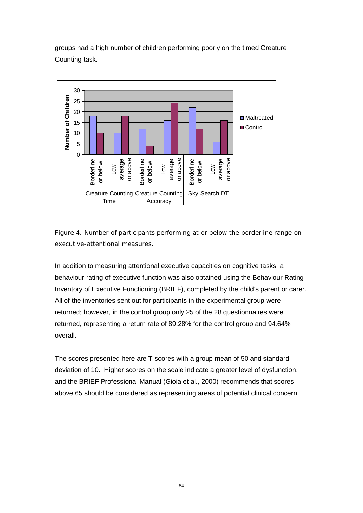groups had a high number of children performing poorly on the timed Creature Counting task.



*Figure 4.* Number of participants performing at or below the borderline range on executive-attentional measures.

In addition to measuring attentional executive capacities on cognitive tasks, a behaviour rating of executive function was also obtained using the Behaviour Rating Inventory of Executive Functioning (BRIEF), completed by the child's parent or carer. All of the inventories sent out for participants in the experimental group were returned; however, in the control group only 25 of the 28 questionnaires were returned, representing a return rate of 89.28% for the control group and 94.64% overall.

The scores presented here are T-scores with a group mean of 50 and standard deviation of 10. Higher scores on the scale indicate a greater level of dysfunction, and the BRIEF Professional Manual (Gioia et al., 2000) recommends that scores above 65 should be considered as representing areas of potential clinical concern.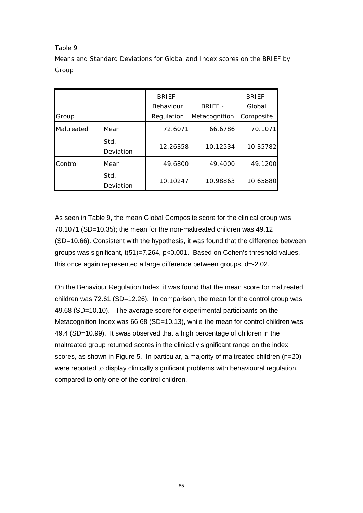# Table 9

*Means and Standard Deviations for Global and Index scores on the BRIEF by Group* 

|            |                   | <b>BRIEF-</b> |               | BRIEF-    |
|------------|-------------------|---------------|---------------|-----------|
|            |                   | Behaviour     | BRIEF -       | Global    |
| Group      |                   | Regulation    | Metacognition | Composite |
| Maltreated | Mean              | 72.6071       | 66.6786       | 70.1071   |
|            | Std.<br>Deviation | 12.26358      | 10.12534      | 10.35782  |
| Control    | Mean              | 49.6800       | 49.4000       | 49.1200   |
|            | Std.<br>Deviation | 10.10247      | 10.98863      | 10.65880  |

As seen in Table 9, the mean Global Composite score for the clinical group was 70.1071 (SD=10.35); the mean for the non-maltreated children was 49.12 (SD=10.66). Consistent with the hypothesis, it was found that the difference between groups was significant, t(51)=7.264, p<0.001. Based on Cohen's threshold values, this once again represented a large difference between groups, d=-2.02.

On the Behaviour Regulation Index, it was found that the mean score for maltreated children was 72.61 (SD=12.26). In comparison, the mean for the control group was 49.68 (SD=10.10). The average score for experimental participants on the Metacognition Index was 66.68 (SD=10.13), while the mean for control children was 49.4 (SD=10.99). It swas observed that a high percentage of children in the maltreated group returned scores in the clinically significant range on the index scores, as shown in Figure 5. In particular, a majority of maltreated children (n=20) were reported to display clinically significant problems with behavioural regulation, compared to only one of the control children.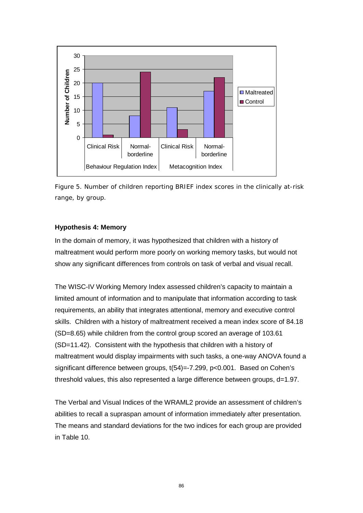



### **Hypothesis 4: Memory**

In the domain of memory, it was hypothesized that children with a history of maltreatment would perform more poorly on working memory tasks, but would not show any significant differences from controls on task of verbal and visual recall.

The WISC-IV Working Memory Index assessed children's capacity to maintain a limited amount of information and to manipulate that information according to task requirements, an ability that integrates attentional, memory and executive control skills. Children with a history of maltreatment received a mean index score of 84.18 (SD=8.65) while children from the control group scored an average of 103.61 (SD=11.42). Consistent with the hypothesis that children with a history of maltreatment would display impairments with such tasks, a one-way ANOVA found a significant difference between groups, t(54)=-7.299, p<0.001. Based on Cohen's threshold values, this also represented a large difference between groups, d=1.97.

The Verbal and Visual Indices of the WRAML2 provide an assessment of children's abilities to recall a supraspan amount of information immediately after presentation. The means and standard deviations for the two indices for each group are provided in Table 10.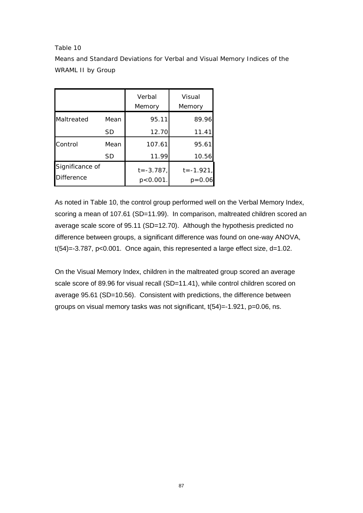### Table 10

*Means and Standard Deviations for Verbal and Visual Memory Indices of the WRAML II by Group* 

|                   |           | Verbal<br>Memory | Visual<br>Memory |
|-------------------|-----------|------------------|------------------|
| Maltreated        | Mean      | 95.11            | 89.96            |
|                   | <b>SD</b> | 12.70            | 11.41            |
| Control           | Mean      | 107.61           | 95.61            |
|                   | SD        | 11.99            | 10.56            |
| Significance of   |           | $t = -3.787$ ,   | $t = -1.921$     |
| <b>Difference</b> |           | $p < 0.001$ .    | $p = 0.06$       |

As noted in Table 10, the control group performed well on the Verbal Memory Index, scoring a mean of 107.61 (SD=11.99). In comparison, maltreated children scored an average scale score of 95.11 (SD=12.70). Although the hypothesis predicted no difference between groups, a significant difference was found on one-way ANOVA, t(54)=-3.787, p<0.001. Once again, this represented a large effect size, d=1.02.

On the Visual Memory Index, children in the maltreated group scored an average scale score of 89.96 for visual recall (SD=11.41), while control children scored on average 95.61 (SD=10.56). Consistent with predictions, the difference between groups on visual memory tasks was not significant, t(54)=-1.921, p=0.06, ns.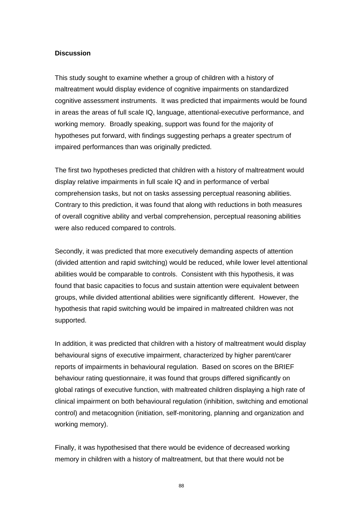### **Discussion**

This study sought to examine whether a group of children with a history of maltreatment would display evidence of cognitive impairments on standardized cognitive assessment instruments. It was predicted that impairments would be found in areas the areas of full scale IQ, language, attentional-executive performance, and working memory. Broadly speaking, support was found for the majority of hypotheses put forward, with findings suggesting perhaps a greater spectrum of impaired performances than was originally predicted.

The first two hypotheses predicted that children with a history of maltreatment would display relative impairments in full scale IQ and in performance of verbal comprehension tasks, but not on tasks assessing perceptual reasoning abilities. Contrary to this prediction, it was found that along with reductions in both measures of overall cognitive ability and verbal comprehension, perceptual reasoning abilities were also reduced compared to controls.

Secondly, it was predicted that more executively demanding aspects of attention (divided attention and rapid switching) would be reduced, while lower level attentional abilities would be comparable to controls. Consistent with this hypothesis, it was found that basic capacities to focus and sustain attention were equivalent between groups, while divided attentional abilities were significantly different. However, the hypothesis that rapid switching would be impaired in maltreated children was not supported.

In addition, it was predicted that children with a history of maltreatment would display behavioural signs of executive impairment, characterized by higher parent/carer reports of impairments in behavioural regulation. Based on scores on the BRIEF behaviour rating questionnaire, it was found that groups differed significantly on global ratings of executive function, with maltreated children displaying a high rate of clinical impairment on both behavioural regulation (inhibition, switching and emotional control) and metacognition (initiation, self-monitoring, planning and organization and working memory).

Finally, it was hypothesised that there would be evidence of decreased working memory in children with a history of maltreatment, but that there would not be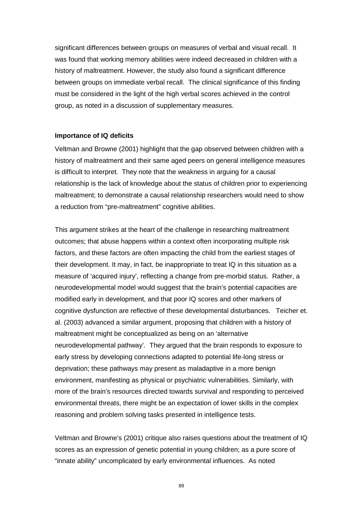significant differences between groups on measures of verbal and visual recall. It was found that working memory abilities were indeed decreased in children with a history of maltreatment. However, the study also found a significant difference between groups on immediate verbal recall. The clinical significance of this finding must be considered in the light of the high verbal scores achieved in the control group, as noted in a discussion of supplementary measures.

### **Importance of IQ deficits**

Veltman and Browne (2001) highlight that the gap observed between children with a history of maltreatment and their same aged peers on general intelligence measures is difficult to interpret. They note that the weakness in arguing for a causal relationship is the lack of knowledge about the status of children prior to experiencing maltreatment; to demonstrate a causal relationship researchers would need to show a reduction from "pre-maltreatment" cognitive abilities.

This argument strikes at the heart of the challenge in researching maltreatment outcomes; that abuse happens within a context often incorporating multiple risk factors, and these factors are often impacting the child from the earliest stages of their development. It may, in fact, be inappropriate to treat IQ in this situation as a measure of 'acquired injury', reflecting a change from pre-morbid status. Rather, a neurodevelopmental model would suggest that the brain's potential capacities are modified early in development, and that poor IQ scores and other markers of cognitive dysfunction are reflective of these developmental disturbances. Teicher et. al. (2003) advanced a similar argument, proposing that children with a history of maltreatment might be conceptualized as being on an 'alternative neurodevelopmental pathway'. They argued that the brain responds to exposure to early stress by developing connections adapted to potential life-long stress or deprivation; these pathways may present as maladaptive in a more benign environment, manifesting as physical or psychiatric vulnerabilities. Similarly, with more of the brain's resources directed towards survival and responding to perceived environmental threats, there might be an expectation of lower skills in the complex reasoning and problem solving tasks presented in intelligence tests.

Veltman and Browne's (2001) critique also raises questions about the treatment of IQ scores as an expression of genetic potential in young children; as a pure score of "innate ability" uncomplicated by early environmental influences. As noted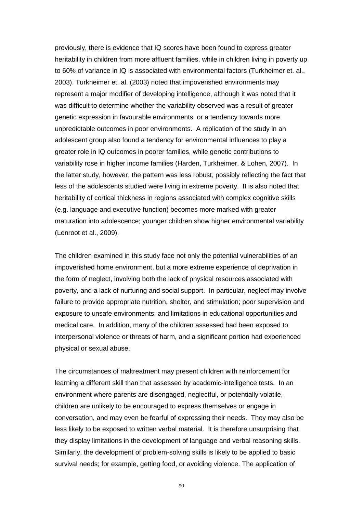previously, there is evidence that IQ scores have been found to express greater heritability in children from more affluent families, while in children living in poverty up to 60% of variance in IQ is associated with environmental factors (Turkheimer et. al., 2003). Turkheimer et. al. (2003) noted that impoverished environments may represent a major modifier of developing intelligence, although it was noted that it was difficult to determine whether the variability observed was a result of greater genetic expression in favourable environments, or a tendency towards more unpredictable outcomes in poor environments. A replication of the study in an adolescent group also found a tendency for environmental influences to play a greater role in IQ outcomes in poorer families, while genetic contributions to variability rose in higher income families (Harden, Turkheimer, & Lohen, 2007). In the latter study, however, the pattern was less robust, possibly reflecting the fact that less of the adolescents studied were living in extreme poverty. It is also noted that heritability of cortical thickness in regions associated with complex cognitive skills (e.g. language and executive function) becomes more marked with greater maturation into adolescence; younger children show higher environmental variability (Lenroot et al., 2009).

The children examined in this study face not only the potential vulnerabilities of an impoverished home environment, but a more extreme experience of deprivation in the form of neglect, involving both the lack of physical resources associated with poverty, and a lack of nurturing and social support. In particular, neglect may involve failure to provide appropriate nutrition, shelter, and stimulation; poor supervision and exposure to unsafe environments; and limitations in educational opportunities and medical care. In addition, many of the children assessed had been exposed to interpersonal violence or threats of harm, and a significant portion had experienced physical or sexual abuse.

The circumstances of maltreatment may present children with reinforcement for learning a different skill than that assessed by academic-intelligence tests. In an environment where parents are disengaged, neglectful, or potentially volatile, children are unlikely to be encouraged to express themselves or engage in conversation, and may even be fearful of expressing their needs. They may also be less likely to be exposed to written verbal material. It is therefore unsurprising that they display limitations in the development of language and verbal reasoning skills. Similarly, the development of problem-solving skills is likely to be applied to basic survival needs; for example, getting food, or avoiding violence. The application of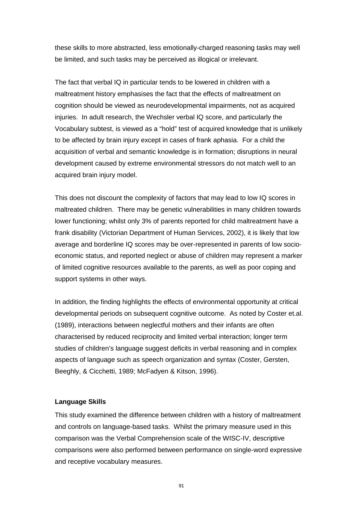these skills to more abstracted, less emotionally-charged reasoning tasks may well be limited, and such tasks may be perceived as illogical or irrelevant.

The fact that verbal IQ in particular tends to be lowered in children with a maltreatment history emphasises the fact that the effects of maltreatment on cognition should be viewed as neurodevelopmental impairments, not as acquired injuries. In adult research, the Wechsler verbal IQ score, and particularly the Vocabulary subtest, is viewed as a "hold" test of acquired knowledge that is unlikely to be affected by brain injury except in cases of frank aphasia. For a child the acquisition of verbal and semantic knowledge is in formation; disruptions in neural development caused by extreme environmental stressors do not match well to an acquired brain injury model.

This does not discount the complexity of factors that may lead to low IQ scores in maltreated children. There may be genetic vulnerabilities in many children towards lower functioning; whilst only 3% of parents reported for child maltreatment have a frank disability (Victorian Department of Human Services, 2002), it is likely that low average and borderline IQ scores may be over-represented in parents of low socioeconomic status, and reported neglect or abuse of children may represent a marker of limited cognitive resources available to the parents, as well as poor coping and support systems in other ways.

In addition, the finding highlights the effects of environmental opportunity at critical developmental periods on subsequent cognitive outcome. As noted by Coster et.al. (1989), interactions between neglectful mothers and their infants are often characterised by reduced reciprocity and limited verbal interaction; longer term studies of children's language suggest deficits in verbal reasoning and in complex aspects of language such as speech organization and syntax (Coster, Gersten, Beeghly, & Cicchetti, 1989; McFadyen & Kitson, 1996).

### **Language Skills**

This study examined the difference between children with a history of maltreatment and controls on language-based tasks. Whilst the primary measure used in this comparison was the Verbal Comprehension scale of the WISC-IV, descriptive comparisons were also performed between performance on single-word expressive and receptive vocabulary measures.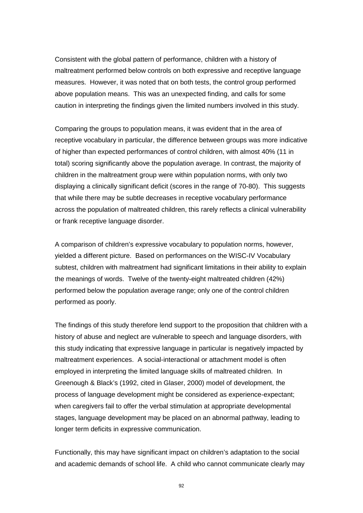Consistent with the global pattern of performance, children with a history of maltreatment performed below controls on both expressive and receptive language measures. However, it was noted that on both tests, the control group performed above population means. This was an unexpected finding, and calls for some caution in interpreting the findings given the limited numbers involved in this study.

Comparing the groups to population means, it was evident that in the area of receptive vocabulary in particular, the difference between groups was more indicative of higher than expected performances of control children, with almost 40% (11 in total) scoring significantly above the population average. In contrast, the majority of children in the maltreatment group were within population norms, with only two displaying a clinically significant deficit (scores in the range of 70-80). This suggests that while there may be subtle decreases in receptive vocabulary performance across the population of maltreated children, this rarely reflects a clinical vulnerability or frank receptive language disorder.

A comparison of children's expressive vocabulary to population norms, however, yielded a different picture. Based on performances on the WISC-IV Vocabulary subtest, children with maltreatment had significant limitations in their ability to explain the meanings of words. Twelve of the twenty-eight maltreated children (42%) performed below the population average range; only one of the control children performed as poorly.

The findings of this study therefore lend support to the proposition that children with a history of abuse and neglect are vulnerable to speech and language disorders, with this study indicating that expressive language in particular is negatively impacted by maltreatment experiences. A social-interactional or attachment model is often employed in interpreting the limited language skills of maltreated children. In Greenough & Black's (1992, cited in Glaser, 2000) model of development, the process of language development might be considered as experience-expectant; when caregivers fail to offer the verbal stimulation at appropriate developmental stages, language development may be placed on an abnormal pathway, leading to longer term deficits in expressive communication.

Functionally, this may have significant impact on children's adaptation to the social and academic demands of school life. A child who cannot communicate clearly may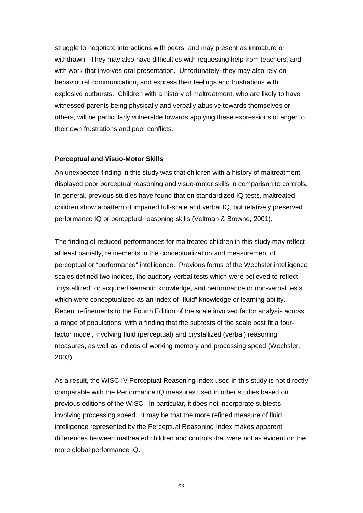struggle to negotiate interactions with peers, and may present as immature or withdrawn. They may also have difficulties with requesting help from teachers, and with work that involves oral presentation. Unfortunately, they may also rely on behavioural communication, and express their feelings and frustrations with explosive outbursts. Children with a history of maltreatment, who are likely to have witnessed parents being physically and verbally abusive towards themselves or others, will be particularly vulnerable towards applying these expressions of anger to their own frustrations and peer conflicts.

#### **Perceptual and Visuo-Motor Skills**

An unexpected finding in this study was that children with a history of maltreatment displayed poor perceptual reasoning and visuo-motor skills in comparison to controls. In general, previous studies have found that on standardized IQ tests, maltreated children show a pattern of impaired full-scale and verbal IQ, but relatively preserved performance IQ or perceptual reasoning skills (Veltman & Browne, 2001).

The finding of reduced performances for maltreated children in this study may reflect, at least partially, refinements in the conceptualization and measurement of perceptual or "performance" intelligence. Previous forms of the Wechsler intelligence scales defined two indices, the auditory-verbal tests which were believed to reflect "crystallized" or acquired semantic knowledge, and performance or non-verbal tests which were conceptualized as an index of "fluid" knowledge or learning ability. Recent refinements to the Fourth Edition of the scale involved factor analysis across a range of populations, with a finding that the subtests of the scale best fit a fourfactor model, involving fluid (perceptual) and crystallized (verbal) reasoning measures, as well as indices of working memory and processing speed (Wechsler, 2003).

As a result, the WISC-IV Perceptual Reasoning index used in this study is not directly comparable with the Performance IQ measures used in other studies based on previous editions of the WISC. In particular, it does not incorporate subtests involving processing speed. It may be that the more refined measure of fluid intelligence represented by the Perceptual Reasoning Index makes apparent differences between maltreated children and controls that were not as evident on the more global performance IQ.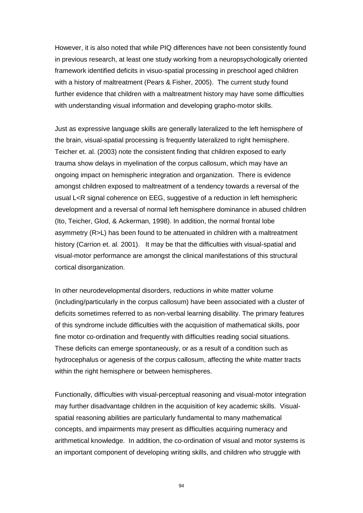However, it is also noted that while PIQ differences have not been consistently found in previous research, at least one study working from a neuropsychologically oriented framework identified deficits in visuo-spatial processing in preschool aged children with a history of maltreatment (Pears & Fisher, 2005). The current study found further evidence that children with a maltreatment history may have some difficulties with understanding visual information and developing grapho-motor skills.

Just as expressive language skills are generally lateralized to the left hemisphere of the brain, visual-spatial processing is frequently lateralized to right hemisphere. Teicher et. al. (2003) note the consistent finding that children exposed to early trauma show delays in myelination of the corpus callosum, which may have an ongoing impact on hemispheric integration and organization. There is evidence amongst children exposed to maltreatment of a tendency towards a reversal of the usual L<R signal coherence on EEG, suggestive of a reduction in left hemispheric development and a reversal of normal left hemisphere dominance in abused children (Ito, Teicher, Glod, & Ackerman, 1998). In addition, the normal frontal lobe asymmetry (R>L) has been found to be attenuated in children with a maltreatment history (Carrion et. al. 2001). It may be that the difficulties with visual-spatial and visual-motor performance are amongst the clinical manifestations of this structural cortical disorganization.

In other neurodevelopmental disorders, reductions in white matter volume (including/particularly in the corpus callosum) have been associated with a cluster of deficits sometimes referred to as non-verbal learning disability. The primary features of this syndrome include difficulties with the acquisition of mathematical skills, poor fine motor co-ordination and frequently with difficulties reading social situations. These deficits can emerge spontaneously, or as a result of a condition such as hydrocephalus or agenesis of the corpus callosum, affecting the white matter tracts within the right hemisphere or between hemispheres.

Functionally, difficulties with visual-perceptual reasoning and visual-motor integration may further disadvantage children in the acquisition of key academic skills. Visualspatial reasoning abilities are particularly fundamental to many mathematical concepts, and impairments may present as difficulties acquiring numeracy and arithmetical knowledge. In addition, the co-ordination of visual and motor systems is an important component of developing writing skills, and children who struggle with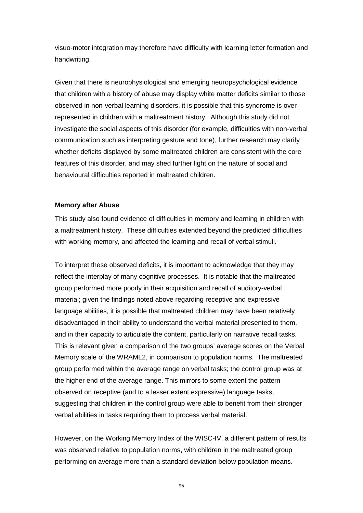visuo-motor integration may therefore have difficulty with learning letter formation and handwriting.

Given that there is neurophysiological and emerging neuropsychological evidence that children with a history of abuse may display white matter deficits similar to those observed in non-verbal learning disorders, it is possible that this syndrome is overrepresented in children with a maltreatment history. Although this study did not investigate the social aspects of this disorder (for example, difficulties with non-verbal communication such as interpreting gesture and tone), further research may clarify whether deficits displayed by some maltreated children are consistent with the core features of this disorder, and may shed further light on the nature of social and behavioural difficulties reported in maltreated children.

#### **Memory after Abuse**

This study also found evidence of difficulties in memory and learning in children with a maltreatment history. These difficulties extended beyond the predicted difficulties with working memory, and affected the learning and recall of verbal stimuli.

To interpret these observed deficits, it is important to acknowledge that they may reflect the interplay of many cognitive processes. It is notable that the maltreated group performed more poorly in their acquisition and recall of auditory-verbal material; given the findings noted above regarding receptive and expressive language abilities, it is possible that maltreated children may have been relatively disadvantaged in their ability to understand the verbal material presented to them, and in their capacity to articulate the content, particularly on narrative recall tasks. This is relevant given a comparison of the two groups' average scores on the Verbal Memory scale of the WRAML2, in comparison to population norms. The maltreated group performed within the average range on verbal tasks; the control group was at the higher end of the average range. This mirrors to some extent the pattern observed on receptive (and to a lesser extent expressive) language tasks, suggesting that children in the control group were able to benefit from their stronger verbal abilities in tasks requiring them to process verbal material.

However, on the Working Memory Index of the WISC-IV, a different pattern of results was observed relative to population norms, with children in the maltreated group performing on average more than a standard deviation below population means.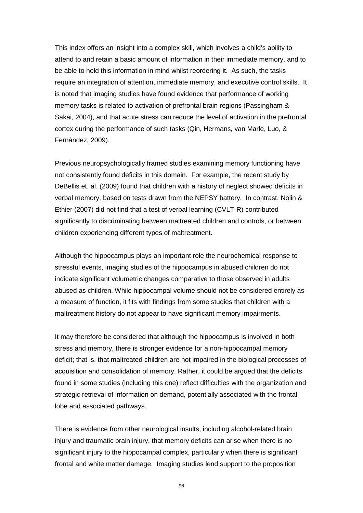This index offers an insight into a complex skill, which involves a child's ability to attend to and retain a basic amount of information in their immediate memory, and to be able to hold this information in mind whilst reordering it. As such, the tasks require an integration of attention, immediate memory, and executive control skills. It is noted that imaging studies have found evidence that performance of working memory tasks is related to activation of prefrontal brain regions (Passingham & Sakai, 2004), and that acute stress can reduce the level of activation in the prefrontal cortex during the performance of such tasks (Qin, Hermans, van Marle, Luo, & Fernández, 2009).

Previous neuropsychologically framed studies examining memory functioning have not consistently found deficits in this domain. For example, the recent study by DeBellis et. al. (2009) found that children with a history of neglect showed deficits in verbal memory, based on tests drawn from the NEPSY battery. In contrast, Nolin & Ethier (2007) did not find that a test of verbal learning (CVLT-R) contributed significantly to discriminating between maltreated children and controls, or between children experiencing different types of maltreatment.

Although the hippocampus plays an important role the neurochemical response to stressful events, imaging studies of the hippocampus in abused children do not indicate significant volumetric changes comparative to those observed in adults abused as children. While hippocampal volume should not be considered entirely as a measure of function, it fits with findings from some studies that children with a maltreatment history do not appear to have significant memory impairments.

It may therefore be considered that although the hippocampus is involved in both stress and memory, there is stronger evidence for a non-hippocampal memory deficit; that is, that maltreated children are not impaired in the biological processes of acquisition and consolidation of memory. Rather, it could be argued that the deficits found in some studies (including this one) reflect difficulties with the organization and strategic retrieval of information on demand, potentially associated with the frontal lobe and associated pathways.

There is evidence from other neurological insults, including alcohol-related brain injury and traumatic brain injury, that memory deficits can arise when there is no significant injury to the hippocampal complex, particularly when there is significant frontal and white matter damage. Imaging studies lend support to the proposition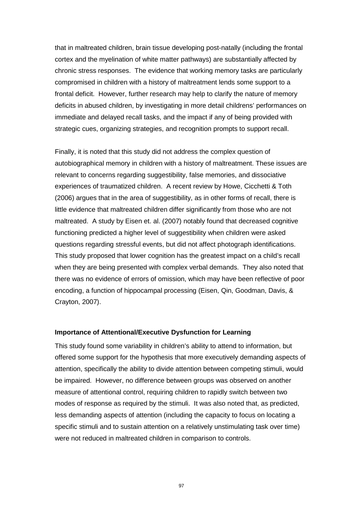that in maltreated children, brain tissue developing post-natally (including the frontal cortex and the myelination of white matter pathways) are substantially affected by chronic stress responses. The evidence that working memory tasks are particularly compromised in children with a history of maltreatment lends some support to a frontal deficit. However, further research may help to clarify the nature of memory deficits in abused children, by investigating in more detail childrens' performances on immediate and delayed recall tasks, and the impact if any of being provided with strategic cues, organizing strategies, and recognition prompts to support recall.

Finally, it is noted that this study did not address the complex question of autobiographical memory in children with a history of maltreatment. These issues are relevant to concerns regarding suggestibility, false memories, and dissociative experiences of traumatized children. A recent review by Howe, Cicchetti & Toth (2006) argues that in the area of suggestibility, as in other forms of recall, there is little evidence that maltreated children differ significantly from those who are not maltreated. A study by Eisen et. al. (2007) notably found that decreased cognitive functioning predicted a higher level of suggestibility when children were asked questions regarding stressful events, but did not affect photograph identifications. This study proposed that lower cognition has the greatest impact on a child's recall when they are being presented with complex verbal demands. They also noted that there was no evidence of errors of omission, which may have been reflective of poor encoding, a function of hippocampal processing (Eisen, Qin, Goodman, Davis, & Crayton, 2007).

### **Importance of Attentional/Executive Dysfunction for Learning**

This study found some variability in children's ability to attend to information, but offered some support for the hypothesis that more executively demanding aspects of attention, specifically the ability to divide attention between competing stimuli, would be impaired. However, no difference between groups was observed on another measure of attentional control, requiring children to rapidly switch between two modes of response as required by the stimuli. It was also noted that, as predicted, less demanding aspects of attention (including the capacity to focus on locating a specific stimuli and to sustain attention on a relatively unstimulating task over time) were not reduced in maltreated children in comparison to controls.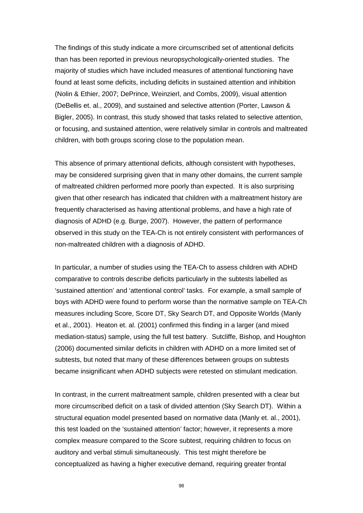The findings of this study indicate a more circumscribed set of attentional deficits than has been reported in previous neuropsychologically-oriented studies. The majority of studies which have included measures of attentional functioning have found at least some deficits, including deficits in sustained attention and inhibition (Nolin & Ethier, 2007; DePrince, Weinzierl, and Combs, 2009), visual attention (DeBellis et. al., 2009), and sustained and selective attention (Porter, Lawson & Bigler, 2005). In contrast, this study showed that tasks related to selective attention, or focusing, and sustained attention, were relatively similar in controls and maltreated children, with both groups scoring close to the population mean.

This absence of primary attentional deficits, although consistent with hypotheses, may be considered surprising given that in many other domains, the current sample of maltreated children performed more poorly than expected. It is also surprising given that other research has indicated that children with a maltreatment history are frequently characterised as having attentional problems, and have a high rate of diagnosis of ADHD (e.g. Burge, 2007). However, the pattern of performance observed in this study on the TEA-Ch is not entirely consistent with performances of non-maltreated children with a diagnosis of ADHD.

In particular, a number of studies using the TEA-Ch to assess children with ADHD comparative to controls describe deficits particularly in the subtests labelled as 'sustained attention' and 'attentional control' tasks. For example, a small sample of boys with ADHD were found to perform worse than the normative sample on TEA-Ch measures including Score, Score DT, Sky Search DT, and Opposite Worlds (Manly et al., 2001). Heaton et. al. (2001) confirmed this finding in a larger (and mixed mediation-status) sample, using the full test battery. Sutcliffe, Bishop, and Houghton (2006) documented similar deficits in children with ADHD on a more limited set of subtests, but noted that many of these differences between groups on subtests became insignificant when ADHD subjects were retested on stimulant medication.

In contrast, in the current maltreatment sample, children presented with a clear but more circumscribed deficit on a task of divided attention (Sky Search DT). Within a structural equation model presented based on normative data (Manly et. al., 2001), this test loaded on the 'sustained attention' factor; however, it represents a more complex measure compared to the Score subtest, requiring children to focus on auditory and verbal stimuli simultaneously. This test might therefore be conceptualized as having a higher executive demand, requiring greater frontal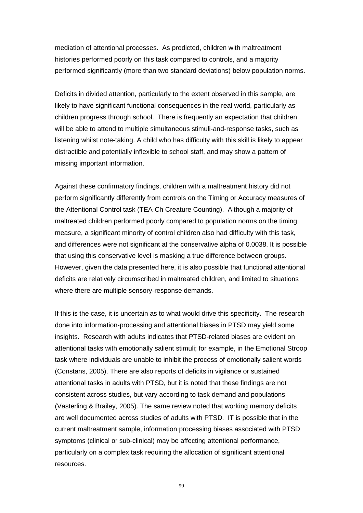mediation of attentional processes. As predicted, children with maltreatment histories performed poorly on this task compared to controls, and a majority performed significantly (more than two standard deviations) below population norms.

Deficits in divided attention, particularly to the extent observed in this sample, are likely to have significant functional consequences in the real world, particularly as children progress through school. There is frequently an expectation that children will be able to attend to multiple simultaneous stimuli-and-response tasks, such as listening whilst note-taking. A child who has difficulty with this skill is likely to appear distractible and potentially inflexible to school staff, and may show a pattern of missing important information.

Against these confirmatory findings, children with a maltreatment history did not perform significantly differently from controls on the Timing or Accuracy measures of the Attentional Control task (TEA-Ch Creature Counting). Although a majority of maltreated children performed poorly compared to population norms on the timing measure, a significant minority of control children also had difficulty with this task, and differences were not significant at the conservative alpha of 0.0038. It is possible that using this conservative level is masking a true difference between groups. However, given the data presented here, it is also possible that functional attentional deficits are relatively circumscribed in maltreated children, and limited to situations where there are multiple sensory-response demands.

If this is the case, it is uncertain as to what would drive this specificity. The research done into information-processing and attentional biases in PTSD may yield some insights. Research with adults indicates that PTSD-related biases are evident on attentional tasks with emotionally salient stimuli; for example, in the Emotional Stroop task where individuals are unable to inhibit the process of emotionally salient words (Constans, 2005). There are also reports of deficits in vigilance or sustained attentional tasks in adults with PTSD, but it is noted that these findings are not consistent across studies, but vary according to task demand and populations (Vasterling & Brailey, 2005). The same review noted that working memory deficits are well documented across studies of adults with PTSD. IT is possible that in the current maltreatment sample, information processing biases associated with PTSD symptoms (clinical or sub-clinical) may be affecting attentional performance, particularly on a complex task requiring the allocation of significant attentional resources.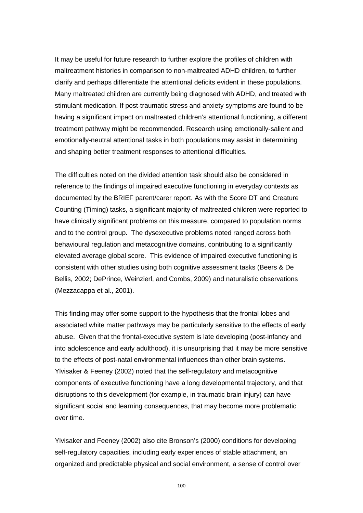It may be useful for future research to further explore the profiles of children with maltreatment histories in comparison to non-maltreated ADHD children, to further clarify and perhaps differentiate the attentional deficits evident in these populations. Many maltreated children are currently being diagnosed with ADHD, and treated with stimulant medication. If post-traumatic stress and anxiety symptoms are found to be having a significant impact on maltreated children's attentional functioning, a different treatment pathway might be recommended. Research using emotionally-salient and emotionally-neutral attentional tasks in both populations may assist in determining and shaping better treatment responses to attentional difficulties.

The difficulties noted on the divided attention task should also be considered in reference to the findings of impaired executive functioning in everyday contexts as documented by the BRIEF parent/carer report. As with the Score DT and Creature Counting (Timing) tasks, a significant majority of maltreated children were reported to have clinically significant problems on this measure, compared to population norms and to the control group. The dysexecutive problems noted ranged across both behavioural regulation and metacognitive domains, contributing to a significantly elevated average global score. This evidence of impaired executive functioning is consistent with other studies using both cognitive assessment tasks (Beers & De Bellis, 2002; DePrince, Weinzierl, and Combs, 2009) and naturalistic observations (Mezzacappa et al., 2001).

This finding may offer some support to the hypothesis that the frontal lobes and associated white matter pathways may be particularly sensitive to the effects of early abuse. Given that the frontal-executive system is late developing (post-infancy and into adolescence and early adulthood), it is unsurprising that it may be more sensitive to the effects of post-natal environmental influences than other brain systems. Ylvisaker & Feeney (2002) noted that the self-regulatory and metacognitive components of executive functioning have a long developmental trajectory, and that disruptions to this development (for example, in traumatic brain injury) can have significant social and learning consequences, that may become more problematic over time.

Ylvisaker and Feeney (2002) also cite Bronson's (2000) conditions for developing self-regulatory capacities, including early experiences of stable attachment, an organized and predictable physical and social environment, a sense of control over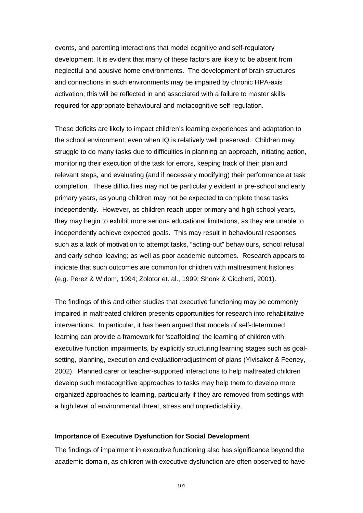events, and parenting interactions that model cognitive and self-regulatory development. It is evident that many of these factors are likely to be absent from neglectful and abusive home environments. The development of brain structures and connections in such environments may be impaired by chronic HPA-axis activation; this will be reflected in and associated with a failure to master skills required for appropriate behavioural and metacognitive self-regulation.

These deficits are likely to impact children's learning experiences and adaptation to the school environment, even when IQ is relatively well preserved. Children may struggle to do many tasks due to difficulties in planning an approach, initiating action, monitoring their execution of the task for errors, keeping track of their plan and relevant steps, and evaluating (and if necessary modifying) their performance at task completion. These difficulties may not be particularly evident in pre-school and early primary years, as young children may not be expected to complete these tasks independently. However, as children reach upper primary and high school years, they may begin to exhibit more serious educational limitations, as they are unable to independently achieve expected goals. This may result in behavioural responses such as a lack of motivation to attempt tasks, "acting-out" behaviours, school refusal and early school leaving; as well as poor academic outcomes. Research appears to indicate that such outcomes are common for children with maltreatment histories (e.g. Perez & Widom, 1994; Zolotor et. al., 1999; Shonk & Cicchetti, 2001).

The findings of this and other studies that executive functioning may be commonly impaired in maltreated children presents opportunities for research into rehabilitative interventions. In particular, it has been argued that models of self-determined learning can provide a framework for 'scaffolding' the learning of children with executive function impairments, by explicitly structuring learning stages such as goalsetting, planning, execution and evaluation/adjustment of plans (Ylvisaker & Feeney, 2002). Planned carer or teacher-supported interactions to help maltreated children develop such metacognitive approaches to tasks may help them to develop more organized approaches to learning, particularly if they are removed from settings with a high level of environmental threat, stress and unpredictability.

### **Importance of Executive Dysfunction for Social Development**

The findings of impairment in executive functioning also has significance beyond the academic domain, as children with executive dysfunction are often observed to have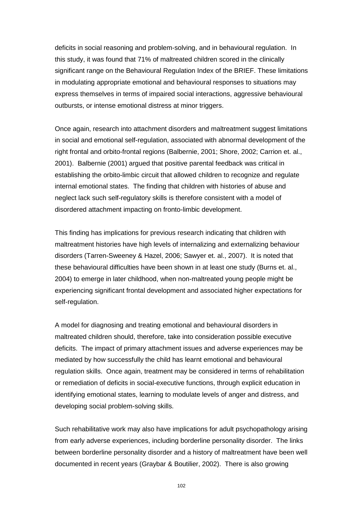deficits in social reasoning and problem-solving, and in behavioural regulation. In this study, it was found that 71% of maltreated children scored in the clinically significant range on the Behavioural Regulation Index of the BRIEF. These limitations in modulating appropriate emotional and behavioural responses to situations may express themselves in terms of impaired social interactions, aggressive behavioural outbursts, or intense emotional distress at minor triggers.

Once again, research into attachment disorders and maltreatment suggest limitations in social and emotional self-regulation, associated with abnormal development of the right frontal and orbito-frontal regions (Balbernie, 2001; Shore, 2002; Carrion et. al., 2001). Balbernie (2001) argued that positive parental feedback was critical in establishing the orbito-limbic circuit that allowed children to recognize and regulate internal emotional states. The finding that children with histories of abuse and neglect lack such self-regulatory skills is therefore consistent with a model of disordered attachment impacting on fronto-limbic development.

This finding has implications for previous research indicating that children with maltreatment histories have high levels of internalizing and externalizing behaviour disorders (Tarren-Sweeney & Hazel, 2006; Sawyer et. al., 2007). It is noted that these behavioural difficulties have been shown in at least one study (Burns et. al., 2004) to emerge in later childhood, when non-maltreated young people might be experiencing significant frontal development and associated higher expectations for self-regulation.

A model for diagnosing and treating emotional and behavioural disorders in maltreated children should, therefore, take into consideration possible executive deficits. The impact of primary attachment issues and adverse experiences may be mediated by how successfully the child has learnt emotional and behavioural regulation skills. Once again, treatment may be considered in terms of rehabilitation or remediation of deficits in social-executive functions, through explicit education in identifying emotional states, learning to modulate levels of anger and distress, and developing social problem-solving skills.

Such rehabilitative work may also have implications for adult psychopathology arising from early adverse experiences, including borderline personality disorder. The links between borderline personality disorder and a history of maltreatment have been well documented in recent years (Graybar & Boutilier, 2002). There is also growing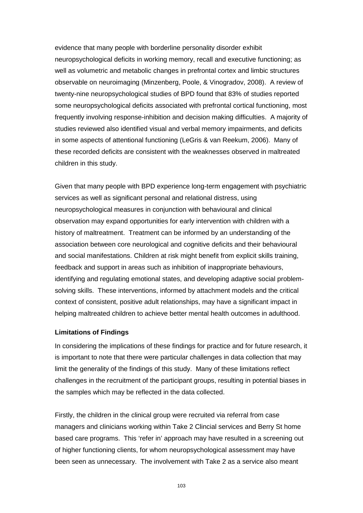evidence that many people with borderline personality disorder exhibit neuropsychological deficits in working memory, recall and executive functioning; as well as volumetric and metabolic changes in prefrontal cortex and limbic structures observable on neuroimaging (Minzenberg, Poole, & Vinogradov, 2008). A review of twenty-nine neuropsychological studies of BPD found that 83% of studies reported some neuropsychological deficits associated with prefrontal cortical functioning, most frequently involving response-inhibition and decision making difficulties. A majority of studies reviewed also identified visual and verbal memory impairments, and deficits in some aspects of attentional functioning (LeGris & van Reekum, 2006). Many of these recorded deficits are consistent with the weaknesses observed in maltreated children in this study.

Given that many people with BPD experience long-term engagement with psychiatric services as well as significant personal and relational distress, using neuropsychological measures in conjunction with behavioural and clinical observation may expand opportunities for early intervention with children with a history of maltreatment. Treatment can be informed by an understanding of the association between core neurological and cognitive deficits and their behavioural and social manifestations. Children at risk might benefit from explicit skills training, feedback and support in areas such as inhibition of inappropriate behaviours, identifying and regulating emotional states, and developing adaptive social problemsolving skills. These interventions, informed by attachment models and the critical context of consistent, positive adult relationships, may have a significant impact in helping maltreated children to achieve better mental health outcomes in adulthood.

### **Limitations of Findings**

In considering the implications of these findings for practice and for future research, it is important to note that there were particular challenges in data collection that may limit the generality of the findings of this study. Many of these limitations reflect challenges in the recruitment of the participant groups, resulting in potential biases in the samples which may be reflected in the data collected.

Firstly, the children in the clinical group were recruited via referral from case managers and clinicians working within Take 2 Clincial services and Berry St home based care programs. This 'refer in' approach may have resulted in a screening out of higher functioning clients, for whom neuropsychological assessment may have been seen as unnecessary. The involvement with Take 2 as a service also meant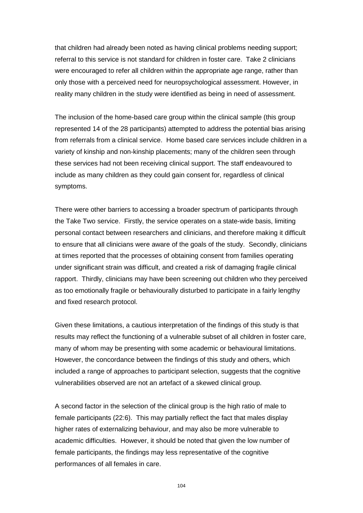that children had already been noted as having clinical problems needing support; referral to this service is not standard for children in foster care. Take 2 clinicians were encouraged to refer all children within the appropriate age range, rather than only those with a perceived need for neuropsychological assessment. However, in reality many children in the study were identified as being in need of assessment.

The inclusion of the home-based care group within the clinical sample (this group represented 14 of the 28 participants) attempted to address the potential bias arising from referrals from a clinical service. Home based care services include children in a variety of kinship and non-kinship placements; many of the children seen through these services had not been receiving clinical support. The staff endeavoured to include as many children as they could gain consent for, regardless of clinical symptoms.

There were other barriers to accessing a broader spectrum of participants through the Take Two service. Firstly, the service operates on a state-wide basis, limiting personal contact between researchers and clinicians, and therefore making it difficult to ensure that all clinicians were aware of the goals of the study. Secondly, clinicians at times reported that the processes of obtaining consent from families operating under significant strain was difficult, and created a risk of damaging fragile clinical rapport. Thirdly, clinicians may have been screening out children who they perceived as too emotionally fragile or behaviourally disturbed to participate in a fairly lengthy and fixed research protocol.

Given these limitations, a cautious interpretation of the findings of this study is that results may reflect the functioning of a vulnerable subset of all children in foster care, many of whom may be presenting with some academic or behavioural limitations. However, the concordance between the findings of this study and others, which included a range of approaches to participant selection, suggests that the cognitive vulnerabilities observed are not an artefact of a skewed clinical group.

A second factor in the selection of the clinical group is the high ratio of male to female participants (22:6). This may partially reflect the fact that males display higher rates of externalizing behaviour, and may also be more vulnerable to academic difficulties. However, it should be noted that given the low number of female participants, the findings may less representative of the cognitive performances of all females in care.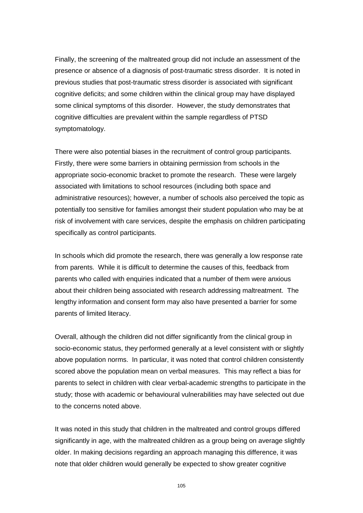Finally, the screening of the maltreated group did not include an assessment of the presence or absence of a diagnosis of post-traumatic stress disorder. It is noted in previous studies that post-traumatic stress disorder is associated with significant cognitive deficits; and some children within the clinical group may have displayed some clinical symptoms of this disorder. However, the study demonstrates that cognitive difficulties are prevalent within the sample regardless of PTSD symptomatology.

There were also potential biases in the recruitment of control group participants. Firstly, there were some barriers in obtaining permission from schools in the appropriate socio-economic bracket to promote the research. These were largely associated with limitations to school resources (including both space and administrative resources); however, a number of schools also perceived the topic as potentially too sensitive for families amongst their student population who may be at risk of involvement with care services, despite the emphasis on children participating specifically as control participants.

In schools which did promote the research, there was generally a low response rate from parents. While it is difficult to determine the causes of this, feedback from parents who called with enquiries indicated that a number of them were anxious about their children being associated with research addressing maltreatment. The lengthy information and consent form may also have presented a barrier for some parents of limited literacy.

Overall, although the children did not differ significantly from the clinical group in socio-economic status, they performed generally at a level consistent with or slightly above population norms. In particular, it was noted that control children consistently scored above the population mean on verbal measures. This may reflect a bias for parents to select in children with clear verbal-academic strengths to participate in the study; those with academic or behavioural vulnerabilities may have selected out due to the concerns noted above.

It was noted in this study that children in the maltreated and control groups differed significantly in age, with the maltreated children as a group being on average slightly older. In making decisions regarding an approach managing this difference, it was note that older children would generally be expected to show greater cognitive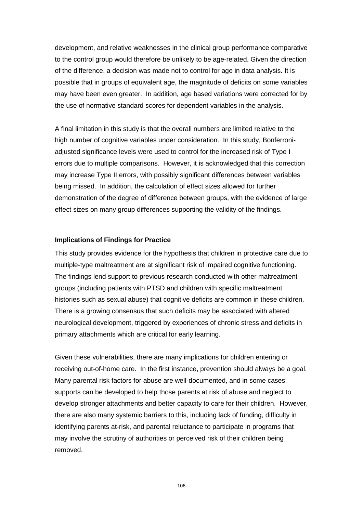development, and relative weaknesses in the clinical group performance comparative to the control group would therefore be unlikely to be age-related. Given the direction of the difference, a decision was made not to control for age in data analysis. It is possible that in groups of equivalent age, the magnitude of deficits on some variables may have been even greater. In addition, age based variations were corrected for by the use of normative standard scores for dependent variables in the analysis.

A final limitation in this study is that the overall numbers are limited relative to the high number of cognitive variables under consideration. In this study, Bonferroniadjusted significance levels were used to control for the increased risk of Type I errors due to multiple comparisons. However, it is acknowledged that this correction may increase Type II errors, with possibly significant differences between variables being missed. In addition, the calculation of effect sizes allowed for further demonstration of the degree of difference between groups, with the evidence of large effect sizes on many group differences supporting the validity of the findings.

### **Implications of Findings for Practice**

This study provides evidence for the hypothesis that children in protective care due to multiple-type maltreatment are at significant risk of impaired cognitive functioning. The findings lend support to previous research conducted with other maltreatment groups (including patients with PTSD and children with specific maltreatment histories such as sexual abuse) that cognitive deficits are common in these children. There is a growing consensus that such deficits may be associated with altered neurological development, triggered by experiences of chronic stress and deficits in primary attachments which are critical for early learning.

Given these vulnerabilities, there are many implications for children entering or receiving out-of-home care. In the first instance, prevention should always be a goal. Many parental risk factors for abuse are well-documented, and in some cases, supports can be developed to help those parents at risk of abuse and neglect to develop stronger attachments and better capacity to care for their children. However, there are also many systemic barriers to this, including lack of funding, difficulty in identifying parents at-risk, and parental reluctance to participate in programs that may involve the scrutiny of authorities or perceived risk of their children being removed.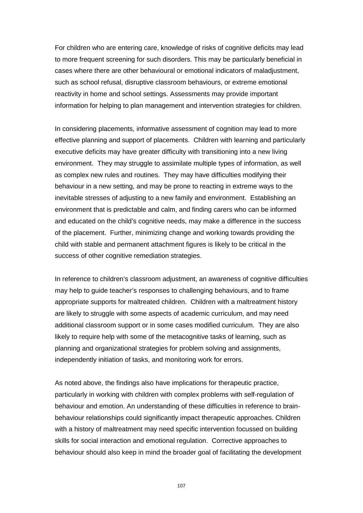For children who are entering care, knowledge of risks of cognitive deficits may lead to more frequent screening for such disorders. This may be particularly beneficial in cases where there are other behavioural or emotional indicators of maladjustment, such as school refusal, disruptive classroom behaviours, or extreme emotional reactivity in home and school settings. Assessments may provide important information for helping to plan management and intervention strategies for children.

In considering placements, informative assessment of cognition may lead to more effective planning and support of placements. Children with learning and particularly executive deficits may have greater difficulty with transitioning into a new living environment. They may struggle to assimilate multiple types of information, as well as complex new rules and routines. They may have difficulties modifying their behaviour in a new setting, and may be prone to reacting in extreme ways to the inevitable stresses of adjusting to a new family and environment. Establishing an environment that is predictable and calm, and finding carers who can be informed and educated on the child's cognitive needs, may make a difference in the success of the placement. Further, minimizing change and working towards providing the child with stable and permanent attachment figures is likely to be critical in the success of other cognitive remediation strategies.

In reference to children's classroom adjustment, an awareness of cognitive difficulties may help to guide teacher's responses to challenging behaviours, and to frame appropriate supports for maltreated children. Children with a maltreatment history are likely to struggle with some aspects of academic curriculum, and may need additional classroom support or in some cases modified curriculum. They are also likely to require help with some of the metacognitive tasks of learning, such as planning and organizational strategies for problem solving and assignments, independently initiation of tasks, and monitoring work for errors.

As noted above, the findings also have implications for therapeutic practice, particularly in working with children with complex problems with self-regulation of behaviour and emotion. An understanding of these difficulties in reference to brainbehaviour relationships could significantly impact therapeutic approaches. Children with a history of maltreatment may need specific intervention focussed on building skills for social interaction and emotional regulation. Corrective approaches to behaviour should also keep in mind the broader goal of facilitating the development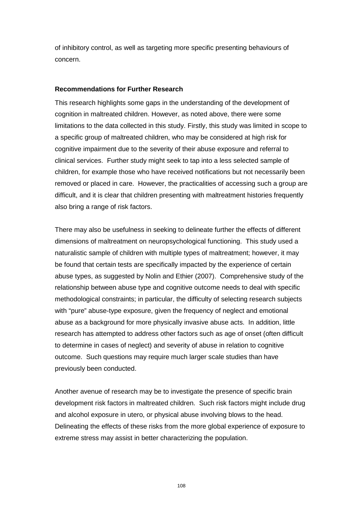of inhibitory control, as well as targeting more specific presenting behaviours of concern.

#### **Recommendations for Further Research**

This research highlights some gaps in the understanding of the development of cognition in maltreated children. However, as noted above, there were some limitations to the data collected in this study. Firstly, this study was limited in scope to a specific group of maltreated children, who may be considered at high risk for cognitive impairment due to the severity of their abuse exposure and referral to clinical services. Further study might seek to tap into a less selected sample of children, for example those who have received notifications but not necessarily been removed or placed in care. However, the practicalities of accessing such a group are difficult, and it is clear that children presenting with maltreatment histories frequently also bring a range of risk factors.

There may also be usefulness in seeking to delineate further the effects of different dimensions of maltreatment on neuropsychological functioning. This study used a naturalistic sample of children with multiple types of maltreatment; however, it may be found that certain tests are specifically impacted by the experience of certain abuse types, as suggested by Nolin and Ethier (2007). Comprehensive study of the relationship between abuse type and cognitive outcome needs to deal with specific methodological constraints; in particular, the difficulty of selecting research subjects with "pure" abuse-type exposure, given the frequency of neglect and emotional abuse as a background for more physically invasive abuse acts. In addition, little research has attempted to address other factors such as age of onset (often difficult to determine in cases of neglect) and severity of abuse in relation to cognitive outcome. Such questions may require much larger scale studies than have previously been conducted.

Another avenue of research may be to investigate the presence of specific brain development risk factors in maltreated children. Such risk factors might include drug and alcohol exposure in utero, or physical abuse involving blows to the head. Delineating the effects of these risks from the more global experience of exposure to extreme stress may assist in better characterizing the population.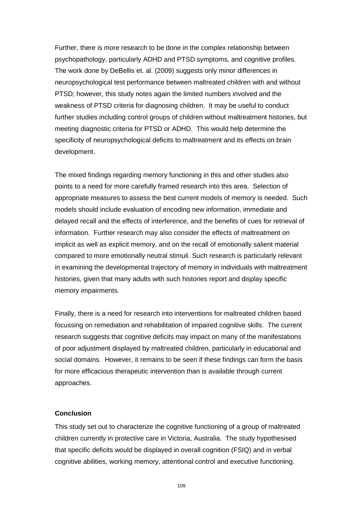Further, there is more research to be done in the complex relationship between psychopathology, particularly ADHD and PTSD symptoms, and cognitive profiles. The work done by DeBellis et. al. (2009) suggests only minor differences in neuropsychological test performance between maltreated children with and without PTSD; however, this study notes again the limited numbers involved and the weakness of PTSD criteria for diagnosing children. It may be useful to conduct further studies including control groups of children without maltreatment histories, but meeting diagnostic criteria for PTSD or ADHD. This would help determine the specificity of neuropsychological deficits to maltreatment and its effects on brain development.

The mixed findings regarding memory functioning in this and other studies also points to a need for more carefully framed research into this area. Selection of appropriate measures to assess the best current models of memory is needed. Such models should include evaluation of encoding new information, immediate and delayed recall and the effects of interference, and the benefits of cues for retrieval of information. Further research may also consider the effects of maltreatment on implicit as well as explicit memory, and on the recall of emotionally salient material compared to more emotionally neutral stimuli. Such research is particularly relevant in examining the developmental trajectory of memory in individuals with maltreatment histories, given that many adults with such histories report and display specific memory impairments.

Finally, there is a need for research into interventions for maltreated children based focussing on remediation and rehabilitation of impaired cognitive skills. The current research suggests that cognitive deficits may impact on many of the manifestations of poor adjustment displayed by maltreated children, particularly in educational and social domains. However, it remains to be seen if these findings can form the basis for more efficacious therapeutic intervention than is available through current approaches.

### **Conclusion**

This study set out to characterize the cognitive functioning of a group of maltreated children currently in protective care in Victoria, Australia. The study hypothesised that specific deficits would be displayed in overall cognition (FSIQ) and in verbal cognitive abilities, working memory, attentional control and executive functioning.

109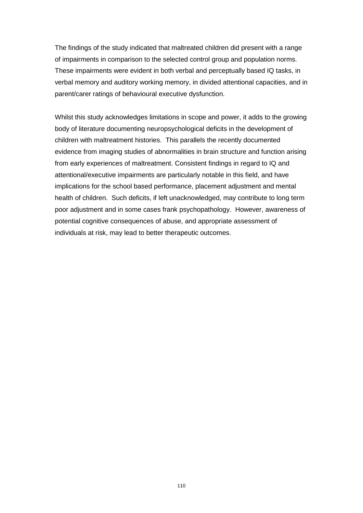The findings of the study indicated that maltreated children did present with a range of impairments in comparison to the selected control group and population norms. These impairments were evident in both verbal and perceptually based IQ tasks, in verbal memory and auditory working memory, in divided attentional capacities, and in parent/carer ratings of behavioural executive dysfunction.

Whilst this study acknowledges limitations in scope and power, it adds to the growing body of literature documenting neuropsychological deficits in the development of children with maltreatment histories. This parallels the recently documented evidence from imaging studies of abnormalities in brain structure and function arising from early experiences of maltreatment. Consistent findings in regard to IQ and attentional/executive impairments are particularly notable in this field, and have implications for the school based performance, placement adjustment and mental health of children. Such deficits, if left unacknowledged, may contribute to long term poor adjustment and in some cases frank psychopathology. However, awareness of potential cognitive consequences of abuse, and appropriate assessment of individuals at risk, may lead to better therapeutic outcomes.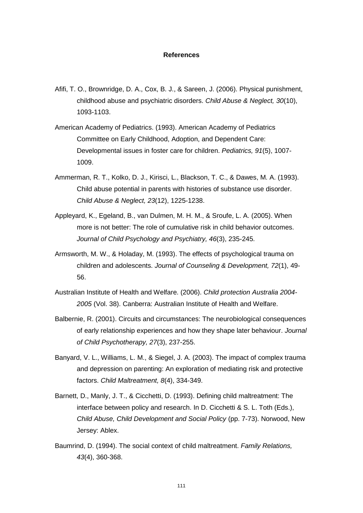#### **References**

- Afifi, T. O., Brownridge, D. A., Cox, B. J., & Sareen, J. (2006). Physical punishment, childhood abuse and psychiatric disorders. *Child Abuse & Neglect, 30*(10), 1093-1103.
- American Academy of Pediatrics. (1993). American Academy of Pediatrics Committee on Early Childhood, Adoption, and Dependent Care: Developmental issues in foster care for children. *Pediatrics, 91*(5), 1007- 1009.
- Ammerman, R. T., Kolko, D. J., Kirisci, L., Blackson, T. C., & Dawes, M. A. (1993). Child abuse potential in parents with histories of substance use disorder. *Child Abuse & Neglect, 23*(12), 1225-1238.
- Appleyard, K., Egeland, B., van Dulmen, M. H. M., & Sroufe, L. A. (2005). When more is not better: The role of cumulative risk in child behavior outcomes. *Journal of Child Psychology and Psychiatry, 46*(3), 235-245.
- Armsworth, M. W., & Holaday, M. (1993). The effects of psychological trauma on children and adolescents. *Journal of Counseling & Development, 72*(1), 49- 56.
- Australian Institute of Health and Welfare. (2006). *Child protection Australia 2004- 2005* (Vol. 38). Canberra: Australian Institute of Health and Welfare.
- Balbernie, R. (2001). Circuits and circumstances: The neurobiological consequences of early relationship experiences and how they shape later behaviour. *Journal of Child Psychotherapy, 27*(3), 237-255.
- Banyard, V. L., Williams, L. M., & Siegel, J. A. (2003). The impact of complex trauma and depression on parenting: An exploration of mediating risk and protective factors. *Child Maltreatment, 8*(4), 334-349.
- Barnett, D., Manly, J. T., & Cicchetti, D. (1993). Defining child maltreatment: The interface between policy and research. In D. Cicchetti & S. L. Toth (Eds.), *Child Abuse, Child Development and Social Policy* (pp. 7-73). Norwood, New Jersey: Ablex.
- Baumrind, D. (1994). The social context of child maltreatment. *Family Relations, 43*(4), 360-368.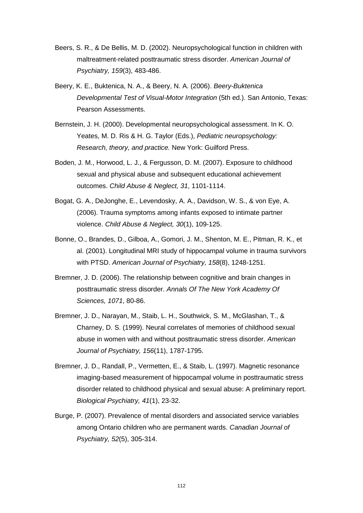- Beers, S. R., & De Bellis, M. D. (2002). Neuropsychological function in children with maltreatment-related posttraumatic stress disorder. *American Journal of Psychiatry, 159*(3), 483-486.
- Beery, K. E., Buktenica, N. A., & Beery, N. A. (2006). *Beery-Buktenica Developmental Test of Visual-Motor Integration* (5th ed.). San Antonio, Texas: Pearson Assessments.
- Bernstein, J. H. (2000). Developmental neuropsychological assessment. In K. O. Yeates, M. D. Ris & H. G. Taylor (Eds.), *Pediatric neuropsychology: Research, theory, and practice.* New York: Guilford Press.
- Boden, J. M., Horwood, L. J., & Fergusson, D. M. (2007). Exposure to childhood sexual and physical abuse and subsequent educational achievement outcomes. *Child Abuse & Neglect, 31*, 1101-1114.
- Bogat, G. A., DeJonghe, E., Levendosky, A. A., Davidson, W. S., & von Eye, A. (2006). Trauma symptoms among infants exposed to intimate partner violence. *Child Abuse & Neglect, 30*(1), 109-125.
- Bonne, O., Brandes, D., Gilboa, A., Gomori, J. M., Shenton, M. E., Pitman, R. K., et al. (2001). Longitudinal MRI study of hippocampal volume in trauma survivors with PTSD. *American Journal of Psychiatry, 158*(8), 1248-1251.
- Bremner, J. D. (2006). The relationship between cognitive and brain changes in posttraumatic stress disorder. *Annals Of The New York Academy Of Sciences, 1071*, 80-86.
- Bremner, J. D., Narayan, M., Staib, L. H., Southwick, S. M., McGlashan, T., & Charney, D. S. (1999). Neural correlates of memories of childhood sexual abuse in women with and without posttraumatic stress disorder. *American Journal of Psychiatry, 156*(11), 1787-1795.
- Bremner, J. D., Randall, P., Vermetten, E., & Staib, L. (1997). Magnetic resonance imaging-based measurement of hippocampal volume in posttraumatic stress disorder related to childhood physical and sexual abuse: A preliminary report. *Biological Psychiatry, 41*(1), 23-32.
- Burge, P. (2007). Prevalence of mental disorders and associated service variables among Ontario children who are permanent wards. *Canadian Journal of Psychiatry, 52*(5), 305-314.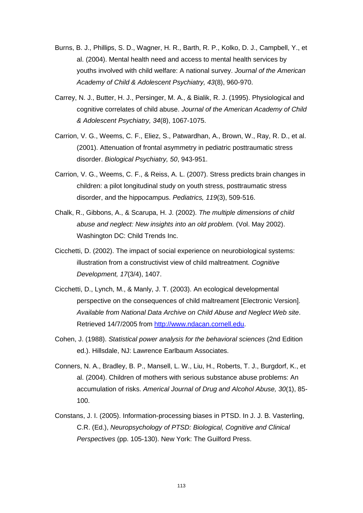- Burns, B. J., Phillips, S. D., Wagner, H. R., Barth, R. P., Kolko, D. J., Campbell, Y., et al. (2004). Mental health need and access to mental health services by youths involved with child welfare: A national survey. *Journal of the American Academy of Child & Adolescent Psychiatry, 43*(8), 960-970.
- Carrey, N. J., Butter, H. J., Persinger, M. A., & Bialik, R. J. (1995). Physiological and cognitive correlates of child abuse. *Journal of the American Academy of Child & Adolescent Psychiatry, 34*(8), 1067-1075.
- Carrion, V. G., Weems, C. F., Eliez, S., Patwardhan, A., Brown, W., Ray, R. D., et al. (2001). Attenuation of frontal asymmetry in pediatric posttraumatic stress disorder. *Biological Psychiatry, 50*, 943-951.
- Carrion, V. G., Weems, C. F., & Reiss, A. L. (2007). Stress predicts brain changes in children: a pilot longitudinal study on youth stress, posttraumatic stress disorder, and the hippocampus. *Pediatrics, 119*(3), 509-516.
- Chalk, R., Gibbons, A., & Scarupa, H. J. (2002). *The multiple dimensions of child abuse and neglect: New insights into an old problem.* (Vol. May 2002). Washington DC: Child Trends Inc.
- Cicchetti, D. (2002). The impact of social experience on neurobiological systems: illustration from a constructivist view of child maltreatment. *Cognitive Development, 17*(3/4), 1407.
- Cicchetti, D., Lynch, M., & Manly, J. T. (2003). An ecological developmental perspective on the consequences of child maltreament [Electronic Version]. *Available from National Data Archive on Child Abuse and Neglect Web site*. Retrieved 14/7/2005 from [http://www.ndacan.cornell.edu.](http://www.ndacan.cornell.edu/)
- Cohen, J. (1988). *Statistical power analysis for the behavioral sciences* (2nd Edition ed.). Hillsdale, NJ: Lawrence Earlbaum Associates.
- Conners, N. A., Bradley, B. P., Mansell, L. W., Liu, H., Roberts, T. J., Burgdorf, K., et al. (2004). Children of mothers with serious substance abuse problems: An accumulation of risks. *Americal Journal of Drug and Alcohol Abuse, 30*(1), 85- 100.
- Constans, J. I. (2005). Information-processing biases in PTSD. In J. J. B. Vasterling, C.R. (Ed.), *Neuropsychology of PTSD: Biological, Cognitive and Clinical Perspectives* (pp. 105-130). New York: The Guilford Press.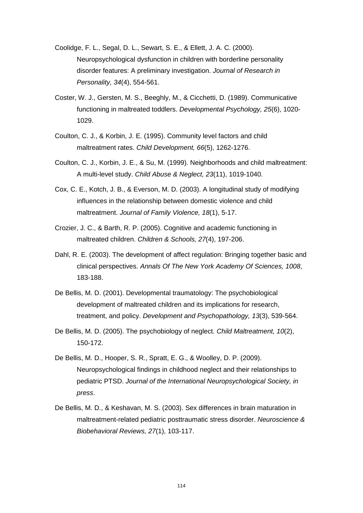- Coolidge, F. L., Segal, D. L., Sewart, S. E., & Ellett, J. A. C. (2000). Neuropsychological dysfunction in children with borderline personality disorder features: A preliminary investigation. *Journal of Research in Personality, 34*(4), 554-561.
- Coster, W. J., Gersten, M. S., Beeghly, M., & Cicchetti, D. (1989). Communicative functioning in maltreated toddlers. *Developmental Psychology, 25*(6), 1020- 1029.
- Coulton, C. J., & Korbin, J. E. (1995). Community level factors and child maltreatment rates. *Child Development, 66*(5), 1262-1276.
- Coulton, C. J., Korbin, J. E., & Su, M. (1999). Neighborhoods and child maltreatment: A multi-level study. *Child Abuse & Neglect, 23*(11), 1019-1040.
- Cox, C. E., Kotch, J. B., & Everson, M. D. (2003). A longitudinal study of modifying influences in the relationship between domestic violence and child maltreatment. *Journal of Family Violence, 18*(1), 5-17.
- Crozier, J. C., & Barth, R. P. (2005). Cognitive and academic functioning in maltreated children. *Children & Schools, 27*(4), 197-206.
- Dahl, R. E. (2003). The development of affect regulation: Bringing together basic and clinical perspectives. *Annals Of The New York Academy Of Sciences, 1008*, 183-188.
- De Bellis, M. D. (2001). Developmental traumatology: The psychobiological development of maltreated children and its implications for research, treatment, and policy. *Development and Psychopathology, 13*(3), 539-564.
- De Bellis, M. D. (2005). The psychobiology of neglect. *Child Maltreatment, 10*(2), 150-172.
- De Bellis, M. D., Hooper, S. R., Spratt, E. G., & Woolley, D. P. (2009). Neuropsychological findings in childhood neglect and their relationships to pediatric PTSD. *Journal of the International Neuropsychological Society, in press*.
- De Bellis, M. D., & Keshavan, M. S. (2003). Sex differences in brain maturation in maltreatment-related pediatric posttraumatic stress disorder. *Neuroscience & Biobehavioral Reviews, 27*(1), 103-117.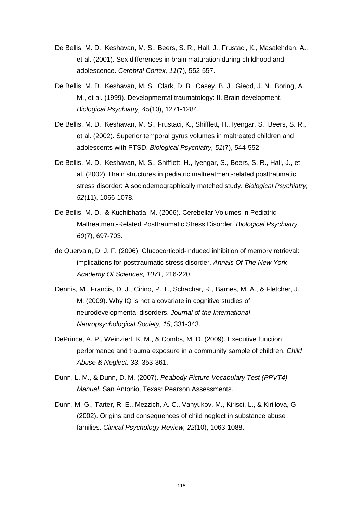- De Bellis, M. D., Keshavan, M. S., Beers, S. R., Hall, J., Frustaci, K., Masalehdan, A., et al. (2001). Sex differences in brain maturation during childhood and adolescence. *Cerebral Cortex, 11*(7), 552-557.
- De Bellis, M. D., Keshavan, M. S., Clark, D. B., Casey, B. J., Giedd, J. N., Boring, A. M., et al. (1999). Developmental traumatology: II. Brain development. *Biological Psychiatry, 45*(10), 1271-1284.
- De Bellis, M. D., Keshavan, M. S., Frustaci, K., Shifflett, H., Iyengar, S., Beers, S. R., et al. (2002). Superior temporal gyrus volumes in maltreated children and adolescents with PTSD. *Biological Psychiatry, 51*(7), 544-552.
- De Bellis, M. D., Keshavan, M. S., Shifflett, H., Iyengar, S., Beers, S. R., Hall, J., et al. (2002). Brain structures in pediatric maltreatment-related posttraumatic stress disorder: A sociodemographically matched study. *Biological Psychiatry, 52*(11), 1066-1078.
- De Bellis, M. D., & Kuchibhatla, M. (2006). Cerebellar Volumes in Pediatric Maltreatment-Related Posttraumatic Stress Disorder. *Biological Psychiatry, 60*(7), 697-703.
- de Quervain, D. J. F. (2006). Glucocorticoid-induced inhibition of memory retrieval: implications for posttraumatic stress disorder. *Annals Of The New York Academy Of Sciences, 1071*, 216-220.
- Dennis, M., Francis, D. J., Cirino, P. T., Schachar, R., Barnes, M. A., & Fletcher, J. M. (2009). Why IQ is not a covariate in cognitive studies of neurodevelopmental disorders. *Journal of the International Neuropsychological Society, 15*, 331-343.
- DePrince, A. P., Weinzierl, K. M., & Combs, M. D. (2009). Executive function performance and trauma exposure in a community sample of children. *Child Abuse & Neglect, 33*, 353-361.
- Dunn, L. M., & Dunn, D. M. (2007). *Peabody Picture Vocabulary Test (PPVT4) Manual*. San Antonio, Texas: Pearson Assessments.
- Dunn, M. G., Tarter, R. E., Mezzich, A. C., Vanyukov, M., Kirisci, L., & Kirillova, G. (2002). Origins and consequences of child neglect in substance abuse families. *Clincal Psychology Review, 22*(10), 1063-1088.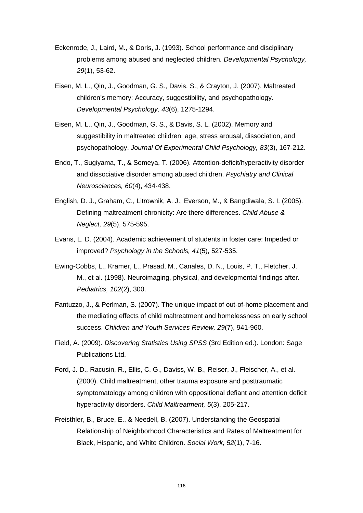- Eckenrode, J., Laird, M., & Doris, J. (1993). School performance and disciplinary problems among abused and neglected children. *Developmental Psychology, 29*(1), 53-62.
- Eisen, M. L., Qin, J., Goodman, G. S., Davis, S., & Crayton, J. (2007). Maltreated children's memory: Accuracy, suggestibility, and psychopathology. *Developmental Psychology, 43*(6), 1275-1294.
- Eisen, M. L., Qin, J., Goodman, G. S., & Davis, S. L. (2002). Memory and suggestibility in maltreated children: age, stress arousal, dissociation, and psychopathology. *Journal Of Experimental Child Psychology, 83*(3), 167-212.
- Endo, T., Sugiyama, T., & Someya, T. (2006). Attention-deficit/hyperactivity disorder and dissociative disorder among abused children. *Psychiatry and Clinical Neurosciences, 60*(4), 434-438.
- English, D. J., Graham, C., Litrownik, A. J., Everson, M., & Bangdiwala, S. I. (2005). Defining maltreatment chronicity: Are there differences. *Child Abuse & Neglect, 29*(5), 575-595.
- Evans, L. D. (2004). Academic achievement of students in foster care: Impeded or improved? *Psychology in the Schools, 41*(5), 527-535.
- Ewing-Cobbs, L., Kramer, L., Prasad, M., Canales, D. N., Louis, P. T., Fletcher, J. M., et al. (1998). Neuroimaging, physical, and developmental findings after. *Pediatrics, 102*(2), 300.
- Fantuzzo, J., & Perlman, S. (2007). The unique impact of out-of-home placement and the mediating effects of child maltreatment and homelessness on early school success. *Children and Youth Services Review, 29*(7), 941-960.
- Field, A. (2009). *Discovering Statistics Using SPSS* (3rd Edition ed.). London: Sage Publications Ltd.
- Ford, J. D., Racusin, R., Ellis, C. G., Daviss, W. B., Reiser, J., Fleischer, A., et al. (2000). Child maltreatment, other trauma exposure and posttraumatic symptomatology among children with oppositional defiant and attention deficit hyperactivity disorders. *Child Maltreatment, 5*(3), 205-217.
- Freisthler, B., Bruce, E., & Needell, B. (2007). Understanding the Geospatial Relationship of Neighborhood Characteristics and Rates of Maltreatment for Black, Hispanic, and White Children. *Social Work, 52*(1), 7-16.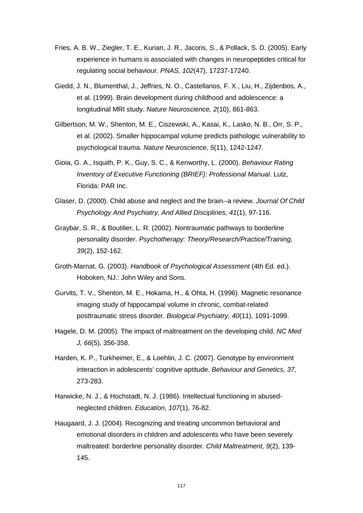- Fries, A. B. W., Ziegler, T. E., Kurian, J. R., Jacoris, S., & Pollack, S. D. (2005). Early experience in humans is associated with changes in neuropeptides critical for regulating social behaviour. *PNAS, 102*(47), 17237-17240.
- Giedd, J. N., Blumenthal, J., Jeffries, N. O., Castellanos, F. X., Liu, H., Zijdenbos, A., et al. (1999). Brain development during childhood and adolescence: a longitudinal MRI study. *Nature Neuroscience, 2*(10), 861-863.
- Gilbertson, M. W., Shenton, M. E., Ciszewski, A., Kasai, K., Lasko, N. B., Orr, S. P., et al. (2002). Smaller hippocampal volume predicts pathologic vulnerability to psychological trauma. *Nature Neuroscience, 5*(11), 1242-1247.
- Gioia, G. A., Isquith, P. K., Guy, S. C., & Kenworthy, L. (2000). *Behaviour Rating Inventory of Executive Functioning (BRIEF): Professional Manual*. Lutz, Florida: PAR Inc.
- Glaser, D. (2000). Child abuse and neglect and the brain--a review. *Journal Of Child Psychology And Psychiatry, And Allied Disciplines, 41*(1), 97-116.
- Graybar, S. R., & Boutilier, L. R. (2002). Nontraumatic pathways to borderline personality disorder. *Psychotherapy: Theory/Research/Practice/Training, 39*(2), 152-162.
- Groth-Marnat, G. (2003). *Handbook of Psychological Assessment* (4th Ed. ed.). Hoboken, NJ.: John Wiley and Sons.
- Gurvits, T. V., Shenton, M. E., Hokama, H., & Ohta, H. (1996). Magnetic resonance imaging study of hippocampal volume in chronic, combat-related posttraumatic stress disorder. *Biological Psychiatry, 40*(11), 1091-1099.
- Hagele, D. M. (2005). The impact of maltreatment on the developing child. *NC Med J, 66*(5), 356-358.
- Harden, K. P., Turkheimer, E., & Loehlin, J. C. (2007). Genotype by environment interaction in adolescents' cognitive aptitude. *Behaviour and Genetics, 37*, 273-283.
- Harwicke, N. J., & Hochstadt, N. J. (1986). Intellectual functioning in abusedneglected children. *Education, 107*(1), 76-82.
- Haugaard, J. J. (2004). Recognizing and treating uncommon behavioral and emotional disorders in children and adolescents who have been severely maltreated: borderline personality disorder. *Child Maltreatment, 9*(2), 139- 145.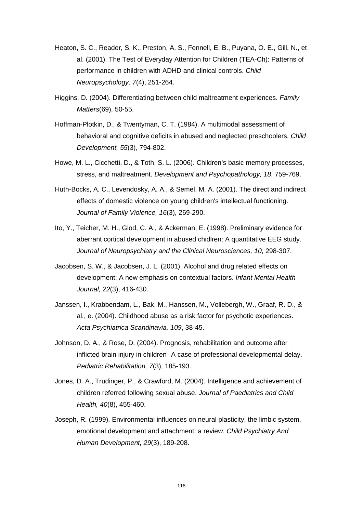- Heaton, S. C., Reader, S. K., Preston, A. S., Fennell, E. B., Puyana, O. E., Gill, N., et al. (2001). The Test of Everyday Attention for Children (TEA-Ch): Patterns of performance in children with ADHD and clinical controls. *Child Neuropsychology, 7*(4), 251-264.
- Higgins, D. (2004). Differentiating between child maltreatment experiences. *Family Matters*(69), 50-55.
- Hoffman-Plotkin, D., & Twentyman, C. T. (1984). A multimodal assessment of behavioral and cognitive deficits in abused and neglected preschoolers. *Child Development, 55*(3), 794-802.
- Howe, M. L., Cicchetti, D., & Toth, S. L. (2006). Children's basic memory processes, stress, and maltreatment. *Development and Psychopathology, 18*, 759-769.
- Huth-Bocks, A. C., Levendosky, A. A., & Semel, M. A. (2001). The direct and indirect effects of domestic violence on young children's intellectual functioning. *Journal of Family Violence, 16*(3), 269-290.
- Ito, Y., Teicher, M. H., Glod, C. A., & Ackerman, E. (1998). Preliminary evidence for aberrant cortical development in abused chidlren: A quantitative EEG study. *Journal of Neuropsychiatry and the Clinical Neurosciences, 10*, 298-307.
- Jacobsen, S. W., & Jacobsen, J. L. (2001). Alcohol and drug related effects on development: A new emphasis on contextual factors. *Infant Mental Health Journal, 22*(3), 416-430.
- Janssen, I., Krabbendam, L., Bak, M., Hanssen, M., Vollebergh, W., Graaf, R. D., & al., e. (2004). Childhood abuse as a risk factor for psychotic experiences. *Acta Psychiatrica Scandinavia, 109*, 38-45.
- Johnson, D. A., & Rose, D. (2004). Prognosis, rehabilitation and outcome after inflicted brain injury in children--A case of professional developmental delay. *Pediatric Rehabilitation, 7*(3), 185-193.
- Jones, D. A., Trudinger, P., & Crawford, M. (2004). Intelligence and achievement of children referred following sexual abuse. *Journal of Paediatrics and Child Health, 40*(8), 455-460.
- Joseph, R. (1999). Environmental influences on neural plasticity, the limbic system, emotional development and attachment: a review. *Child Psychiatry And Human Development, 29*(3), 189-208.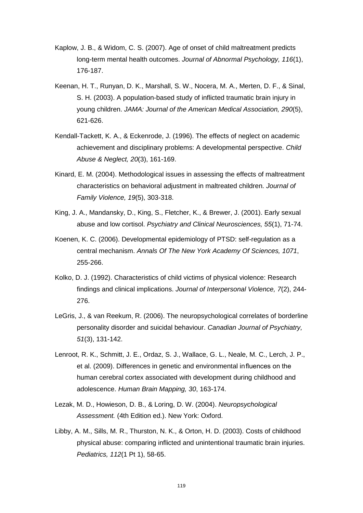- Kaplow, J. B., & Widom, C. S. (2007). Age of onset of child maltreatment predicts long-term mental health outcomes. *Journal of Abnormal Psychology, 116*(1), 176-187.
- Keenan, H. T., Runyan, D. K., Marshall, S. W., Nocera, M. A., Merten, D. F., & Sinal, S. H. (2003). A population-based study of inflicted traumatic brain injury in young children. *JAMA: Journal of the American Medical Association, 290*(5), 621-626.
- Kendall-Tackett, K. A., & Eckenrode, J. (1996). The effects of neglect on academic achievement and disciplinary problems: A developmental perspective. *Child Abuse & Neglect, 20*(3), 161-169.
- Kinard, E. M. (2004). Methodological issues in assessing the effects of maltreatment characteristics on behavioral adjustment in maltreated children. *Journal of Family Violence, 19*(5), 303-318.
- King, J. A., Mandansky, D., King, S., Fletcher, K., & Brewer, J. (2001). Early sexual abuse and low cortisol. *Psychiatry and Clinical Neurosciences, 55*(1), 71-74.
- Koenen, K. C. (2006). Developmental epidemiology of PTSD: self-regulation as a central mechanism. *Annals Of The New York Academy Of Sciences, 1071*, 255-266.
- Kolko, D. J. (1992). Characteristics of child victims of physical violence: Research findings and clinical implications. *Journal of Interpersonal Violence, 7*(2), 244- 276.
- LeGris, J., & van Reekum, R. (2006). The neuropsychological correlates of borderline personality disorder and suicidal behaviour. *Canadian Journal of Psychiatry, 51*(3), 131-142.
- Lenroot, R. K., Schmitt, J. E., Ordaz, S. J., Wallace, G. L., Neale, M. C., Lerch, J. P., et al. (2009). Differences in genetic and environmental influences on the human cerebral cortex associated with development during childhood and adolescence. *Human Brain Mapping, 30*, 163-174.
- Lezak, M. D., Howieson, D. B., & Loring, D. W. (2004). *Neuropsychological Assessment.* (4th Edition ed.). New York: Oxford.
- Libby, A. M., Sills, M. R., Thurston, N. K., & Orton, H. D. (2003). Costs of childhood physical abuse: comparing inflicted and unintentional traumatic brain injuries. *Pediatrics, 112*(1 Pt 1), 58-65.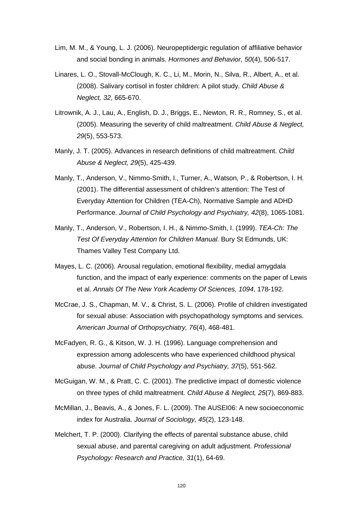- Lim, M. M., & Young, L. J. (2006). Neuropeptidergic regulation of affiliative behavior and social bonding in animals. *Hormones and Behavior, 50*(4), 506-517.
- Linares, L. O., Stovall-McClough, K. C., Li, M., Morin, N., Silva, R., Albert, A., et al. (2008). Salivary cortisol in foster children: A pilot study. *Child Abuse & Neglect, 32*, 665-670.
- Litrownik, A. J., Lau, A., English, D. J., Briggs, E., Newton, R. R., Romney, S., et al. (2005). Measuring the severity of child maltreatment. *Child Abuse & Neglect, 29*(5), 553-573.
- Manly, J. T. (2005). Advances in research definitions of child maltreatment. *Child Abuse & Neglect, 29*(5), 425-439.
- Manly, T., Anderson, V., Nimmo-Smith, I., Turner, A., Watson, P., & Robertson, I. H. (2001). The differential assessment of children's attention: The Test of Everyday Attention for Children (TEA-Ch), Normative Sample and ADHD Performance. *Journal of Child Psychology and Psychiatry, 42*(8), 1065-1081.
- Manly, T., Anderson, V., Robertson, I. H., & Nimmo-Smith, I. (1999). *TEA-Ch: The Test Of Everyday Attention for Children Manual.* Bury St Edmunds, UK: Thames Valley Test Company Ltd.
- Mayes, L. C. (2006). Arousal regulation, emotional flexibility, medial amygdala function, and the impact of early experience: comments on the paper of Lewis et al. *Annals Of The New York Academy Of Sciences, 1094*, 178-192.
- McCrae, J. S., Chapman, M. V., & Christ, S. L. (2006). Profile of children investigated for sexual abuse: Association with psychopathology symptoms and services. *American Journal of Orthopsychiatry, 76*(4), 468-481.
- McFadyen, R. G., & Kitson, W. J. H. (1996). Language comprehension and expression among adolescents who have experienced childhood physical abuse. *Journal of Child Psychology and Psychiatry, 37*(5), 551-562.
- McGuigan, W. M., & Pratt, C. C. (2001). The predictive impact of domestic violence on three types of child maltreatment. *Child Abuse & Neglect, 25*(7), 869-883.
- McMillan, J., Beavis, A., & Jones, F. L. (2009). The AUSEI06: A new socioeconomic index for Australia. *Journal of Sociology, 45*(2), 123-148.
- Melchert, T. P. (2000). Clarifying the effects of parental substance abuse, child sexual abuse, and parental caregiving on adult adjustment. *Professional Psychology: Research and Practice, 31*(1), 64-69.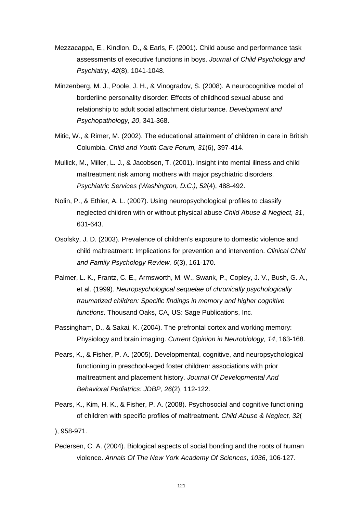- Mezzacappa, E., Kindlon, D., & Earls, F. (2001). Child abuse and performance task assessments of executive functions in boys. *Journal of Child Psychology and Psychiatry, 42*(8), 1041-1048.
- Minzenberg, M. J., Poole, J. H., & Vinogradov, S. (2008). A neurocognitive model of borderline personality disorder: Effects of childhood sexual abuse and relationship to adult social attachment disturbance. *Development and Psychopathology, 20*, 341-368.
- Mitic, W., & Rimer, M. (2002). The educational attainment of children in care in British Columbia. *Child and Youth Care Forum, 31*(6), 397-414.
- Mullick, M., Miller, L. J., & Jacobsen, T. (2001). Insight into mental illness and child maltreatment risk among mothers with major psychiatric disorders. *Psychiatric Services (Washington, D.C.), 52*(4), 488-492.
- Nolin, P., & Ethier, A. L. (2007). Using neuropsychological profiles to classify neglected children with or without physical abuse *Child Abuse & Neglect, 31*, 631-643.
- Osofsky, J. D. (2003). Prevalence of children's exposure to domestic violence and child maltreatment: Implications for prevention and intervention. *Clinical Child and Family Psychology Review, 6*(3), 161-170.
- Palmer, L. K., Frantz, C. E., Armsworth, M. W., Swank, P., Copley, J. V., Bush, G. A., et al. (1999). *Neuropsychological sequelae of chronically psychologically traumatized children: Specific findings in memory and higher cognitive functions*. Thousand Oaks, CA, US: Sage Publications, Inc.
- Passingham, D., & Sakai, K. (2004). The prefrontal cortex and working memory: Physiology and brain imaging. *Current Opinion in Neurobiology, 14*, 163-168.
- Pears, K., & Fisher, P. A. (2005). Developmental, cognitive, and neuropsychological functioning in preschool-aged foster children: associations with prior maltreatment and placement history. *Journal Of Developmental And Behavioral Pediatrics: JDBP, 26*(2), 112-122.
- Pears, K., Kim, H. K., & Fisher, P. A. (2008). Psychosocial and cognitive functioning of children with specific profiles of maltreatment. *Child Abuse & Neglect, 32*(
- ), 958-971.
- Pedersen, C. A. (2004). Biological aspects of social bonding and the roots of human violence. *Annals Of The New York Academy Of Sciences, 1036*, 106-127.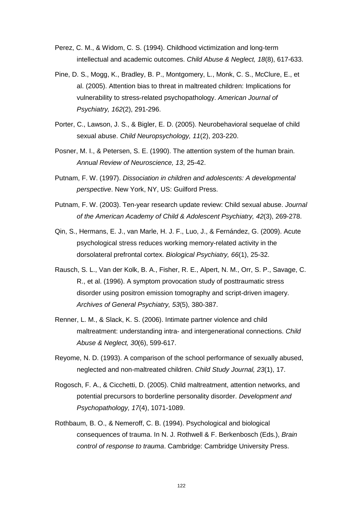- Perez, C. M., & Widom, C. S. (1994). Childhood victimization and long-term intellectual and academic outcomes. *Child Abuse & Neglect, 18*(8), 617-633.
- Pine, D. S., Mogg, K., Bradley, B. P., Montgomery, L., Monk, C. S., McClure, E., et al. (2005). Attention bias to threat in maltreated children: Implications for vulnerability to stress-related psychopathology. *American Journal of Psychiatry, 162*(2), 291-296.
- Porter, C., Lawson, J. S., & Bigler, E. D. (2005). Neurobehavioral sequelae of child sexual abuse. *Child Neuropsychology, 11*(2), 203-220.
- Posner, M. I., & Petersen, S. E. (1990). The attention system of the human brain. *Annual Review of Neuroscience, 13*, 25-42.
- Putnam, F. W. (1997). *Dissociation in children and adolescents: A developmental perspective*. New York, NY, US: Guilford Press.
- Putnam, F. W. (2003). Ten-year research update review: Child sexual abuse. *Journal of the American Academy of Child & Adolescent Psychiatry, 42*(3), 269-278.
- Qin, S., Hermans, E. J., van Marle, H. J. F., Luo, J., & Fernández, G. (2009). Acute psychological stress reduces working memory-related activity in the dorsolateral prefrontal cortex. *Biological Psychiatry, 66*(1), 25-32.
- Rausch, S. L., Van der Kolk, B. A., Fisher, R. E., Alpert, N. M., Orr, S. P., Savage, C. R., et al. (1996). A symptom provocation study of posttraumatic stress disorder using positron emission tomography and script-driven imagery. *Archives of General Psychiatry, 53*(5), 380-387.
- Renner, L. M., & Slack, K. S. (2006). Intimate partner violence and child maltreatment: understanding intra- and intergenerational connections. *Child Abuse & Neglect, 30*(6), 599-617.
- Reyome, N. D. (1993). A comparison of the school performance of sexually abused, neglected and non-maltreated children. *Child Study Journal, 23*(1), 17.
- Rogosch, F. A., & Cicchetti, D. (2005). Child maltreatment, attention networks, and potential precursors to borderline personality disorder. *Development and Psychopathology, 17*(4), 1071-1089.
- Rothbaum, B. O., & Nemeroff, C. B. (1994). Psychological and biological consequences of trauma. In N. J. Rothwell & F. Berkenbosch (Eds.), *Brain control of response to trauma*. Cambridge: Cambridge University Press.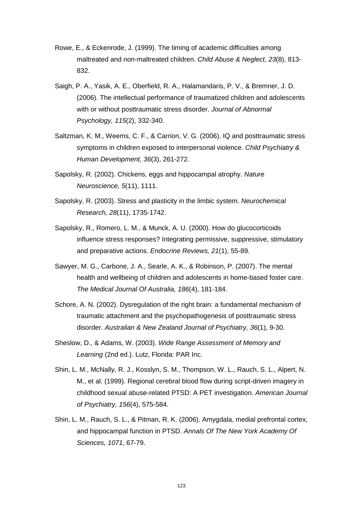- Rowe, E., & Eckenrode, J. (1999). The timing of academic difficulties among maltreated and non-maltreated children. *Child Abuse & Neglect, 23*(8), 813- 832.
- Saigh, P. A., Yasik, A. E., Oberfield, R. A., Halamandaris, P. V., & Bremner, J. D. (2006). The intellectual performance of traumatized children and adolescents with or without posttraumatic stress disorder. *Journal of Abnormal Psychology, 115*(2), 332-340.
- Saltzman, K. M., Weems, C. F., & Carrion, V. G. (2006). IQ and posttraumatic stress symptoms in children exposed to interpersonal violence. *Child Psychiatry & Human Development, 36*(3), 261-272.
- Sapolsky, R. (2002). Chickens, eggs and hippocampal atrophy. *Nature Neuroscience, 5*(11), 1111.
- Sapolsky, R. (2003). Stress and plasticity in the limbic system. *Neurochemical Research, 28*(11), 1735-1742.
- Sapolsky, R., Romero, L. M., & Munck, A. U. (2000). How do glucocorticoids influence stress responses? Integrating permissive, suppressive, stimulatory and preparative actions. *Endocrine Reviews, 21*(1), 55-89.
- Sawyer, M. G., Carbone, J. A., Searle, A. K., & Robinson, P. (2007). The mental health and wellbeing of children and adolescents in home-based foster care. *The Medical Journal Of Australia, 186*(4), 181-184.
- Schore, A. N. (2002). Dysregulation of the right brain: a fundamental mechanism of traumatic attachment and the psychopathogenesis of posttraumatic stress disorder. *Australian & New Zealand Journal of Psychiatry, 36*(1), 9-30.
- Sheslow, D., & Adams, W. (2003). *Wide Range Assessment of Memory and Learning* (2nd ed.). Lutz, Florida: PAR Inc.
- Shin, L. M., McNally, R. J., Kosslyn, S. M., Thompson, W. L., Rauch, S. L., Alpert, N. M., et al. (1999). Regional cerebral blood flow during script-driven imagery in childhood sexual abuse-related PTSD: A PET investigation. *American Journal of Psychiatry, 156*(4), 575-584.
- Shin, L. M., Rauch, S. L., & Pitman, R. K. (2006). Amygdala, medial prefrontal cortex, and hippocampal function in PTSD. *Annals Of The New York Academy Of Sciences, 1071*, 67-79.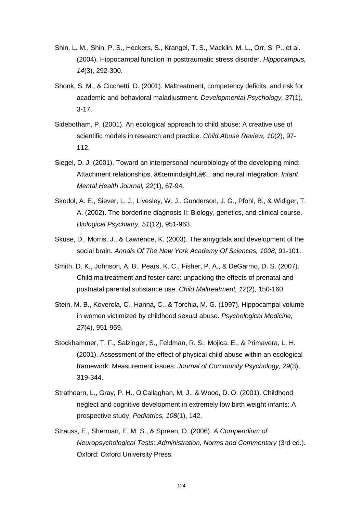- Shin, L. M., Shin, P. S., Heckers, S., Krangel, T. S., Macklin, M. L., Orr, S. P., et al. (2004). Hippocampal function in posttraumatic stress disorder. *Hippocampus, 14*(3), 292-300.
- Shonk, S. M., & Cicchetti, D. (2001). Maltreatment, competency deficits, and risk for academic and behavioral maladjustment. *Developmental Psychology, 37*(1), 3-17.
- Sidebotham, P. (2001). An ecological approach to child abuse: A creative use of scientific models in research and practice. *Child Abuse Review, 10*(2), 97- 112.
- Siegel, D. J. (2001). Toward an interpersonal neurobiology of the developing mind: Attachment relationships, â€cemindsight,†and neural integration. *Infant Mental Health Journal, 22*(1), 67-94.
- Skodol, A. E., Siever, L. J., Livesley, W. J., Gunderson, J. G., Pfohl, B., & Widiger, T. A. (2002). The borderline diagnosis II: Biology, genetics, and clinical course. *Biological Psychiatry, 51*(12), 951-963.
- Skuse, D., Morris, J., & Lawrence, K. (2003). The amygdala and development of the social brain. *Annals Of The New York Academy Of Sciences, 1008*, 91-101.
- Smith, D. K., Johnson, A. B., Pears, K. C., Fisher, P. A., & DeGarmo, D. S. (2007). Child maltreatment and foster care: unpacking the effects of prenatal and postnatal parental substance use. *Child Maltreatment, 12*(2), 150-160.
- Stein, M. B., Koverola, C., Hanna, C., & Torchia, M. G. (1997). Hippocampal volume in women victimized by childhood sexual abuse. *Psychological Medicine, 27*(4), 951-959.
- Stockhammer, T. F., Salzinger, S., Feldman, R. S., Mojica, E., & Primavera, L. H. (2001). Assessment of the effect of physical child abuse within an ecological framework: Measurement issues. *Journal of Community Psychology, 29*(3), 319-344.
- Strathearn, L., Gray, P. H., O'Callaghan, M. J., & Wood, D. O. (2001). Childhood neglect and cognitive development in extremely low birth weight infants: A prospective study. *Pediatrics, 108*(1), 142.
- Strauss, E., Sherman, E. M. S., & Spreen, O. (2006). *A Compendium of Neuropsychological Tests: Administration, Norms and Commentary* (3rd ed.). Oxford: Oxford University Press.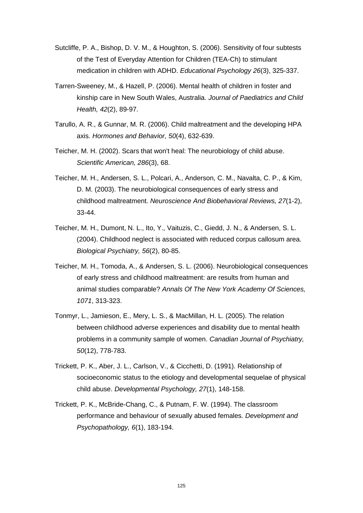- Sutcliffe, P. A., Bishop, D. V. M., & Houghton, S. (2006). Sensitivity of four subtests of the Test of Everyday Attention for Children (TEA-Ch) to stimulant medication in children with ADHD. *Educational Psychology 26*(3), 325-337.
- Tarren-Sweeney, M., & Hazell, P. (2006). Mental health of children in foster and kinship care in New South Wales, Australia. *Journal of Paediatrics and Child Health, 42*(2), 89-97.
- Tarullo, A. R., & Gunnar, M. R. (2006). Child maltreatment and the developing HPA axis. *Hormones and Behavior, 50*(4), 632-639.
- Teicher, M. H. (2002). Scars that won't heal: The neurobiology of child abuse. *Scientific American, 286*(3), 68.
- Teicher, M. H., Andersen, S. L., Polcari, A., Anderson, C. M., Navalta, C. P., & Kim, D. M. (2003). The neurobiological consequences of early stress and childhood maltreatment. *Neuroscience And Biobehavioral Reviews, 27*(1-2), 33-44.
- Teicher, M. H., Dumont, N. L., Ito, Y., Vaituzis, C., Giedd, J. N., & Andersen, S. L. (2004). Childhood neglect is associated with reduced corpus callosum area. *Biological Psychiatry, 56*(2), 80-85.
- Teicher, M. H., Tomoda, A., & Andersen, S. L. (2006). Neurobiological consequences of early stress and childhood maltreatment: are results from human and animal studies comparable? *Annals Of The New York Academy Of Sciences, 1071*, 313-323.
- Tonmyr, L., Jamieson, E., Mery, L. S., & MacMillan, H. L. (2005). The relation between childhood adverse experiences and disability due to mental health problems in a community sample of women. *Canadian Journal of Psychiatry, 50*(12), 778-783.
- Trickett, P. K., Aber, J. L., Carlson, V., & Cicchetti, D. (1991). Relationship of socioeconomic status to the etiology and developmental sequelae of physical child abuse. *Developmental Psychology, 27*(1), 148-158.
- Trickett, P. K., McBride-Chang, C., & Putnam, F. W. (1994). The classroom performance and behaviour of sexually abused females. *Development and Psychopathology, 6*(1), 183-194.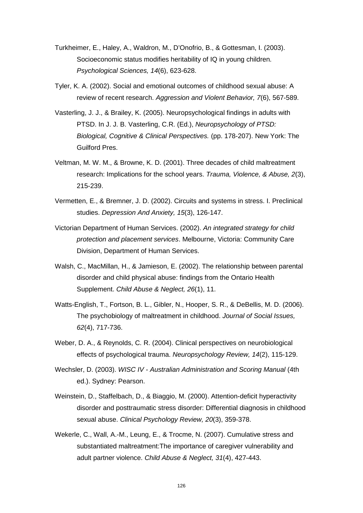- Turkheimer, E., Haley, A., Waldron, M., D'Onofrio, B., & Gottesman, I. (2003). Socioeconomic status modifies heritability of IQ in young children. *Psychological Sciences, 14*(6), 623-628.
- Tyler, K. A. (2002). Social and emotional outcomes of childhood sexual abuse: A review of recent research. *Aggression and Violent Behavior, 7*(6), 567-589.
- Vasterling, J. J., & Brailey, K. (2005). Neuropsychological findings in adults with PTSD. In J. J. B. Vasterling, C.R. (Ed.), *Neuropsychology of PTSD: Biological, Cognitive & Clinical Perspectives.* (pp. 178-207). New York: The Guilford Pres.
- Veltman, M. W. M., & Browne, K. D. (2001). Three decades of child maltreatment research: Implications for the school years. *Trauma, Violence, & Abuse, 2*(3), 215-239.
- Vermetten, E., & Bremner, J. D. (2002). Circuits and systems in stress. I. Preclinical studies. *Depression And Anxiety, 15*(3), 126-147.
- Victorian Department of Human Services. (2002). *An integrated strategy for child protection and placement services*. Melbourne, Victoria: Community Care Division, Department of Human Services.
- Walsh, C., MacMillan, H., & Jamieson, E. (2002). The relationship between parental disorder and child physical abuse: findings from the Ontario Health Supplement. *Child Abuse & Neglect, 26*(1), 11.
- Watts-English, T., Fortson, B. L., Gibler, N., Hooper, S. R., & DeBellis, M. D. (2006). The psychobiology of maltreatment in childhood. *Journal of Social Issues, 62*(4), 717-736.
- Weber, D. A., & Reynolds, C. R. (2004). Clinical perspectives on neurobiological effects of psychological trauma. *Neuropsychology Review, 14*(2), 115-129.
- Wechsler, D. (2003). *WISC IV - Australian Administration and Scoring Manual* (4th ed.). Sydney: Pearson.
- Weinstein, D., Staffelbach, D., & Biaggio, M. (2000). Attention-deficit hyperactivity disorder and posttraumatic stress disorder: Differential diagnosis in childhood sexual abuse. *Clinical Psychology Review, 20*(3), 359-378.
- Wekerle, C., Wall, A.-M., Leung, E., & Trocme, N. (2007). Cumulative stress and substantiated maltreatment:The importance of caregiver vulnerability and adult partner violence. *Child Abuse & Neglect, 31*(4), 427-443.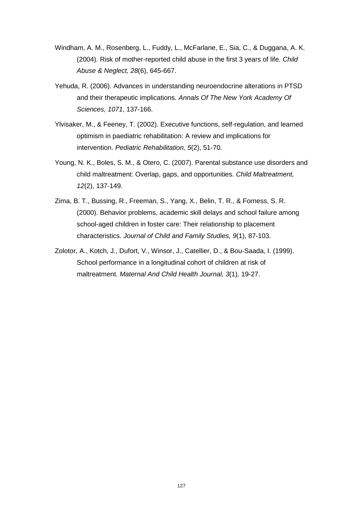- Windham, A. M., Rosenberg, L., Fuddy, L., McFarlane, E., Sia, C., & Duggana, A. K. (2004). Risk of mother-reported child abuse in the first 3 years of life. *Child Abuse & Neglect, 28*(6), 645-667.
- Yehuda, R. (2006). Advances in understanding neuroendocrine alterations in PTSD and their therapeutic implications. *Annals Of The New York Academy Of Sciences, 1071*, 137-166.
- Ylvisaker, M., & Feeney, T. (2002). Executive functions, self-regulation, and learned optimism in paediatric rehabilitation: A review and implications for intervention. *Pediatric Rehabilitation, 5*(2), 51-70.
- Young, N. K., Boles, S. M., & Otero, C. (2007). Parental substance use disorders and child maltreatment: Overlap, gaps, and opportunities. *Child Maltreatment, 12*(2), 137-149.
- Zima, B. T., Bussing, R., Freeman, S., Yang, X., Belin, T. R., & Forness, S. R. (2000). Behavior problems, academic skill delays and school failure among school-aged children in foster care: Their relationship to placement characteristics. *Journal of Child and Family Studies, 9*(1), 87-103.
- Zolotor, A., Kotch, J., Dufort, V., Winsor, J., Catellier, D., & Bou-Saada, I. (1999). School performance in a longitudinal cohort of children at risk of maltreatment. *Maternal And Child Health Journal, 3*(1), 19-27.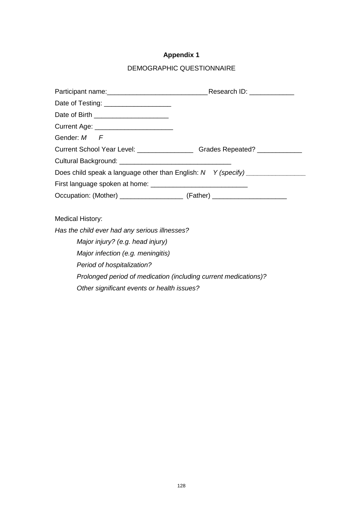# **Appendix 1**

## DEMOGRAPHIC QUESTIONNAIRE

| Date of Testing: ____________________                           |                                                                                  |
|-----------------------------------------------------------------|----------------------------------------------------------------------------------|
| Date of Birth __________________________                        |                                                                                  |
| Current Age: ________________________                           |                                                                                  |
| Gender: M F                                                     |                                                                                  |
|                                                                 | Current School Year Level: ______________________Grades Repeated? ______________ |
|                                                                 |                                                                                  |
|                                                                 | Does child speak a language other than English: N Y (specify) __________________ |
|                                                                 |                                                                                  |
|                                                                 | Occupation: (Mother) _______________________ (Father) __________________________ |
|                                                                 |                                                                                  |
| <b>Medical History:</b>                                         |                                                                                  |
| Has the child ever had any serious illnesses?                   |                                                                                  |
| Major injury? (e.g. head injury)                                |                                                                                  |
| Major infection (e.g. meningitis)                               |                                                                                  |
| Period of hospitalization?                                      |                                                                                  |
| Prolonged period of medication (including current medications)? |                                                                                  |
| Other significant events or health issues?                      |                                                                                  |
|                                                                 |                                                                                  |